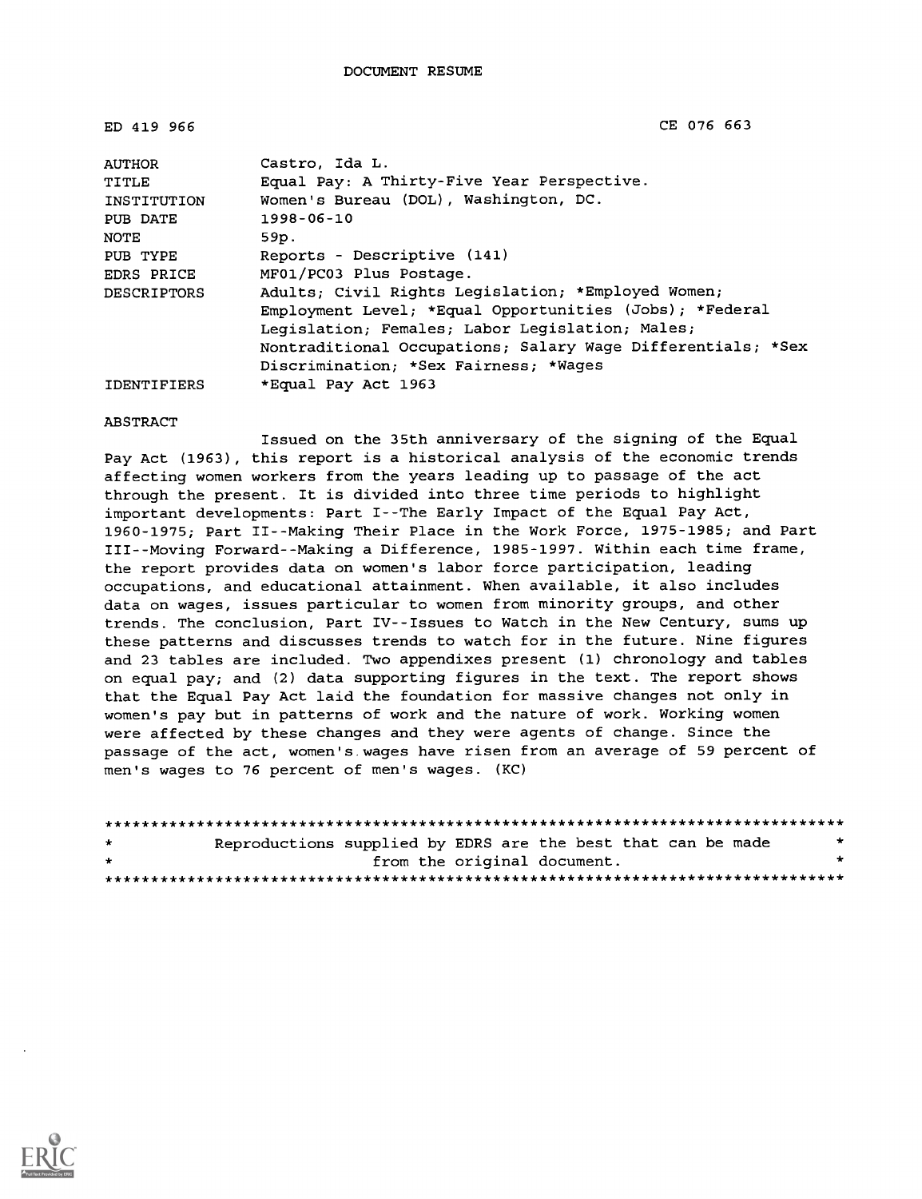| ED 419 966         | CE 076 663                                                  |
|--------------------|-------------------------------------------------------------|
| AUTHOR             | Castro, Ida L.                                              |
| TITLE              | Equal Pay: A Thirty-Five Year Perspective.                  |
| INSTITUTION        | Women's Bureau (DOL), Washington, DC.                       |
| PUB DATE           | 1998-06-10                                                  |
| NOTE               | 59p.                                                        |
| PUB TYPE           | Reports - Descriptive (141)                                 |
| EDRS PRICE         | MF01/PC03 Plus Postage.                                     |
| <b>DESCRIPTORS</b> | Adults; Civil Rights Legislation; *Employed Women;          |
|                    | Employment Level; *Equal Opportunities (Jobs); *Federal     |
|                    | Leqislation; Females; Labor Legislation; Males;             |
|                    | Nontraditional Occupations; Salary Wage Differentials; *Sex |
|                    | Discrimination; *Sex Fairness; *Wages                       |
| <b>IDENTIFIERS</b> | *Equal Pay Act 1963                                         |

#### ABSTRACT

Issued on the 35th anniversary of the signing of the Equal Pay Act (1963), this report is a historical analysis of the economic trends affecting women workers from the years leading up to passage of the act through the present. It is divided into three time periods to highlight important developments: Part I--The Early Impact of the Equal Pay Act, 1960-1975; Part II--Making Their Place in the Work Force, 1975-1985; and Part III--Moving Forward--Making a Difference, 1985-1997. Within each time frame, the report provides data on women's labor force participation, leading occupations, and educational attainment. When available, it also includes data on wages, issues particular to women from minority groups, and other trends. The conclusion, Part IV--Issues to Watch in the New Century, sums up these patterns and discusses trends to watch for in the future. Nine figures and 23 tables are included. Two appendixes present (1) chronology and tables on equal pay; and (2) data supporting figures in the text. The report shows that the Equal Pay Act laid the foundation for massive changes not only in women's pay but in patterns of work and the nature of work. Working women were affected by these changes and they were agents of change. Since the passage of the act, women's.wages have risen from an average of 59 percent of men's wages to 76 percent of men's wages. (KC)

| $\star$ | Reproductions supplied by EDRS are the best that can be made |                             |  |  | * |
|---------|--------------------------------------------------------------|-----------------------------|--|--|---|
| $\star$ |                                                              | from the original document. |  |  | * |
|         |                                                              |                             |  |  |   |

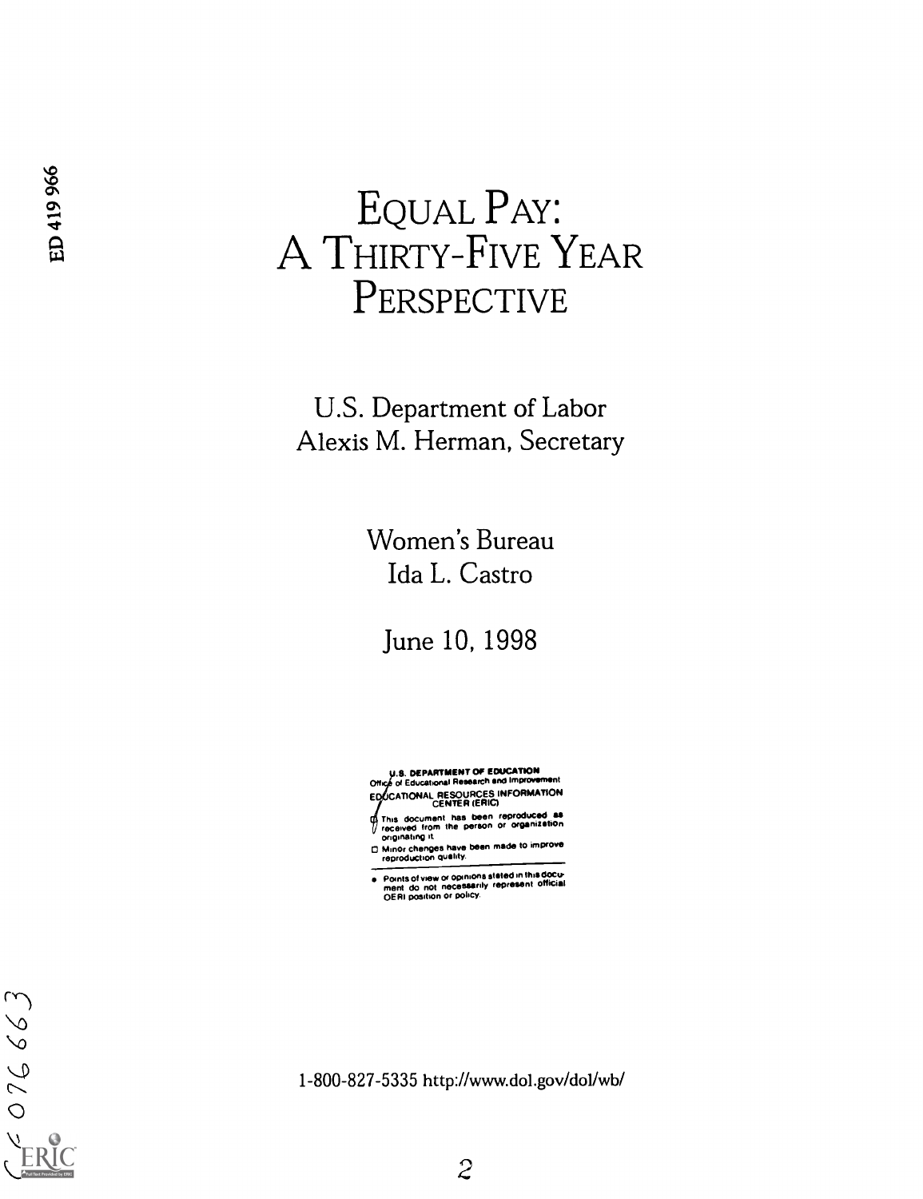# EQUAL PAY: **EQUAL PAY:**<br> **44 A THIRTY-FIVE YEAR PERSPECTIVE**

U.S. Department of Labor Alexis M. Herman, Secretary

> Women's Bureau Ida L. Castro

June 10, 1998

.8. DEPARTMENT OF EDUCATION On ot Educational Research and Improvement EDUCATIONAL RESOURCES INFORMATION

This document has been reproduCed as received from the person or organization originating it.

0 Minor changes have been made to improve reproduction quality.

Points of view or opinions stated in this docu-<br>ment do not necessarily represent official<br>QERI position or policy.

1-800-827-5335 http://www.dol.gov/dol/wb/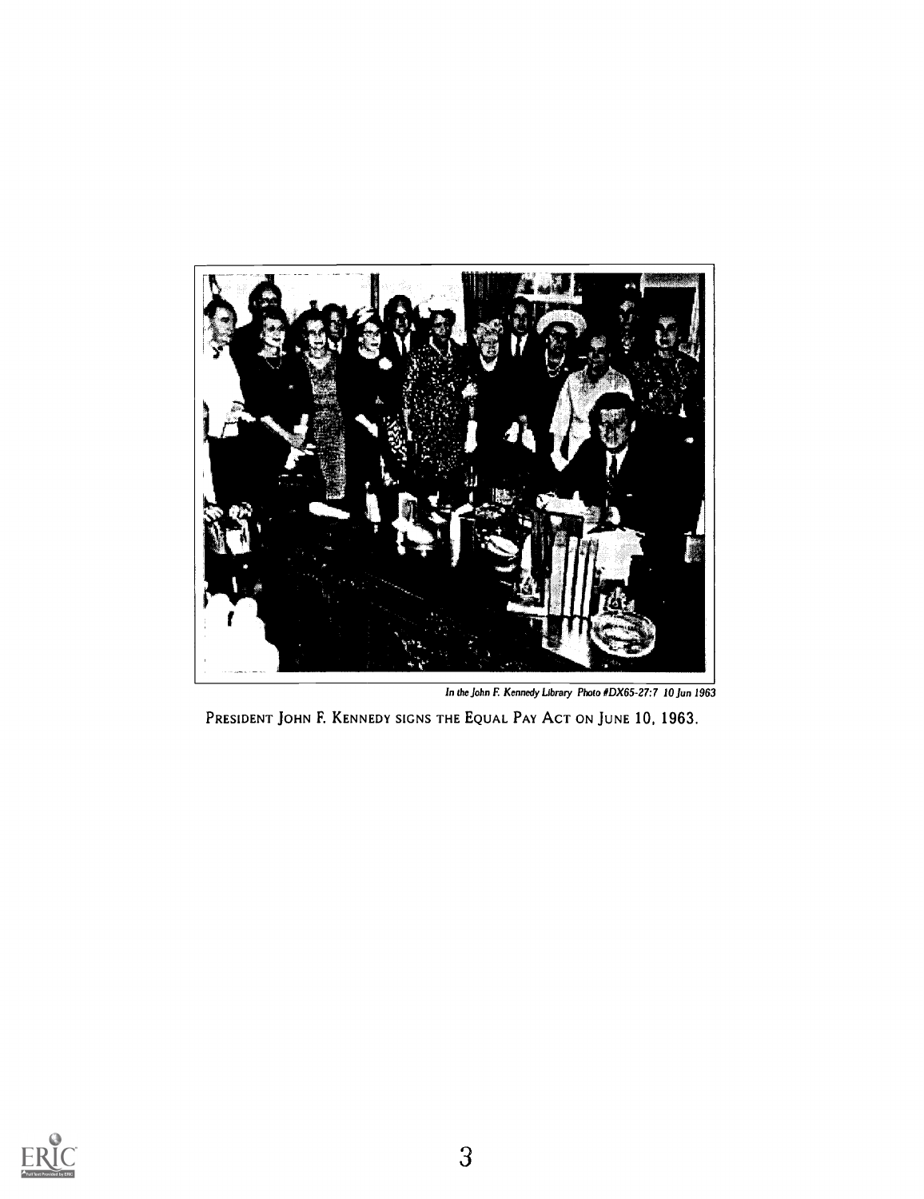

In the John F. Kennedy Library Photo #DX65-27:7 10 Jun 1963

PRESIDENT JOHN F. KENNEDY SIGNS THE EQUAL PAY ACT ON JUNE 10, 1963.

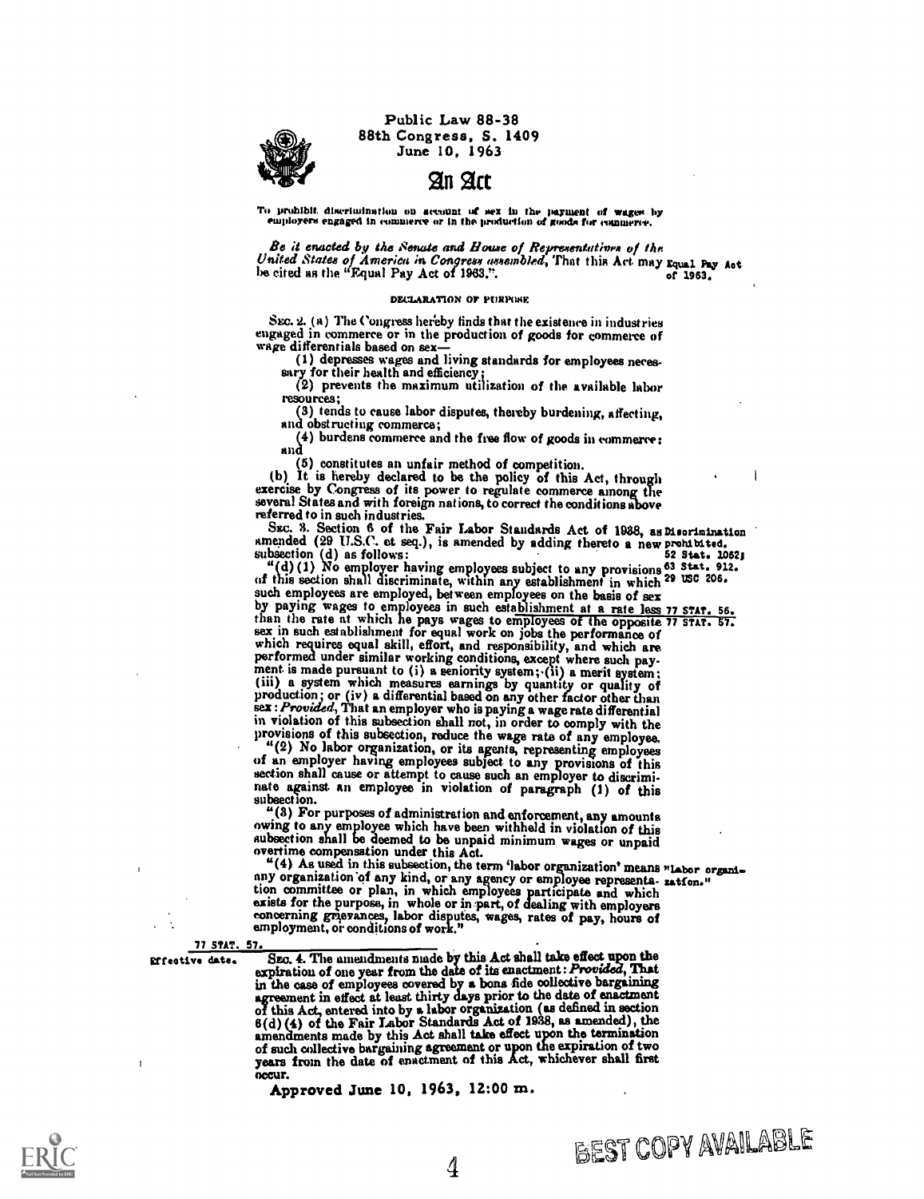Public Law 88-38 88th Congress, S. 1409 June 10, 1963

2111 Act

To prohibit discrimination on account of sex in the payment of wages by employers engaged in commerce or in the production of goods for commerce.

Be it enacted by the Senate and House of Representatives of the<br>United States of America in Congress assembled, That this Act may Equal Pay Act<br>be cited as the "Equal Pay Act of 1963.".

#### DECLARATION OF PURPOSE

Sec. 2. (a) The Congress hereby finds that the existence in industries engaged in commerce or in the production of goods for commerce of wage differentials based on sex—<br>(1) depresses wages and living standards for employ

extry for their health and efficiency; sary for their health and efficiency; (2) prevents the maximum utilization of the available labor resources;

(3) tends to cause labor disputes, thereby burdening, affecting, and obstructing commerce;

(4) burdens commerce and the free flow of goods in commerce: and

(5) constitutes an unfair method of competition. (b) It is hereby declared to be the policy of this Act, through exercise by Congress of its power to regulate commerce among the several States and with foreign nations, to correct the conditions above

referred to in such industries.<br>
SEC. 3. Section 6 of the Fair Labor Standards Act of 1938, as Disorinination<br>
smended (29 U.S.C. et seq.), is amended by adding thereto a new prohibited. SEC. 3. Section 6 of the Fair Labor Staudards Act of 1938, as Disorimination amended (29 U.S.C. et seq.), is amended by adding thereto a new prohibited.<br>subsection (d) as follows:<br>"(d) (1) No employer having employees subj

of this section shall discriminate, within any establishment in which 29 use 206'

such employees are employed, between employees on the basis of sex<br>by paying wages to employees in such establishment at a rate less 77 STAT. 56.<br>than the rate at which he pays wages to employees of the opposite 77 STAT. 5 performed under similar working conditions, except where such payment is made pursuant to (i) a seniority system; (ii) a merit system;<br>(iii) a system which measures earnings by quantity or quality of<br>production; or (iv) a sex : Provided, That an employer who is paying a wage rate differential<br>in violation of this subsection shall not, in order to comply with the<br>in violation of this subsection shall not, in order to comply with the

in violation of this subsection, reduce the wage rate of any employee. " $(2)$  No labor organization, or its agents, representing employees of an employer having employees subject to any provisions of this section shall ca nate against an employee in violation of paragraph (1) of this

subsection.<br>
"(3) For purposes of administration and enforcement, any amounts owing to any employee which have been withheld in violation of this aubsection shall be deemed to be unpaid minimum wages or unpaid

overtime compensation under this Act.<br>
"(4) As used in this subsection, the term 'labor organization' means "labor organ{..."<br>
any organization of any kind, or any agency or employee represents- zatfon." tion committee or plan, in which employees participate and which

exists for the purpose, in whole or in: part, of dealing with employers concerning grievances, labor disputes, wages, rates of pay, hours of employment, or conditions of work."

77 STAT. 57.

srreotive date. Sao. 4. The amendments made by this Act shall take effect upon the expiration of one year from the date of its enactment: Provided, That in the case of employees covered by a bona fide oolleotive bargaining agreement in effect at least thirty days prior to the date of enactment<br>of this Act, entered into by a labor organization (as defined in section<br>6(d) (4) of the Fair Labor Standards Act of 1938, as amended), the amendments made by this Act shall take effect upon the termination of such collective bargaining agreement or upon the expiration of two<br>years from the date of enactment of this Act, whichever shall first<br>occur.<br>Approved June 10, 1963, 12:00 m.

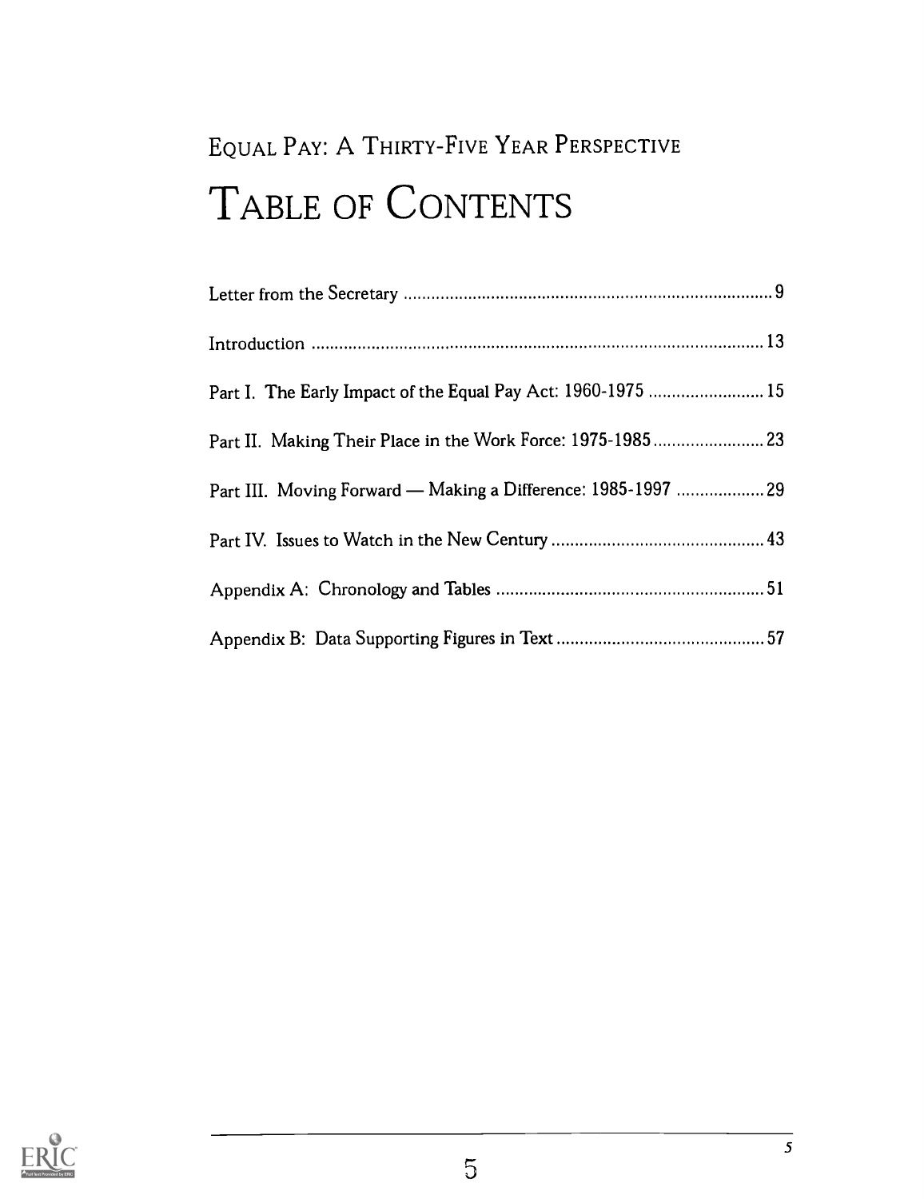# EQUAL PAY: A THIRTY-FIVE YEAR PERSPECTIVE TABLE OF CONTENTS

| Part I. The Early Impact of the Equal Pay Act: 1960-1975  15  |  |
|---------------------------------------------------------------|--|
|                                                               |  |
| Part III. Moving Forward — Making a Difference: 1985-1997  29 |  |
|                                                               |  |
|                                                               |  |
|                                                               |  |

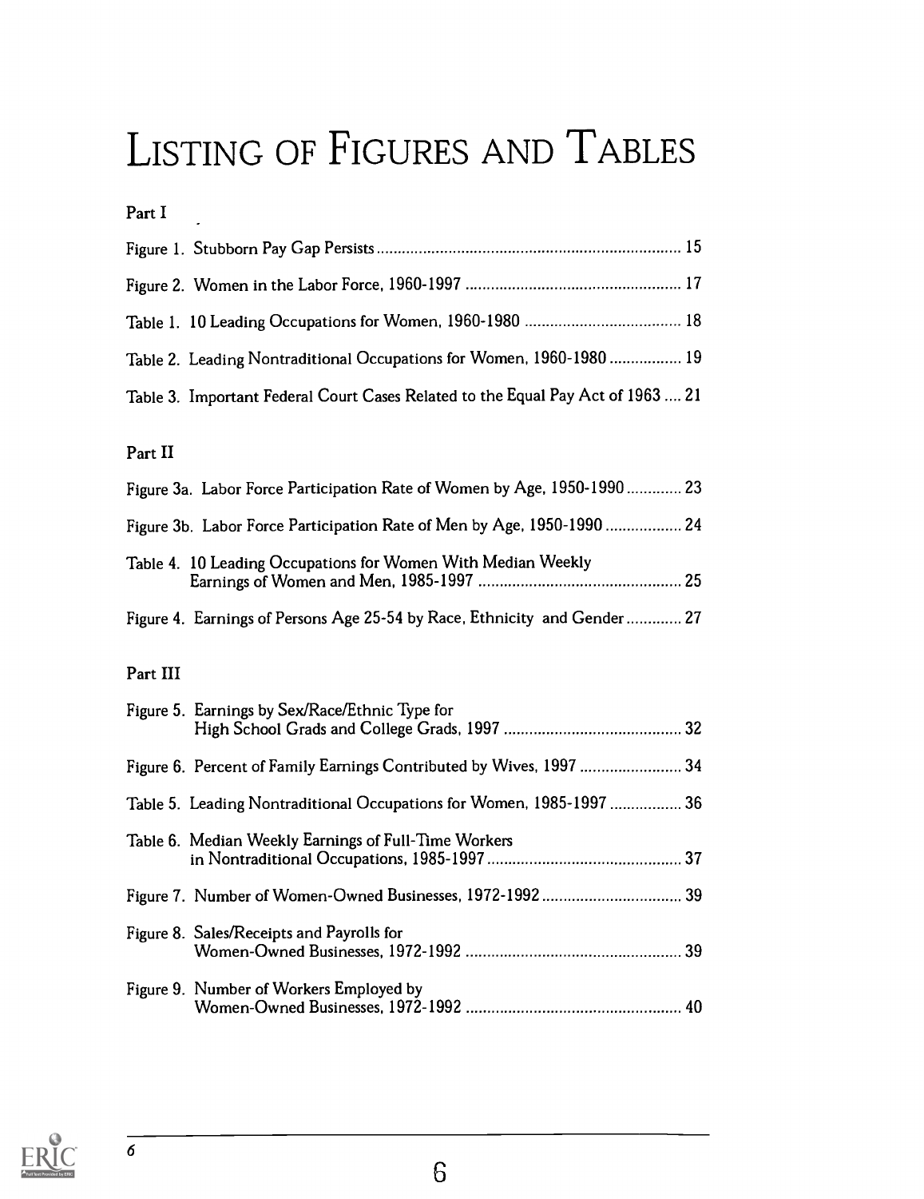# LISTING OF FIGURES AND TABLES

Part I

| Table 2. Leading Nontraditional Occupations for Women, 1960-1980  19            |  |
|---------------------------------------------------------------------------------|--|
| Table 3. Important Federal Court Cases Related to the Equal Pay Act of 1963  21 |  |

### Part II

| Figure 3a. Labor Force Participation Rate of Women by Age, 1950-1990  23 |  |
|--------------------------------------------------------------------------|--|
| Figure 3b. Labor Force Participation Rate of Men by Age, 1950-1990  24   |  |
| Table 4. 10 Leading Occupations for Women With Median Weekly             |  |
| Figure 4. Earnings of Persons Age 25-54 by Race, Ethnicity and Gender 27 |  |

### Part III

| Figure 5. Earnings by Sex/Race/Ethnic Type for                       |  |
|----------------------------------------------------------------------|--|
| Figure 6. Percent of Family Earnings Contributed by Wives, 1997  34  |  |
| Table 5. Leading Nontraditional Occupations for Women, 1985-1997  36 |  |
| Table 6. Median Weekly Earnings of Full-Time Workers                 |  |
|                                                                      |  |
| Figure 8. Sales/Receipts and Payrolls for                            |  |
| Figure 9. Number of Workers Employed by                              |  |

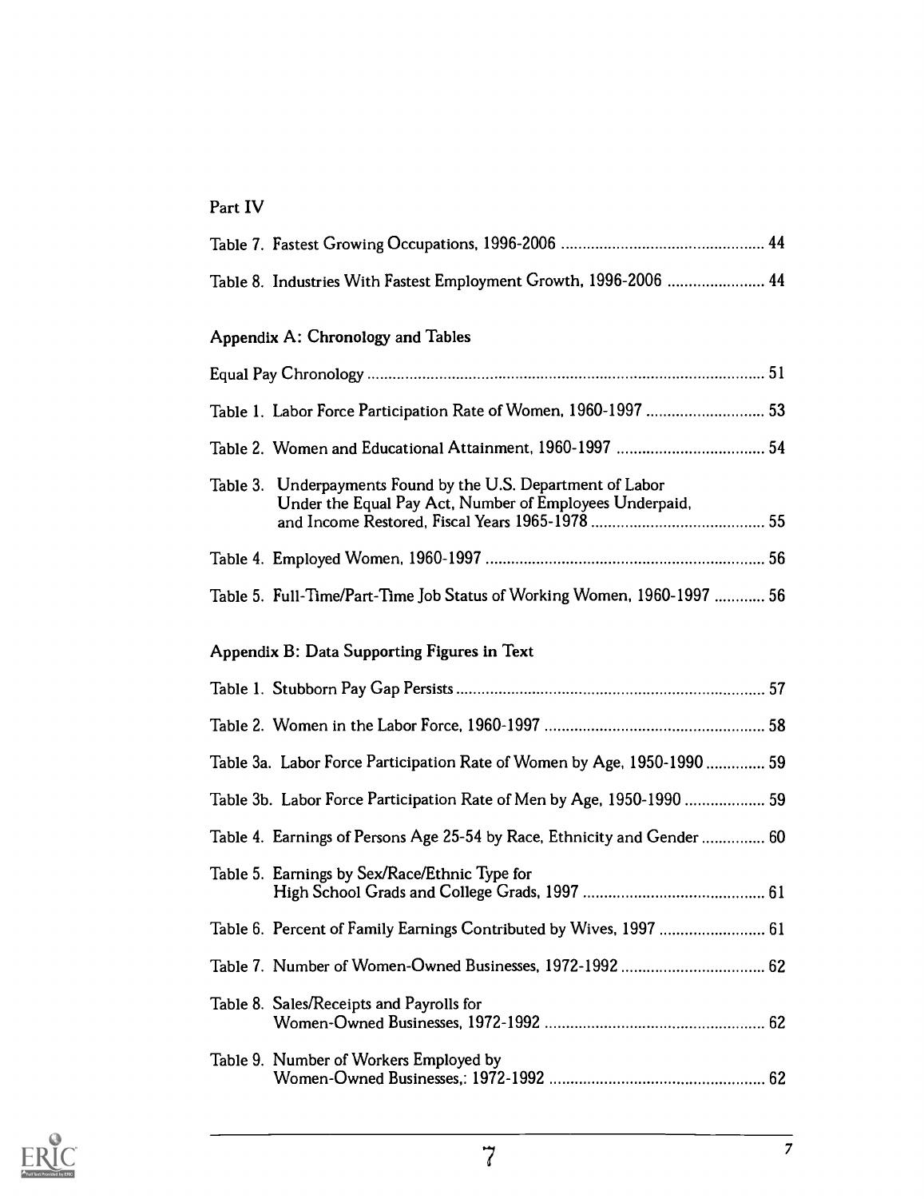### Part IV

| Table 8. Industries With Fastest Employment Growth, 1996-2006  44                                                       |  |
|-------------------------------------------------------------------------------------------------------------------------|--|
| Appendix A: Chronology and Tables                                                                                       |  |
|                                                                                                                         |  |
| Table 1. Labor Force Participation Rate of Women, 1960-1997  53                                                         |  |
|                                                                                                                         |  |
| Table 3. Underpayments Found by the U.S. Department of Labor<br>Under the Equal Pay Act, Number of Employees Underpaid, |  |
|                                                                                                                         |  |
| Table 5. Full-Time/Part-Time Job Status of Working Women, 1960-1997  56                                                 |  |
| Appendix B: Data Supporting Figures in Text                                                                             |  |
|                                                                                                                         |  |
|                                                                                                                         |  |
| Table 3a. Labor Force Participation Rate of Women by Age, 1950-1990 59                                                  |  |
| Table 3b. Labor Force Participation Rate of Men by Age, 1950-1990  59                                                   |  |
| Table 4. Earnings of Persons Age 25-54 by Race, Ethnicity and Gender  60                                                |  |
| Table 5. Earnings by Sex/Race/Ethnic Type for                                                                           |  |
| Table 6. Percent of Family Earnings Contributed by Wives, 1997  61                                                      |  |
| Table 7. Number of Women-Owned Businesses, 1972-1992  62                                                                |  |
| Table 8. Sales/Receipts and Payrolls for                                                                                |  |
| Table 9. Number of Workers Employed by                                                                                  |  |

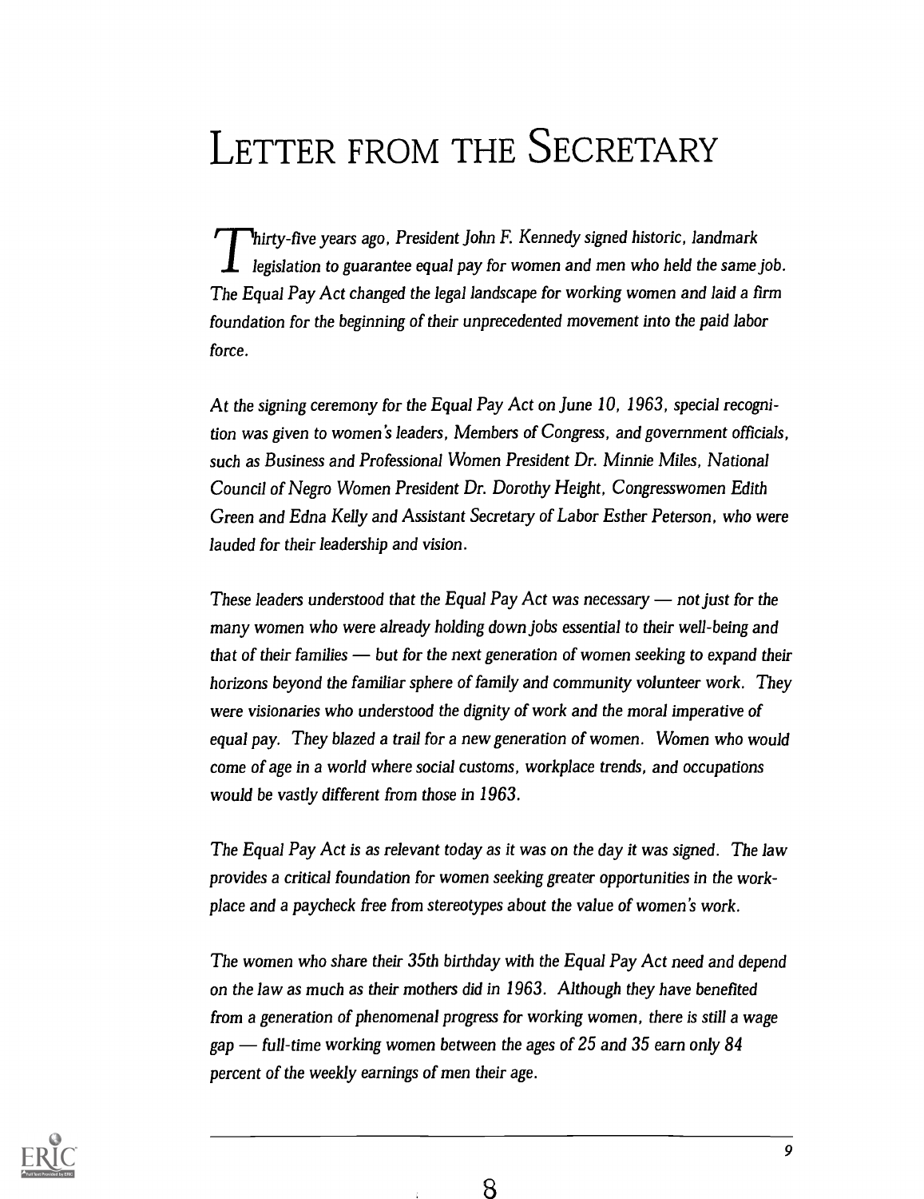# LETTER FROM THE SECRETARY

hirty-five years ago, President John F. Kennedy signed historic, landmark legislation to guarantee equal pay for women and men who held the same job. The Equal Pay Act changed the legal landscape for working women and laid a firm foundation for the beginning of their unprecedented movement into the paid labor force.

At the signing ceremony for the Equal Pay Act on June 10, 1963, special recognition was given to women's leaders, Members of Congress, and government officials, such as Business and Professional Women President Dr. Minnie Miles, National Council of Negro Women President Dr. Dorothy Height, Congresswomen Edith Green and Edna Kelly and Assistant Secretary of Labor Esther Peterson, who were lauded for their leadership and vision.

These leaders understood that the Equal Pay Act was necessary  $-$  not just for the many women who were already holding down jobs essential to their well-being and that of their families  $-\frac{1}{2}$  but for the next generation of women seeking to expand their horizons beyond the familiar sphere of family and community volunteer work. They were visionaries who understood the dignity of work and the moral imperative of equal pay. They blazed a trail for a new generation of women. Women who would come of age in a world where social customs, workplace trends, and occupations would be vastly different from those in 1963.

The Equal Pay Act is as relevant today as it was on the day it was signed. The law provides a critical foundation for women seeking greater opportunities in the workplace and a paycheck free from stereotypes about the value of women's work.

The women who share their 35th birthday with the Equal Pay Act need and depend on the law as much as their mothers did in 1963. Although they have benefited from a generation of phenomenal progress for working women, there is still a wage gap  $-$  full-time working women between the ages of 25 and 35 earn only 84 percent of the weekly earnings of men their age.

8

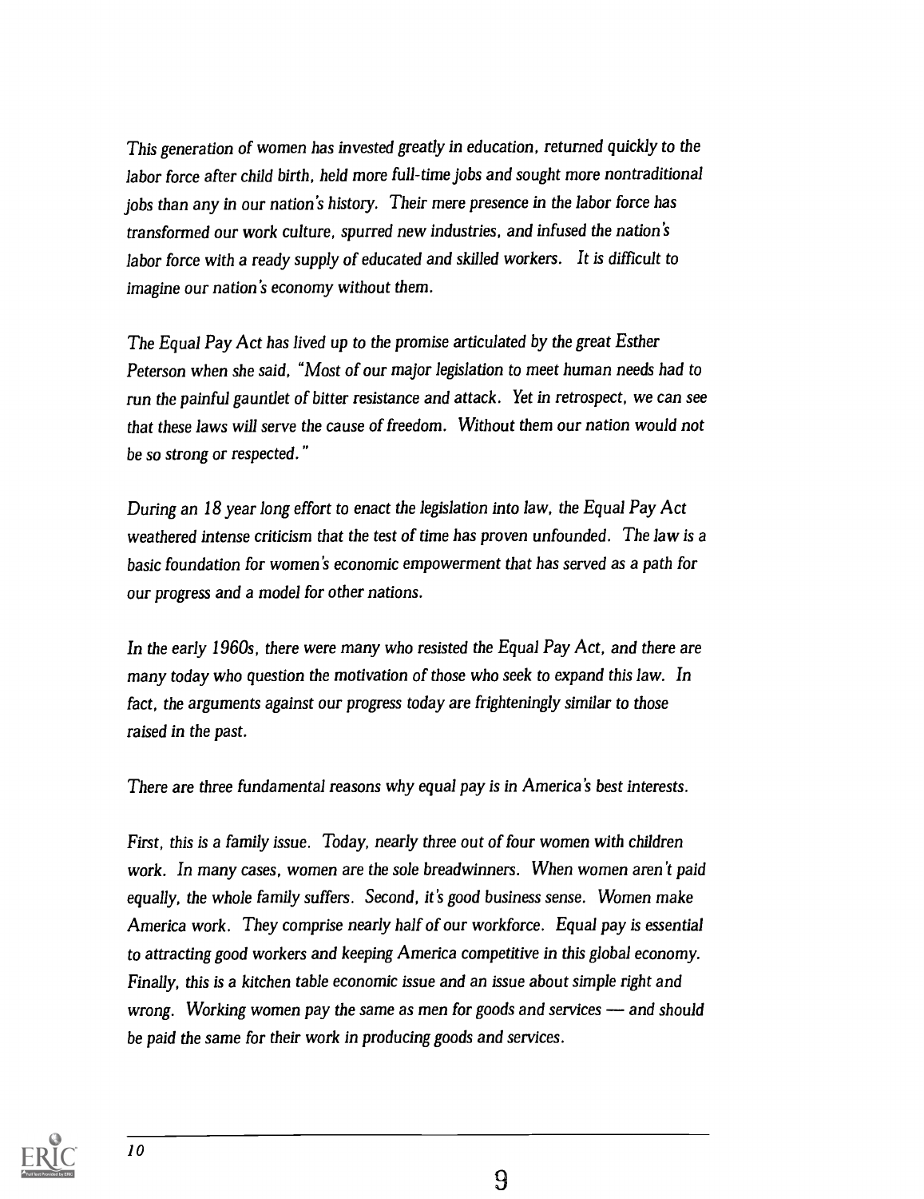This generation of women has invested greatly in education, returned quickly to the labor force after child birth, held more full-time jobs and sought more nontraditional jobs than any in our nation's history. Their mere presence in the labor force has transformed our work culture, spurred new industries, and infused the nation's labor force with a ready supply of educated and skilled workers. It is difficult to imagine our nation's economy without them.

The Equal Pay Act has lived up to the promise articulated by the great Esther Peterson when she said, "Most of our major legislation to meet human needs had to run the painful gauntlet of bitter resistance and attack. Yet in retrospect, we can see that these laws will serve the cause of freedom. Without them our nation would not be so strong or respected."

During an 18 year long effort to enact the legislation into law, the Equal Pay Act weathered intense criticism that the test of time has proven unfounded. The law is a basic foundation for women's economic empowerment that has served as a path for our progress and a model for other nations.

In the early 1960s, there were many who resisted the Equal Pay Act, and there are many today who question the motivation of those who seek to expand this law. In fact, the arguments against our progress today are frighteningly similar to those raised in the past.

There are three fundamental reasons why equal pay is in America's best interests.

First, this is a family issue. Today, nearly three out of four women with children work. In many cases, women are the sole breadwinners. When women aren't paid equally, the whole family suffers. Second, it's good business sense. Women make America work. They comprise nearly half of our workforce. Equal pay is essential to attracting good workers and keeping America competitive in this global economy. Finally, this is a kitchen table economic issue and an issue about simple right and wrong. Working women pay the same as men for goods and services  $-$  and should be paid the same for their work in producing goods and services.

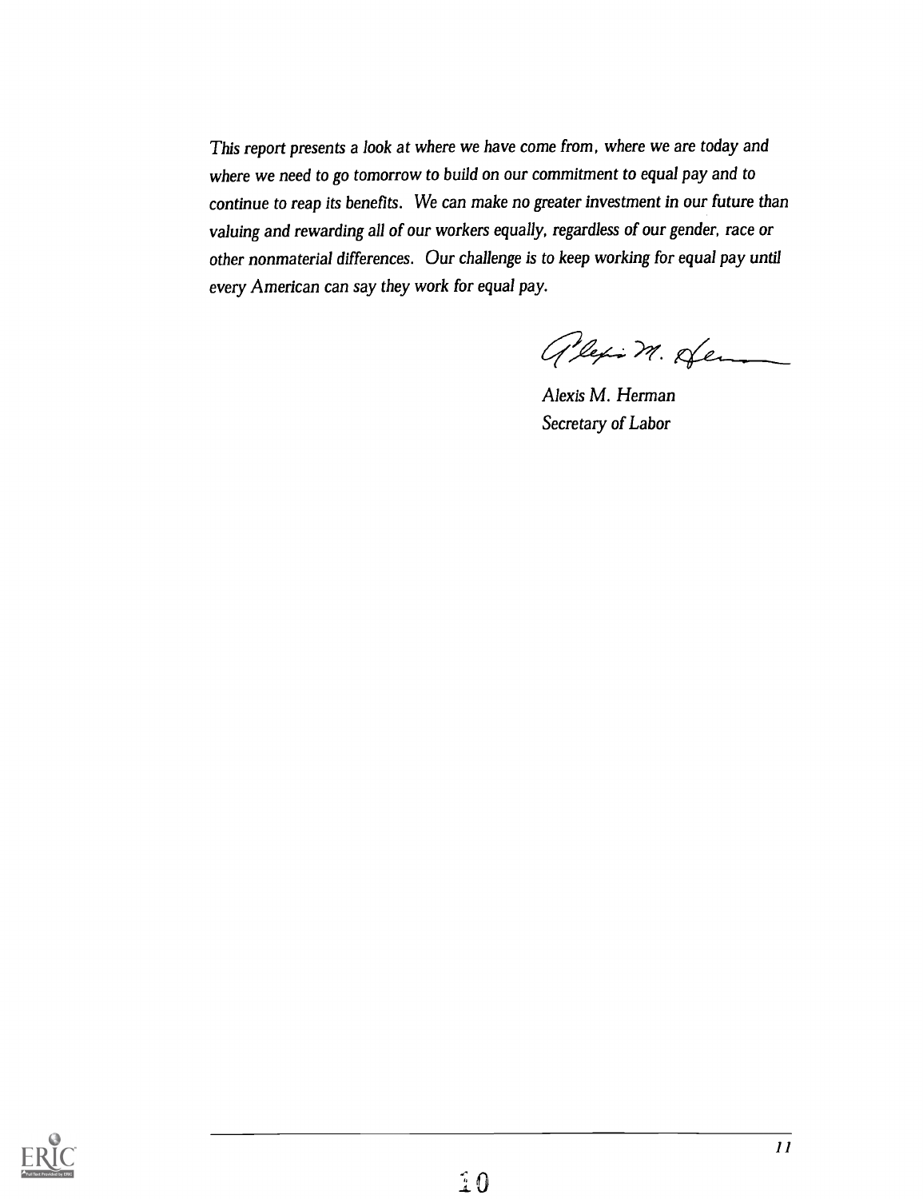This report presents a look at where we have come from, where we are today and where we need to go tomorrow to build on our commitment to equal pay and to continue to reap its benefits. We can make no greater investment in our future than valuing and rewarding all of our workers equally, regardless of our gender, race or other nonmaterial differences. Our challenge is to keep working for equal pay until every American can say they work for equal pay.

alexion dem

Alexis M. Herman Secretary of Labor

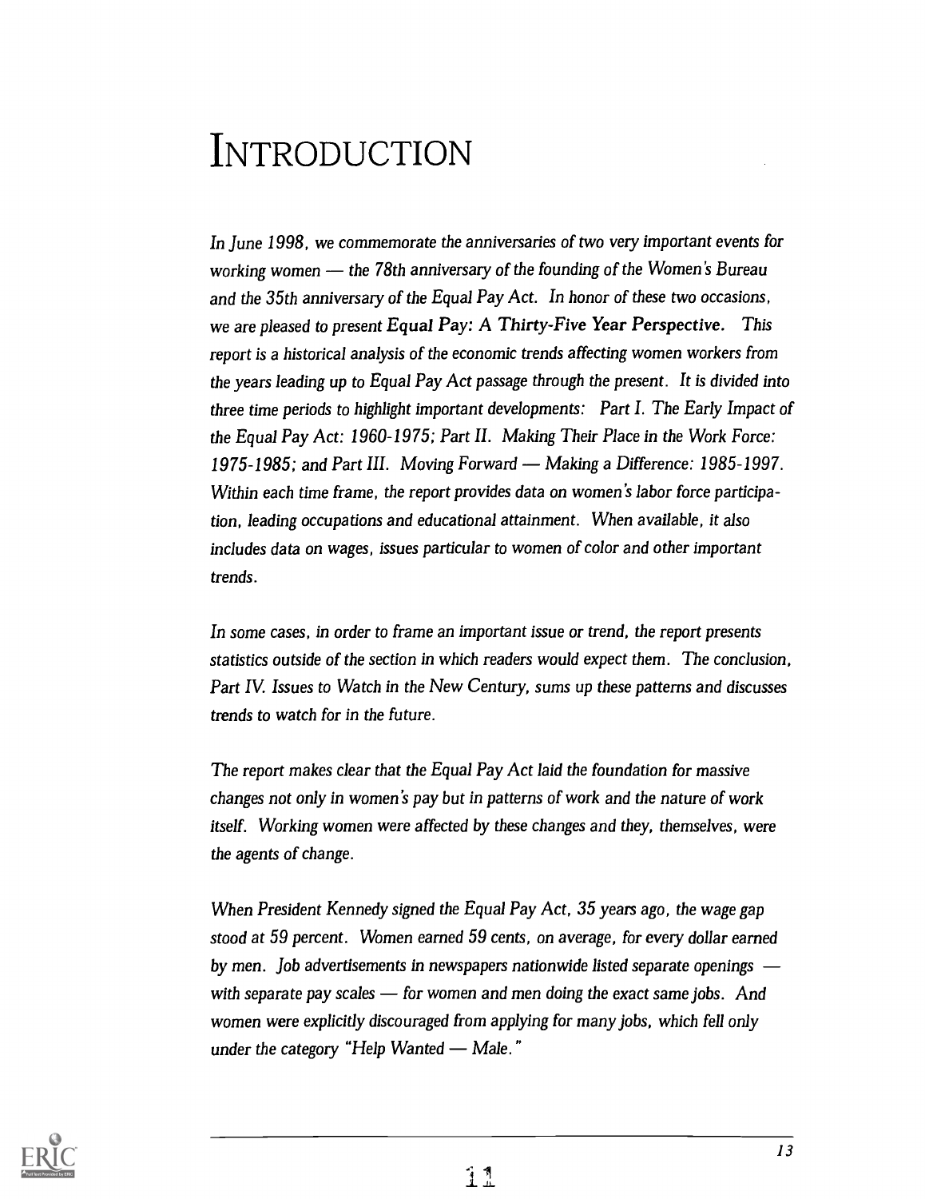# INTRODUCTION

In June 1998, we commemorate the anniversaries of two very important events for working women  $-$  the 78th anniversary of the founding of the Women's Bureau and the 35th anniversary of the Equal Pay Act. In honor of these two occasions, we are pleased to present Equal Pay: A Thirty-Five Year Perspective. This report is a historical analysis of the economic trends affecting women workers from the years leading up to Equal Pay Act passage through the present. It is divided into three time periods to highlight important developments: Part I. The Early Impact of the Equal Pay Act: 1960-1975; Part II. Making Their Place in the Work Force: 1975-1985; and Part III. Moving Forward — Making a Difference: 1985-1997. Within each time frame, the report provides data on women's labor force participation, leading occupations and educational attainment. When available, it also includes data on wages, issues particular to women of color and other important trends.

In some cases, in order to frame an important issue or trend, the report presents statistics outside of the section in which readers would expect them. The conclusion, Part IV. Issues to Watch in the New Century, sums up these patterns and discusses trends to watch for in the future.

The report makes clear that the Equal Pay Act laid the foundation for massive changes not only in women's pay but in patterns of work and the nature of work itself. Working women were affected by these changes and they, themselves, were the agents of change.

When President Kennedy signed the Equal Pay Act, 35 years ago, the wage gap stood at 59 percent. Women earned 59 cents, on average, for every dollar earned by men. Job advertisements in newspapers nationwide listed separate openings with separate pay scales  $\sim$  for women and men doing the exact same jobs. And women were explicitly discouraged from applying for many jobs, which fell only under the category "Help Wanted  $-$  Male."

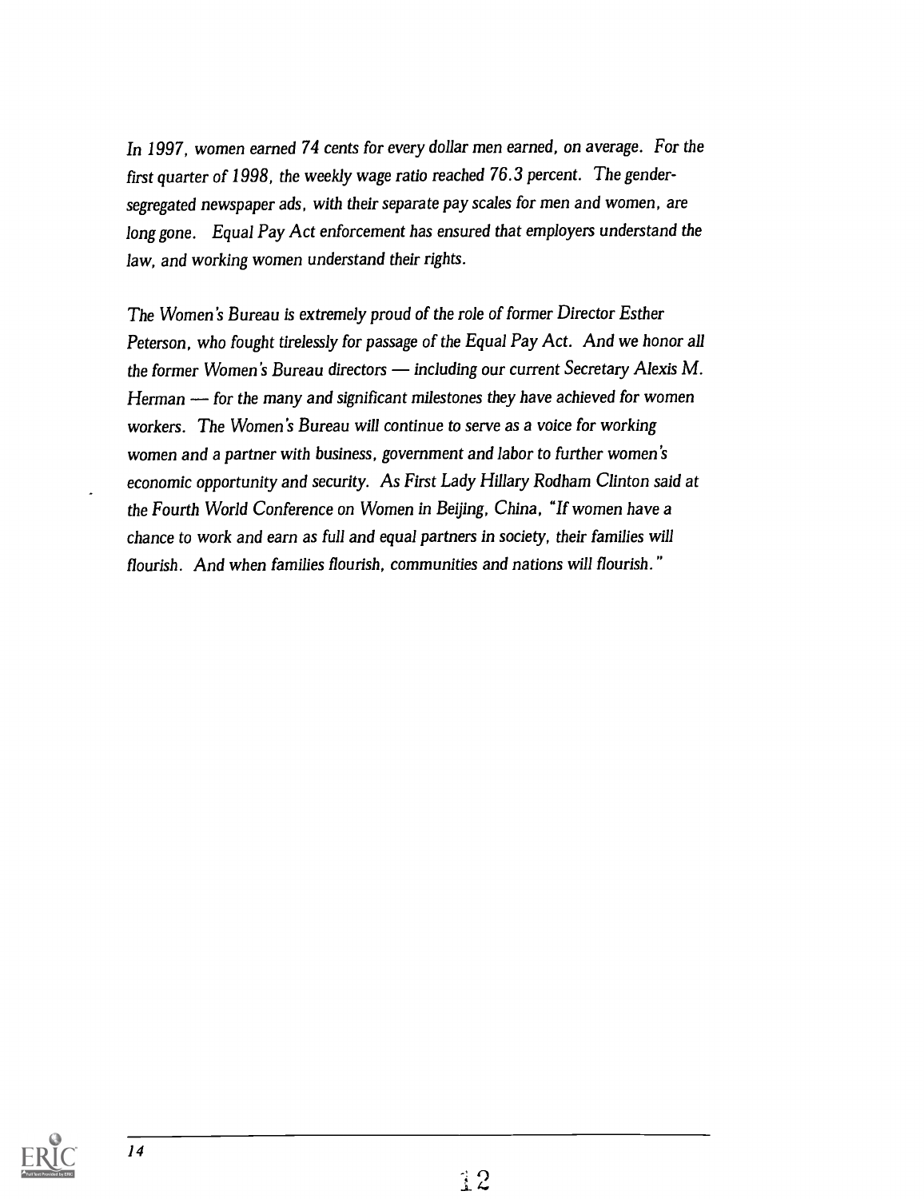In 1997, women earned 74 cents for every dollar men earned, on average. For the first quarter of 1998, the weekly wage ratio reached 76.3 percent. The gendersegregated newspaper ads, with their separate pay scales for men and women, are long gone. Equal Pay Act enforcement has ensured that employers understand the law, and working women understand their rights.

The Women's Bureau is extremely proud of the role of former Director Esther Peterson, who fought tirelessly for passage of the Equal Pay Act. And we honor all the former Women's Bureau directors  $-$  including our current Secretary Alexis M. Herman  $-$  for the many and significant milestones they have achieved for women workers. The Women's Bureau will continue to serve as a voice for working women and a partner with business, government and labor to further women's economic opportunity and security. As First Lady Hillary Rodham Clinton said at the Fourth World Conference on Women in Beijing, China, "If women have a chance to work and earn as full and equal partners in society, their families will flourish. And when families flourish, communities and nations will flourish.

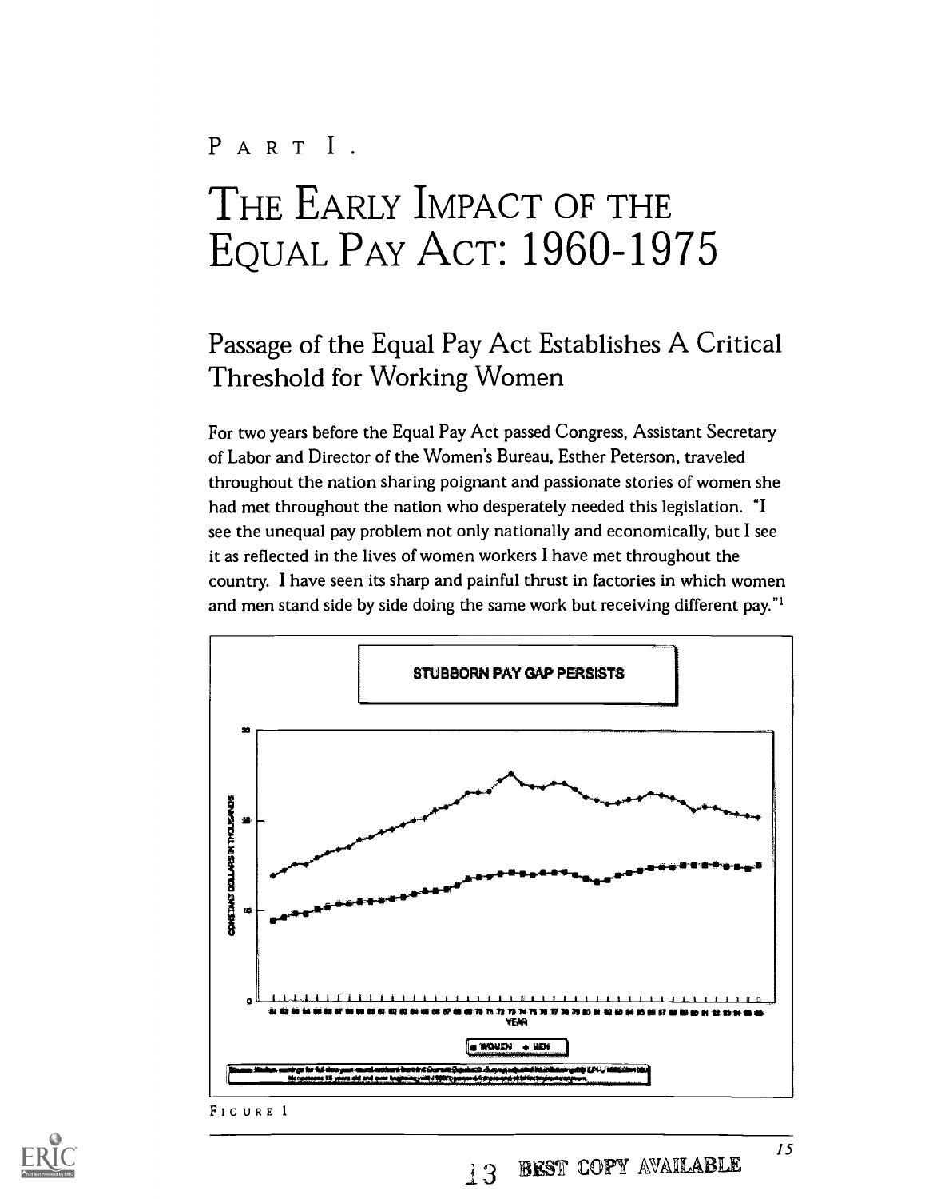# PART I. THE EARLY IMPACT OF THE EQUAL PAY ACT: 1960-1975

### Passage of the Equal Pay Act Establishes A Critical Threshold for Working Women

For two years before the Equal Pay Act passed Congress, Assistant Secretary of Labor and Director of the Women's Bureau, Esther Peterson, traveled throughout the nation sharing poignant and passionate stories of women she had met throughout the nation who desperately needed this legislation. "I see the unequal pay problem not only nationally and economically, but I see it as reflected in the lives of women workers I have met throughout the country. I have seen its sharp and painful thrust in factories in which women and men stand side by side doing the same work but receiving different pay."'





 $15$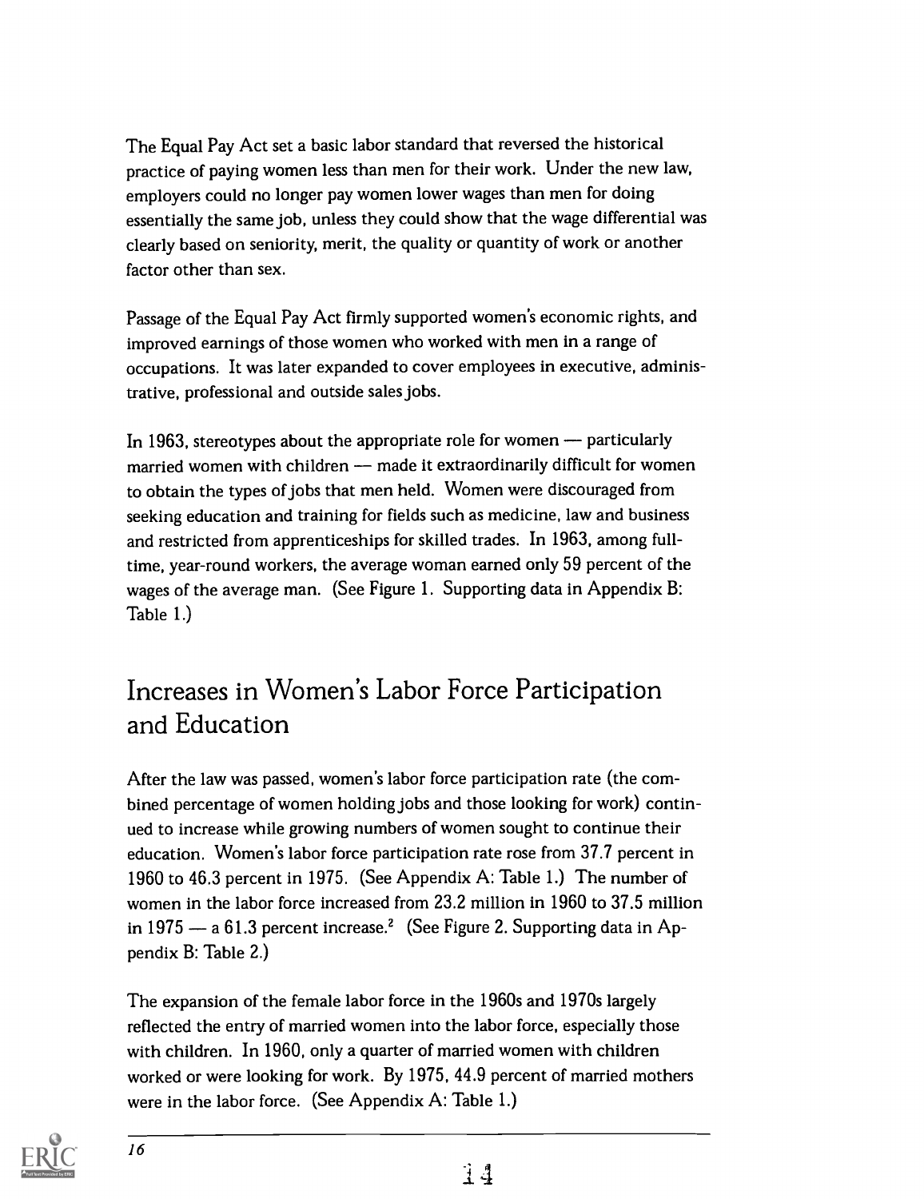The Equal Pay Act set a basic labor standard that reversed the historical practice of paying women less than men for their work. Under the new law, employers could no longer pay women lower wages than men for doing essentially the same job, unless they could show that the wage differential was clearly based on seniority, merit, the quality or quantity of work or another factor other than sex.

Passage of the Equal Pay Act firmly supported women's economic rights, and improved earnings of those women who worked with men in a range of occupations. It was later expanded to cover employees in executive, administrative, professional and outside sales jobs.

In 1963, stereotypes about the appropriate role for women  $-$  particularly married women with children - made it extraordinarily difficult for women to obtain the types of jobs that men held. Women were discouraged from seeking education and training for fields such as medicine, law and business and restricted from apprenticeships for skilled trades. In 1963, among fulltime, year-round workers, the average woman earned only 59 percent of the wages of the average man. (See Figure 1. Supporting data in Appendix B: Table 1.)

### Increases in Women's Labor Force Participation and Education

After the law was passed, women's labor force participation rate (the combined percentage of women holding jobs and those looking for work) continued to increase while growing numbers of women sought to continue their education. Women's labor force participation rate rose from 37.7 percent in 1960 to 46.3 percent in 1975. (See Appendix A: Table 1.) The number of women in the labor force increased from 23.2 million in 1960 to 37.5 million in 1975  $-$  a 61.3 percent increase.<sup>2</sup> (See Figure 2. Supporting data in Appendix B: Table 2.)

The expansion of the female labor force in the 1960s and 1970s largely reflected the entry of married women into the labor force, especially those with children. In 1960, only a quarter of married women with children worked or were looking for work. By 1975, 44.9 percent of married mothers were in the labor force. (See Appendix A: Table 1.)

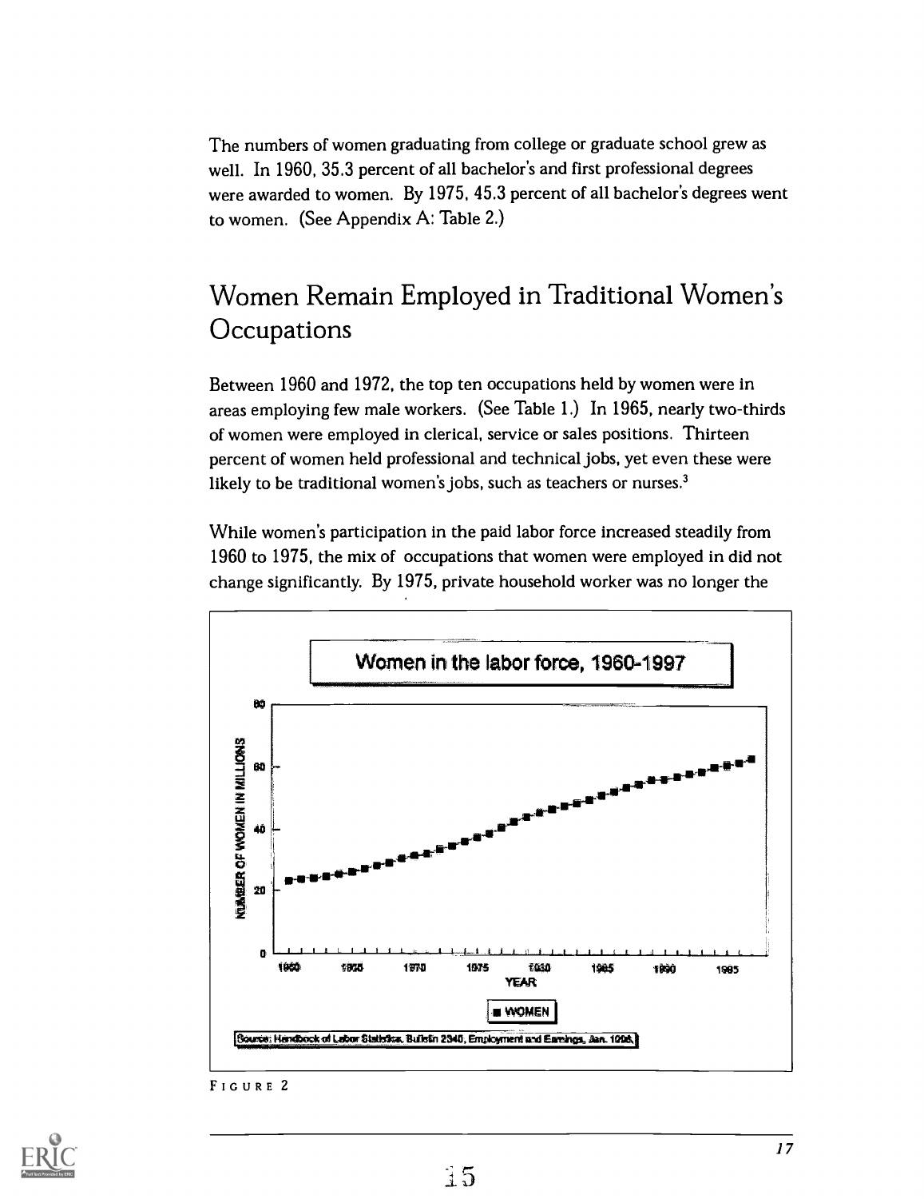The numbers of women graduating from college or graduate school grew as well. In 1960, 35.3 percent of all bachelor's and first professional degrees were awarded to women. By 1975, 45.3 percent of all bachelor's degrees went to women. (See Appendix A: Table 2.)

### Women Remain Employed in Traditional Women's **Occupations**

Between 1960 and 1972, the top ten occupations held by women were in areas employing few male workers. (See Table 1.) In 1965, nearly two-thirds of women were employed in clerical, service or sales positions. Thirteen percent of women held professional and technical jobs, yet even these were likely to be traditional women's jobs, such as teachers or nurses.<sup>3</sup>

While women's participation in the paid labor force increased steadily from 1960 to 1975, the mix of occupations that women were employed in did not change significantly. By 1975, private household worker was no longer the



FIGURE 2

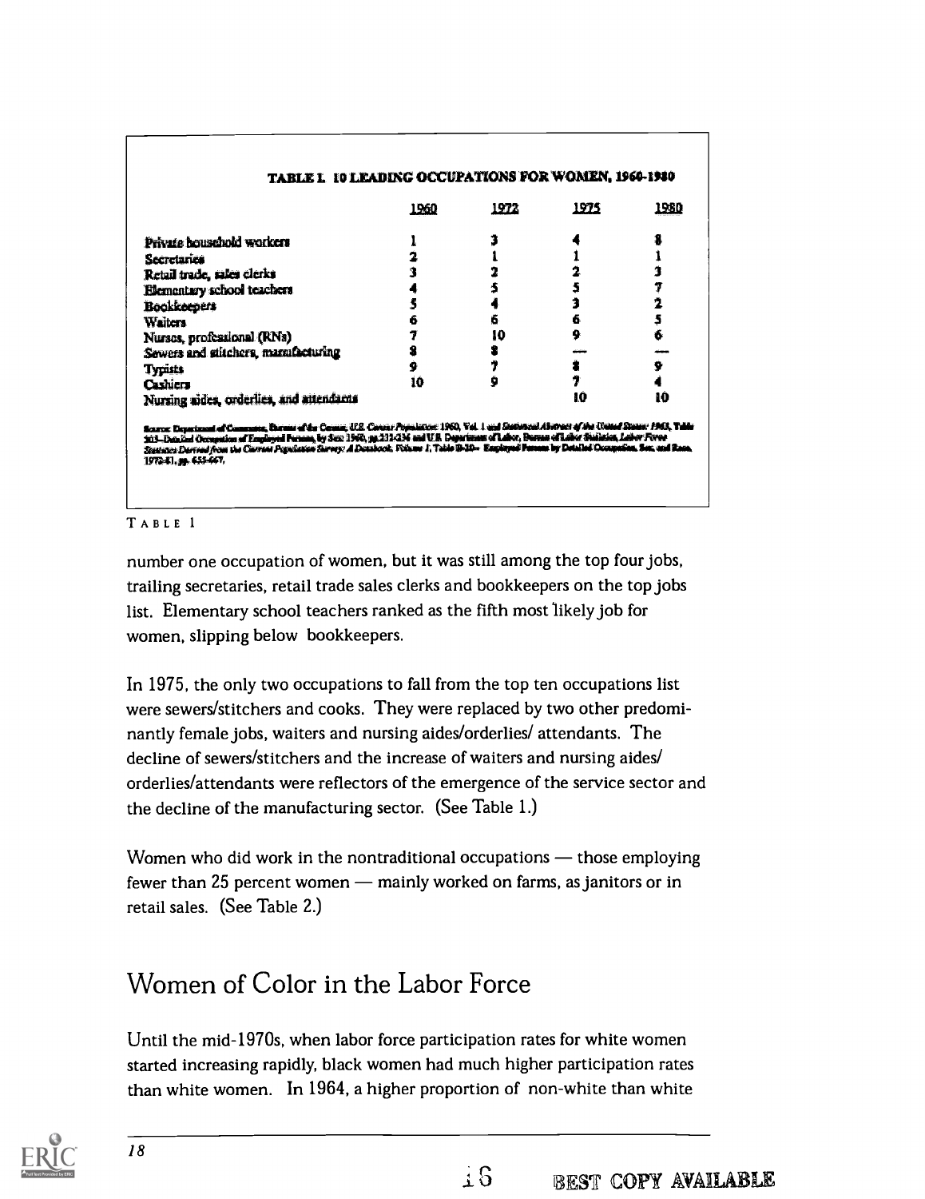|                                          | 1960 | 1972 | <u> 1975 </u> | <u> 1980</u> |
|------------------------------------------|------|------|---------------|--------------|
| Private bousehold workers                |      |      |               |              |
| Secretaries                              |      |      |               |              |
| Retail trade, sales clerks               |      |      |               |              |
| Elementary school teachers               |      |      |               |              |
| <b>Bookkeepers</b>                       |      |      |               |              |
| <b>Waiters</b>                           |      |      | 6             |              |
| Nurses, professional (RNs)               |      | 10   | 9             | 6            |
| Sewers and stitchers, manufacturing      |      |      |               |              |
| <b>Typists</b>                           | 9    |      |               | 9            |
| Cashiers                                 | 10   |      |               |              |
| Nursing aides, orderlies, and attendants |      |      | 10            | 10           |

TABLE 1

number one occupation of women, but it was still among the top four jobs, trailing secretaries, retail trade sales clerks and bookkeepers on the top jobs list. Elementary school teachers ranked as the fifth most 'likely job for women, slipping below bookkeepers.

In 1975, the only two occupations to fall from the top ten occupations list were sewers/stitchers and cooks. They were replaced by two other predominantly female jobs, waiters and nursing aides/orderlies/ attendants. The decline of sewers/stitchers and the increase of waiters and nursing aides/ orderlies/attendants were reflectors of the emergence of the service sector and the decline of the manufacturing sector. (See Table 1.)

Women who did work in the nontraditional occupations  $-$  those employing fewer than 25 percent women — mainly worked on farms, as janitors or in retail sales. (See Table 2.)

### Women of Color in the Labor Force

Until the mid-1970s, when labor force participation rates for white women started increasing rapidly, black women had much higher participation rates than white women. In 1964, a higher proportion of non-white than white

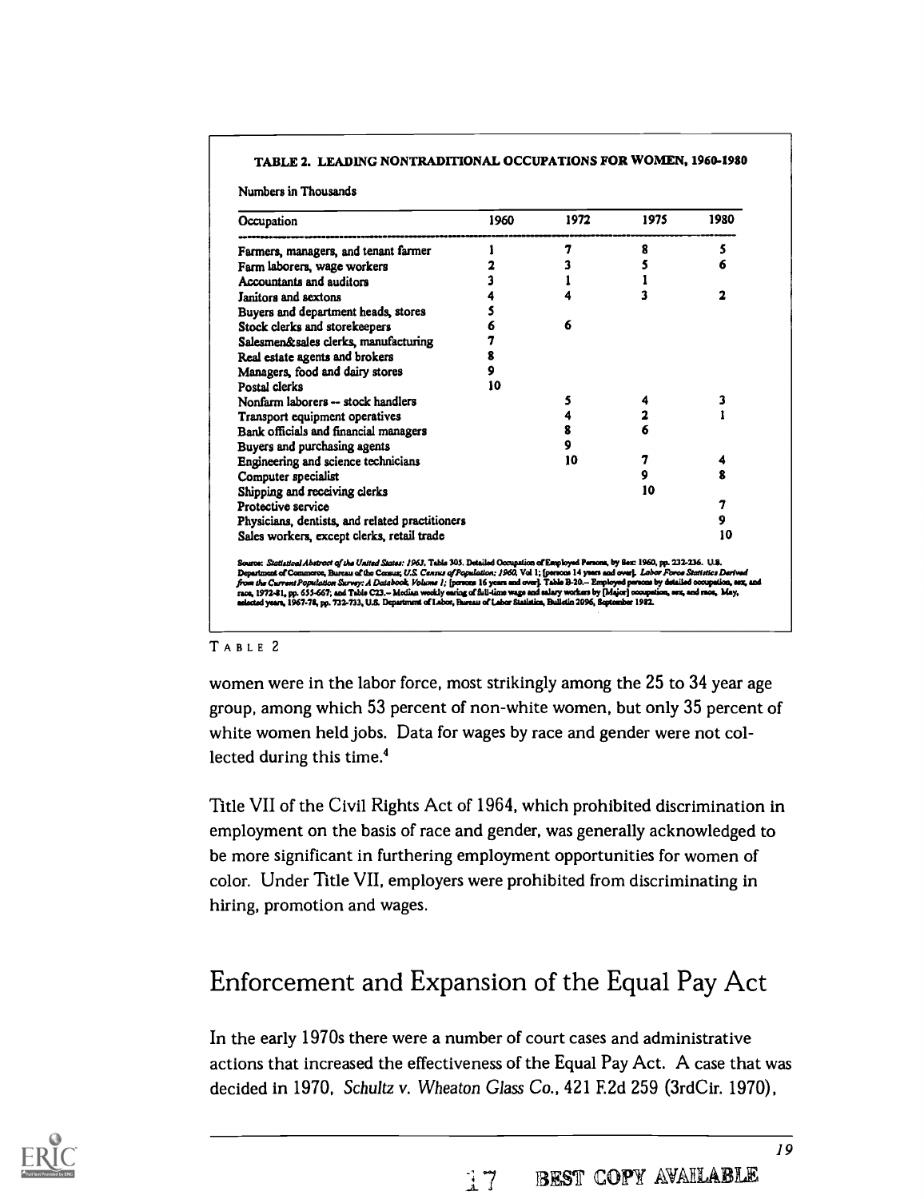#### TABLE 2. LEADING NONTRADITIONAL OCCUPATIONS FOR WOMEN, 1960-1980

Numbers in Thousands

| Occupation                                      | 1960 | 1972 | 1975 | 1980 |
|-------------------------------------------------|------|------|------|------|
| Farmers, managers, and tenant farmer            |      | 7    | 8    | 5    |
| Farm laborers, wage workers                     |      |      |      | 6    |
| Accountants and auditors                        |      |      |      |      |
| <b>Janitors and sextons</b>                     |      |      |      | ,    |
| Buyers and department heads, stores             |      |      |      |      |
| Stock clerks and storekeepers                   |      | 6    |      |      |
| Salesmen&sales clerks, manufacturing            |      |      |      |      |
| Real estate agents and brokers                  | 8    |      |      |      |
| Managers, food and dairy stores                 | 9    |      |      |      |
| Postal clerks                                   | 10   |      |      |      |
| Nonfarm laborers -- stock handlers              |      | 5    |      |      |
| Transport equipment operatives                  |      |      |      |      |
| Bank officials and financial managers           |      | 8    |      |      |
| Buyers and purchasing agents                    |      | 9    |      |      |
| Engineering and science technicians             |      | 10   | 7    |      |
| Computer specialist                             |      |      | 9    | 2    |
| Shipping and receiving clerks                   |      |      | 10   |      |
| Protective service                              |      |      |      | 7    |
| Physicians, dentists, and related practitioners |      |      |      | 9    |
| Sales workers, except clerks, retail trade      |      |      |      | 10   |

#### TABLE 2

women were in the labor force, most strikingly among the 25 to 34 year age group, among which 53 percent of non-white women, but only 35 percent of white women held jobs. Data for wages by race and gender were not collected during this time.4

Title VII of the Civil Rights Act of 1964, which prohibited discrimination in employment on the basis of race and gender, was generally acknowledged to be more significant in furthering employment opportunities for women of color. Under Title VII, employers were prohibited from discriminating in hiring, promotion and wages.

### Enforcement and Expansion of the Equal Pay Act

In the early 1970s there were a number of court cases and administrative actions that increased the effectiveness of the Equal Pay Act. A case that was decided in 1970, Schultz v. Wheaton Glass Co., 421 F.2d 259 (3rdCir. 1970),

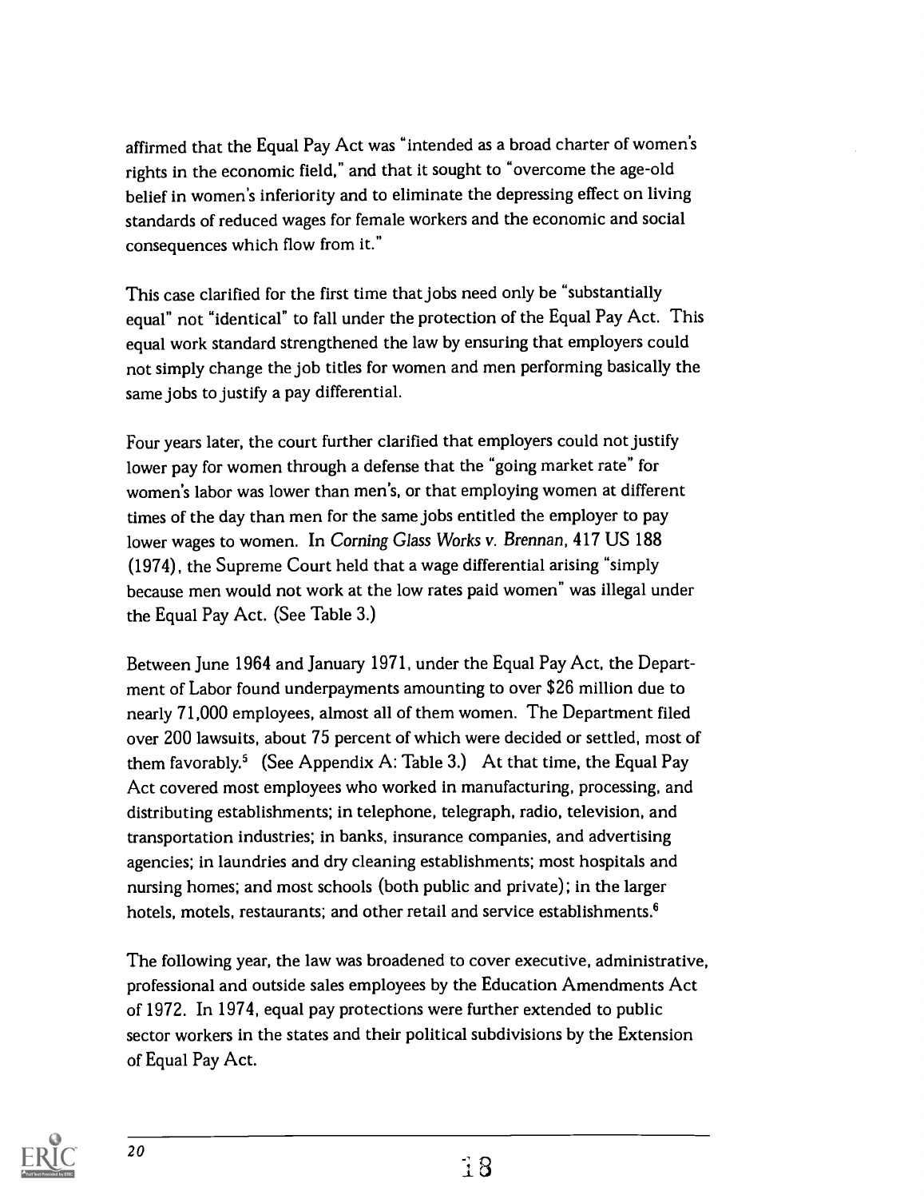affirmed that the Equal Pay Act was "intended as a broad charter of women's rights in the economic field," and that it sought to "overcome the age-old belief in women's inferiority and to eliminate the depressing effect on living standards of reduced wages for female workers and the economic and social consequences which flow from it."

This case clarified for the first time that jobs need only be "substantially equal" not "identical" to fall under the protection of the Equal Pay Act. This equal work standard strengthened the law by ensuring that employers could not simply change the job titles for women and men performing basically the same jobs to justify a pay differential.

Four years later, the court further clarified that employers could not justify lower pay for women through a defense that the "going market rate" for women's labor was lower than men's, or that employing women at different times of the day than men for the same jobs entitled the employer to pay lower wages to women. In Corning Glass Works v. Brennan, 417 US 188 (1974), the Supreme Court held that a wage differential arising "simply because men would not work at the low rates paid women" was illegal under the Equal Pay Act. (See Table 3.)

Between June 1964 and January 1971, under the Equal Pay Act, the Department of Labor found underpayments amounting to over \$26 million due to nearly 71,000 employees, almost all of them women. The Department filed over 200 lawsuits, about 75 percent of which were decided or settled, most of them favorably.<sup>5</sup> (See Appendix A: Table 3.) At that time, the Equal Pay Act covered most employees who worked in manufacturing, processing, and distributing establishments; in telephone, telegraph, radio, television, and transportation industries; in banks, insurance companies, and advertising agencies; in laundries and dry cleaning establishments; most hospitals and nursing homes; and most schools (both public and private); in the larger hotels, motels, restaurants; and other retail and service establishments.<sup>6</sup>

The following year, the law was broadened to cover executive, administrative, professional and outside sales employees by the Education Amendments Act of 1972. In 1974, equal pay protections were further extended to public sector workers in the states and their political subdivisions by the Extension of Equal Pay Act.

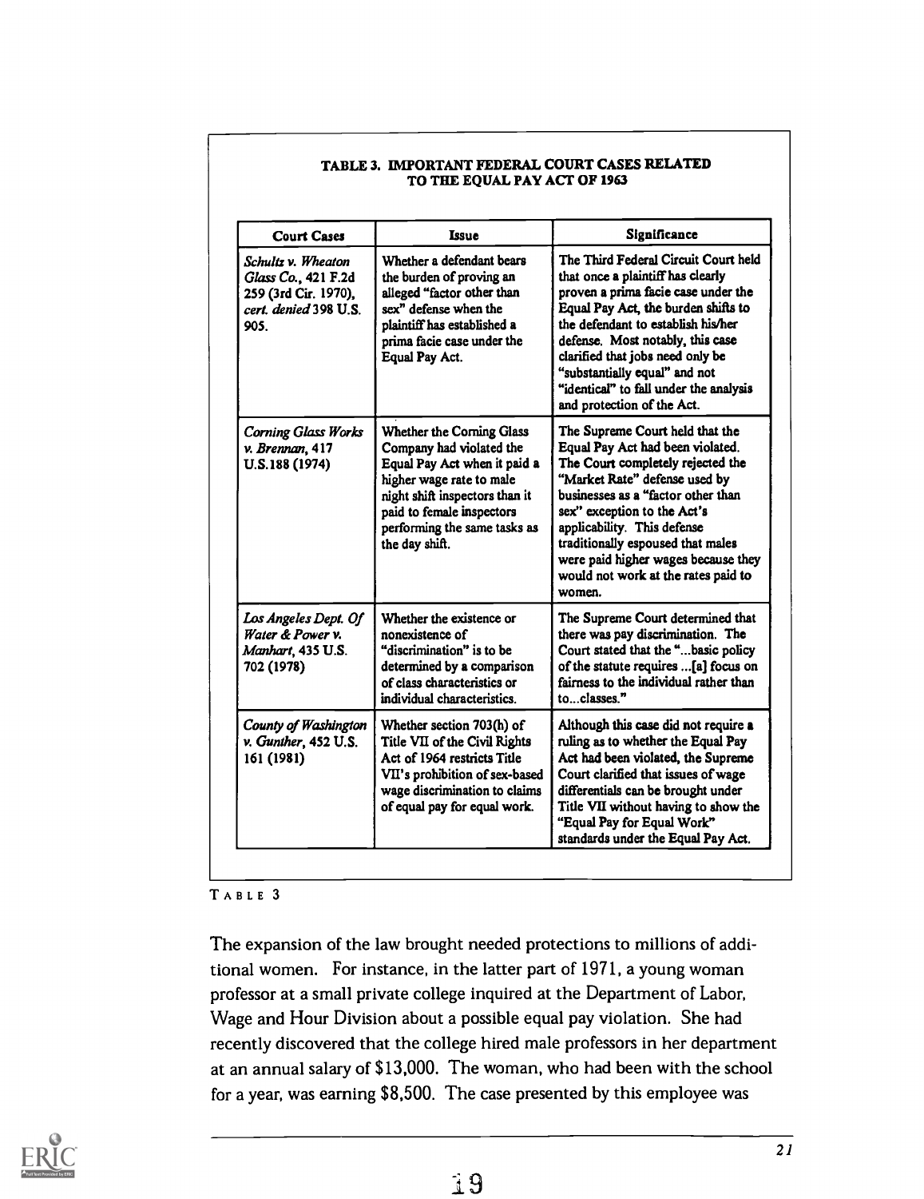| <b>Court Cases</b>                                                                                 | <b>Issue</b>                                                                                                                                                                                                                       | Significance                                                                                                                                                                                                                                                                                                                                                                   |
|----------------------------------------------------------------------------------------------------|------------------------------------------------------------------------------------------------------------------------------------------------------------------------------------------------------------------------------------|--------------------------------------------------------------------------------------------------------------------------------------------------------------------------------------------------------------------------------------------------------------------------------------------------------------------------------------------------------------------------------|
| Schultz v. Wheaton<br>Glass Co., 421 F.2d<br>259 (3rd Cir. 1970),<br>cert. denied 398 U.S.<br>905. | Whether a defendant bears<br>the burden of proving an<br>alleged "factor other than<br>sex" defense when the<br>plaintiff has established a<br>prima facie case under the<br>Equal Pay Act.                                        | The Third Federal Circuit Court held<br>that once a plaintiff has clearly<br>proven a prima facie case under the<br>Equal Pay Act, the burden shifts to<br>the defendant to establish his/her<br>defense. Most notably, this case<br>clarified that jobs need only be<br>"substantially equal" and not<br>"identical" to fall under the analysis<br>and protection of the Act. |
| <b>Corning Glass Works</b><br>v. Brennan, 417<br>U.S.188 (1974)                                    | Whether the Corning Glass<br>Company had violated the<br>Equal Pay Act when it paid a<br>higher wage rate to male<br>night shift inspectors than it<br>paid to female inspectors<br>performing the same tasks as<br>the day shift. | The Supreme Court held that the<br>Equal Pay Act had been violated.<br>The Court completely rejected the<br>"Market Rate" defense used by<br>businesses as a "factor other than<br>sex" exception to the Act's<br>applicability. This defense<br>traditionally espoused that males<br>were paid higher wages because they<br>would not work at the rates paid to<br>women.     |
| Los Angeles Dept. Of<br>Water & Power v.<br>Manhart, 435 U.S.<br>702 (1978)                        | Whether the existence or<br>nonexistence of<br>"discrimination" is to be<br>determined by a comparison<br>of class characteristics or<br>individual characteristics.                                                               | The Supreme Court determined that<br>there was pay discrimination. The<br>Court stated that the "basic policy<br>of the statute requires [a] focus on<br>fairness to the individual rather than<br>toclasses."                                                                                                                                                                 |
| County of Washington<br>v. Gunther, 452 U.S.<br>161 (1981)                                         | Whether section 703(h) of<br>Title VII of the Civil Rights<br>Act of 1964 restricts Title<br>VII's prohibition of sex-based<br>wage discrimination to claims<br>of equal pay for equal work.                                       | Although this case did not require a<br>ruling as to whether the Equal Pay<br>Act had been violated, the Supreme<br>Court clarified that issues of wage<br>differentials can be brought under<br>Title VII without having to show the<br>"Equal Pay for Equal Work"<br>standards under the Equal Pay Act.                                                                      |

#### TABLE 3. IMPORTANT FEDERAL COURT CASES RELATED TO THE EQUAL PAY ACT OF 1963

### TABLE 3

The expansion of the law brought needed protections to millions of additional women. For instance, in the latter part of 1971, a young woman professor at a small private college inquired at the Department of Labor, Wage and Hour Division about a possible equal pay violation. She had recently discovered that the college hired male professors in her department at an annual salary of \$13,000. The woman, who had been with the school for a year, was earning \$8,500. The case presented by this employee was

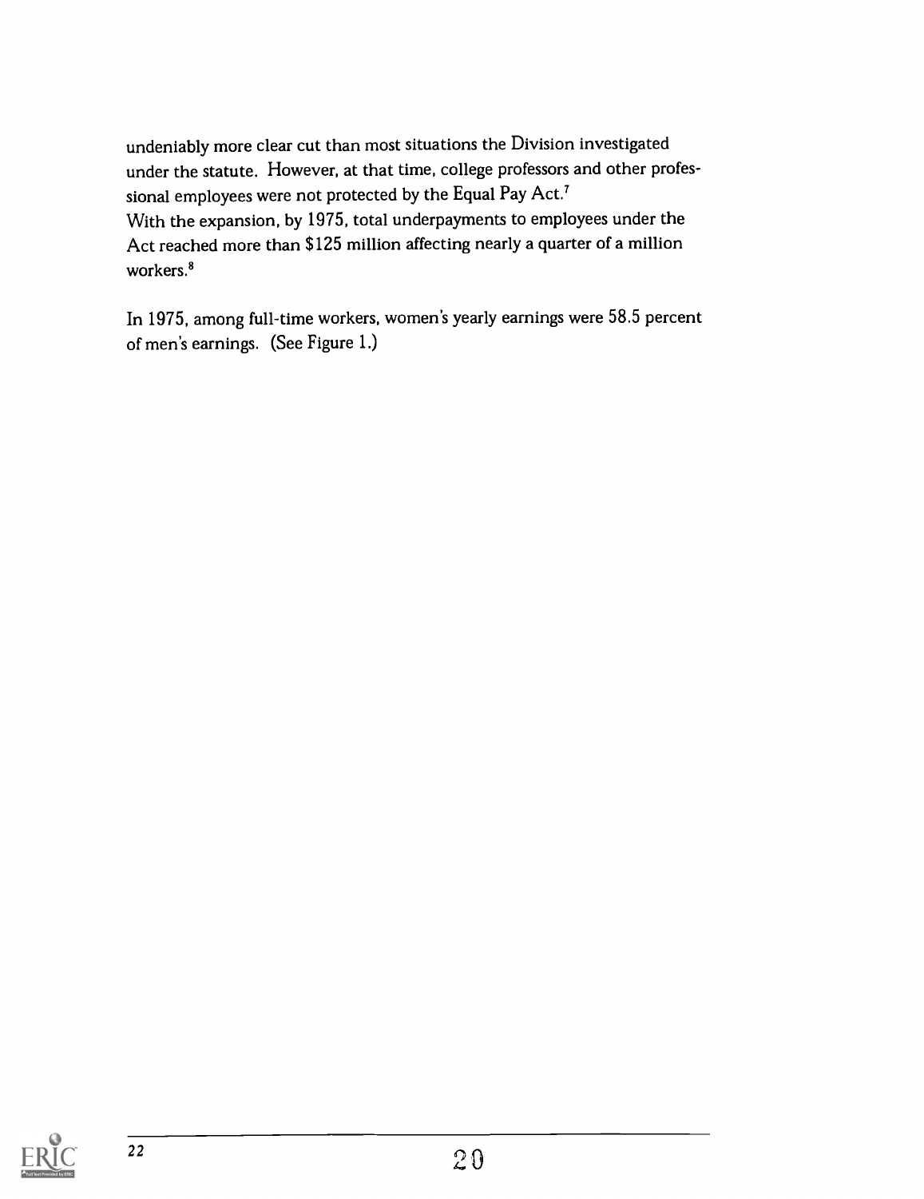undeniably more clear cut than most situations the Division investigated under the statute. However, at that time, college professors and other professional employees were not protected by the Equal Pay Act.' With the expansion, by 1975, total underpayments to employees under the Act reached more than \$125 million affecting nearly a quarter of a million workers.<sup>8</sup>

In 1975, among full-time workers, women's yearly earnings were 58.5 percent of men's earnings. (See Figure 1.)

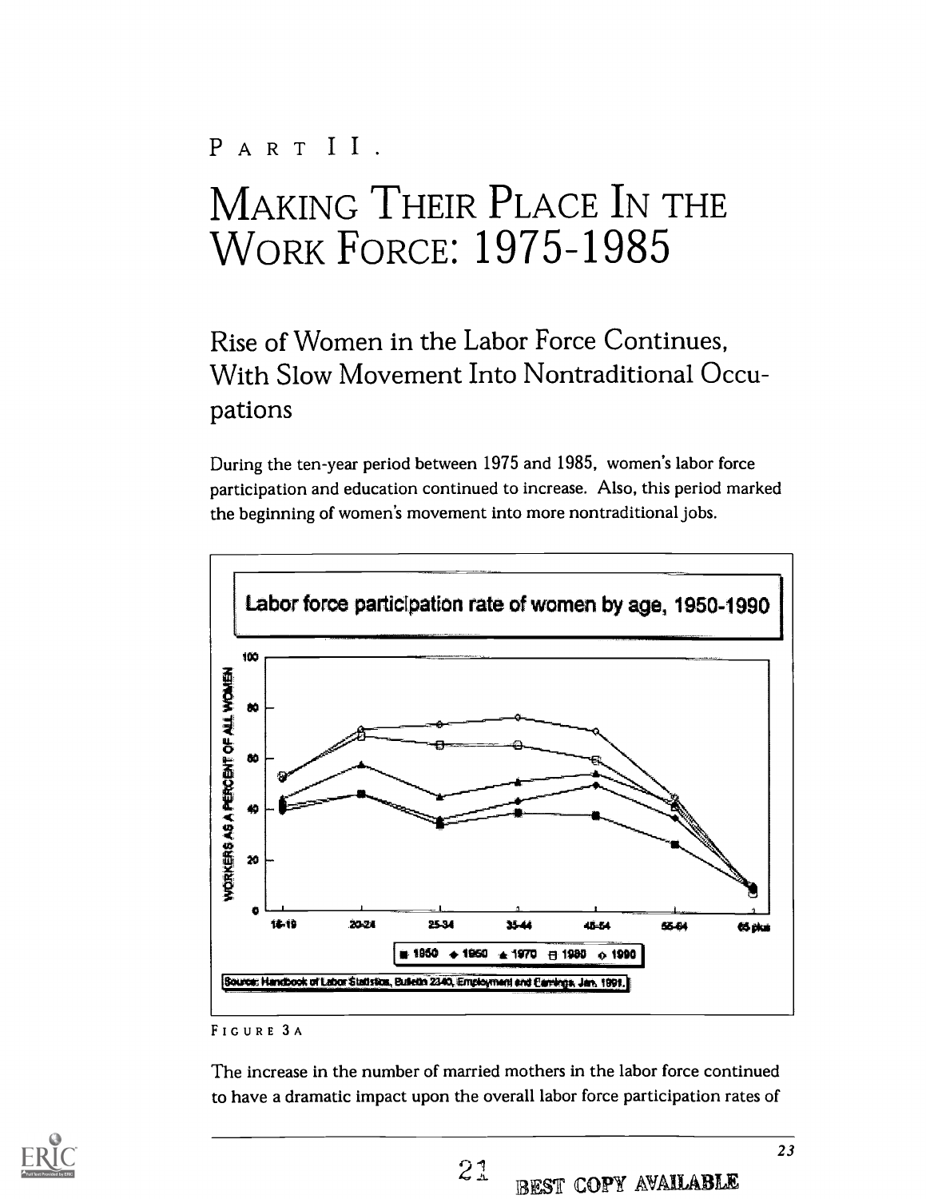## PARTII.

# MAKING THEIR PLACE IN THE WORK FORCE: 1975-1985

## Rise of Women in the Labor Force Continues, With Slow Movement Into Nontraditional Occupations

During the ten-year period between 1975 and 1985, women's labor force participation and education continued to increase. Also, this period marked the beginning of women's movement into more nontraditional jobs.



### FIGURE 3 A

The increase in the number of married mothers in the labor force continued to have a dramatic impact upon the overall labor force participation rates of

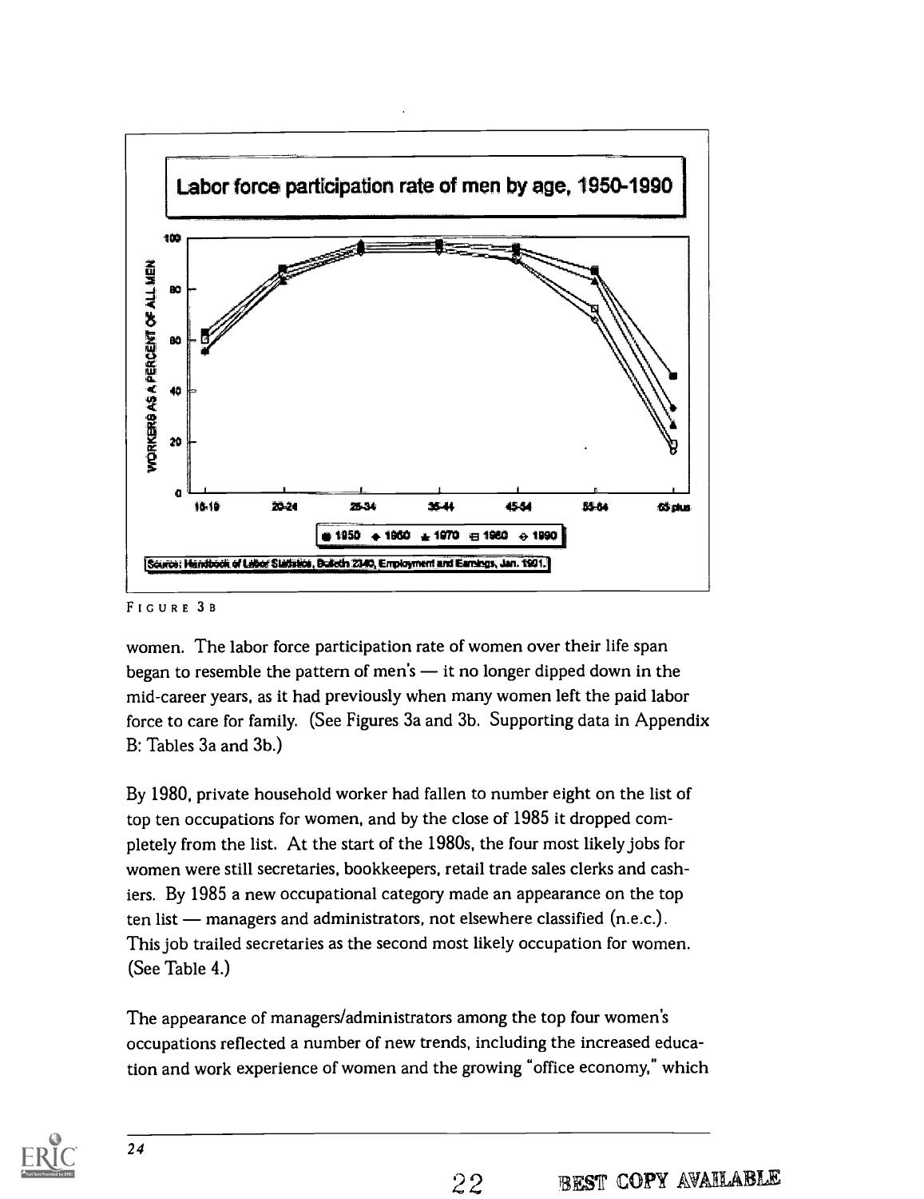

#### FIGURE 3B

women. The labor force participation rate of women over their life span began to resemble the pattern of men's  $-$  it no longer dipped down in the mid-career years, as it had previously when many women left the paid labor force to care for family. (See Figures 3a and 3b. Supporting data in Appendix B: Tables 3a and 3b.)

By 1980, private household worker had fallen to number eight on the list of top ten occupations for women, and by the close of 1985 it dropped completely from the list. At the start of the 1980s, the four most likely jobs for women were still secretaries, bookkeepers, retail trade sales clerks and cashiers. By 1985 a new occupational category made an appearance on the top ten list - managers and administrators, not elsewhere classified (n.e.c.). This job trailed secretaries as the second most likely occupation for women. (See Table 4.)

The appearance of managers/administrators among the top four women's occupations reflected a number of new trends, including the increased education and work experience of women and the growing "office economy," which

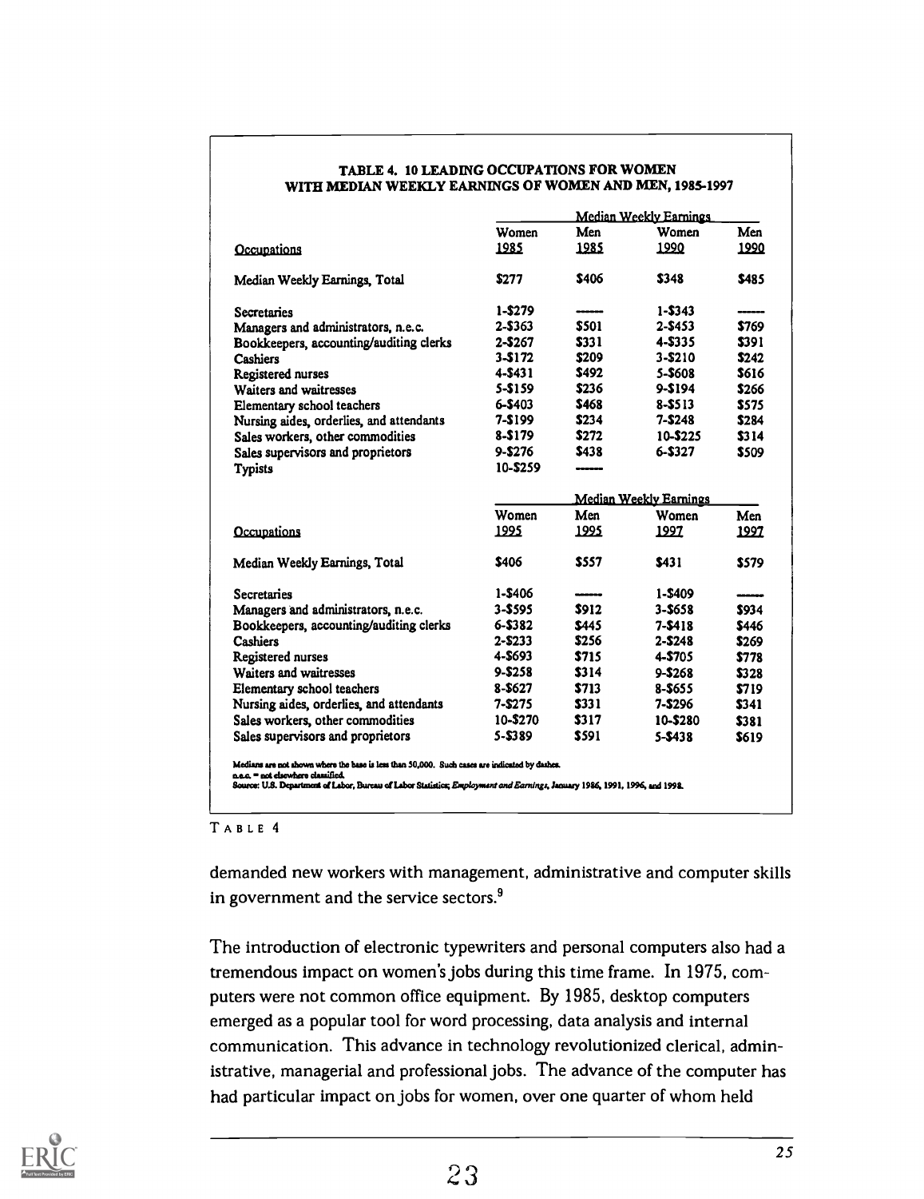|                                                                                                                                                                                                                                                                   |            |                        | Median Weekly Earnings |             |  |  |
|-------------------------------------------------------------------------------------------------------------------------------------------------------------------------------------------------------------------------------------------------------------------|------------|------------------------|------------------------|-------------|--|--|
|                                                                                                                                                                                                                                                                   | Women      | Men                    | Women                  | Men         |  |  |
| Occupations                                                                                                                                                                                                                                                       | 1985       | 1985                   | 1990                   | 1990        |  |  |
| Median Weekly Earnings, Total                                                                                                                                                                                                                                     | \$277      | \$406                  | \$348                  | \$485       |  |  |
| Secretaries                                                                                                                                                                                                                                                       | $1 - $279$ |                        | $1 - $343$             |             |  |  |
| Managers and administrators, n.e.c.                                                                                                                                                                                                                               | $2 - $363$ | \$501                  | $2 - $453$             | \$769       |  |  |
| Bookkeepers, accounting/auditing clerks                                                                                                                                                                                                                           | $2 - $267$ | \$331                  | 4-\$335                | \$391       |  |  |
| <b>Cashiers</b>                                                                                                                                                                                                                                                   | $3 - $172$ | \$209                  | $3 - $210$             | \$242       |  |  |
| Registered nurses                                                                                                                                                                                                                                                 | 4-S431     | \$492                  | 5-\$608                | \$616       |  |  |
| Waiters and waitresses                                                                                                                                                                                                                                            | 5-\$159    | \$236                  | 9-\$194                | \$266       |  |  |
| Elementary school teachers                                                                                                                                                                                                                                        | 6-\$403    | \$468                  | 8-\$513                | <b>S575</b> |  |  |
| Nursing aides, orderlies, and attendants                                                                                                                                                                                                                          | $7 - $199$ | \$234                  | $7 - $248$             | \$284       |  |  |
| Sales workers, other commodities                                                                                                                                                                                                                                  | 8-\$179    | \$272                  | 10-\$225               | \$314       |  |  |
| Sales supervisors and proprietors                                                                                                                                                                                                                                 | $9 - $276$ | \$438                  | 6-S327                 | \$509       |  |  |
| <b>Typists</b>                                                                                                                                                                                                                                                    | 10-\$259   |                        |                        |             |  |  |
|                                                                                                                                                                                                                                                                   |            | Median Weekly Earnings |                        |             |  |  |
|                                                                                                                                                                                                                                                                   | Women      | Men                    | Women                  | Men         |  |  |
| Occupations                                                                                                                                                                                                                                                       | 1995       | 1995                   | 1997                   | 1997        |  |  |
| Median Weekly Earnings, Total                                                                                                                                                                                                                                     | \$406      | \$557                  | \$431                  | \$579       |  |  |
| Secretaries                                                                                                                                                                                                                                                       | 1-\$406    |                        | $1 - $409$             |             |  |  |
| Managers and administrators, n.e.c.                                                                                                                                                                                                                               | $3 - $595$ | \$912                  | 3-\$658                | \$934       |  |  |
| Bookkeepers, accounting/auditing clerks                                                                                                                                                                                                                           | $6 - $382$ | \$445                  | 7-\$418                | \$446       |  |  |
| <b>Cashiers</b>                                                                                                                                                                                                                                                   | $2 - $233$ | \$256                  | 2-\$248                | \$269       |  |  |
| Registered nurses                                                                                                                                                                                                                                                 | 4-\$693    | \$715                  | 4-\$705                | \$778       |  |  |
| Waiters and waitresses                                                                                                                                                                                                                                            | 9-\$258    | \$314                  | $9 - $268$             | \$328       |  |  |
| Elementary school teachers                                                                                                                                                                                                                                        | 8-\$627    | \$713                  | 8-\$655                | \$719       |  |  |
| Nursing aides, orderlies, and attendants                                                                                                                                                                                                                          | $7 - $275$ | \$331                  | $7 - $296$             | \$341       |  |  |
| Sales workers, other commodities                                                                                                                                                                                                                                  | 10-\$270   | \$317                  | 10-\$280               | \$381       |  |  |
| Sales supervisors and proprietors                                                                                                                                                                                                                                 | 5-\$389    | \$591                  | $5 - $438$             | \$619       |  |  |
| Medians are not shown where the base is less than 50,000. Such cases are indicated by dashes.<br>n.e.c. = not elsewhere classified.<br>Source: U.S. Department of Labor, Bureau of Labor Statistics; Employment and Earnings, January 1986, 1991, 1996, and 1992. |            |                        |                        |             |  |  |

#### TABLE 4. 10 LEADING OCCUPATIONS FOR WOMEN WITH MEDIAN WEEKLY EARNINGS OF WOMEN AND MEN, 1985-1997

TABLE 4

demanded new workers with management, administrative and computer skills in government and the service sectors.<sup>9</sup>

The introduction of electronic typewriters and personal computers also had a tremendous impact on women's jobs during this time frame. In 1975, computers were not common office equipment. By 1985, desktop computers emerged as a popular tool for word processing, data analysis and internal communication. This advance in technology revolutionized clerical, administrative, managerial and professional jobs. The advance of the computer has had particular impact on jobs for women, over one quarter of whom held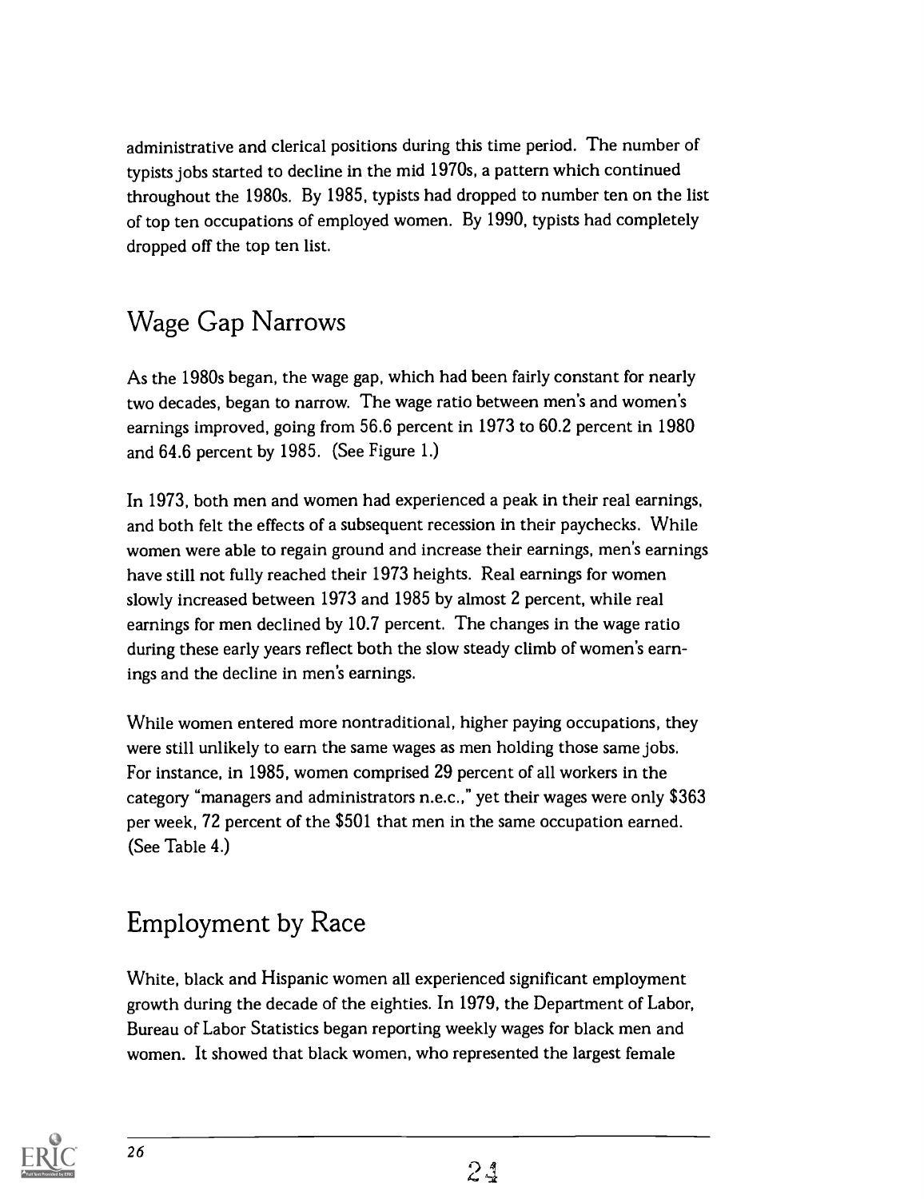administrative and clerical positions during this time period. The number of typists jobs started to decline in the mid 1970s, a pattern which continued throughout the 1980s. By 1985, typists had dropped to number ten on the list of top ten occupations of employed women. By 1990, typists had completely dropped off the top ten list.

## Wage Gap Narrows

As the 1980s began, the wage gap, which had been fairly constant for nearly two decades, began to narrow. The wage ratio between men's and women's earnings improved, going from 56.6 percent in 1973 to 60.2 percent in 1980 and 64.6 percent by 1985. (See Figure 1.)

In 1973, both men and women had experienced a peak in their real earnings, and both felt the effects of a subsequent recession in their paychecks. While women were able to regain ground and increase their earnings, men's earnings have still not fully reached their 1973 heights. Real earnings for women slowly increased between 1973 and 1985 by almost 2 percent, while real earnings for men declined by 10.7 percent. The changes in the wage ratio during these early years reflect both the slow steady climb of women's earnings and the decline in men's earnings.

While women entered more nontraditional, higher paying occupations, they were still unlikely to earn the same wages as men holding those same jobs. For instance, in 1985, women comprised 29 percent of all workers in the category "managers and administrators n.e.c.," yet their wages were only \$363 per week, 72 percent of the \$501 that men in the same occupation earned. (See Table 4.)

# Employment by Race

White, black and Hispanic women all experienced significant employment growth during the decade of the eighties. In 1979, the Department of Labor, Bureau of Labor Statistics began reporting weekly wages for black men and women. It showed that black women, who represented the largest female

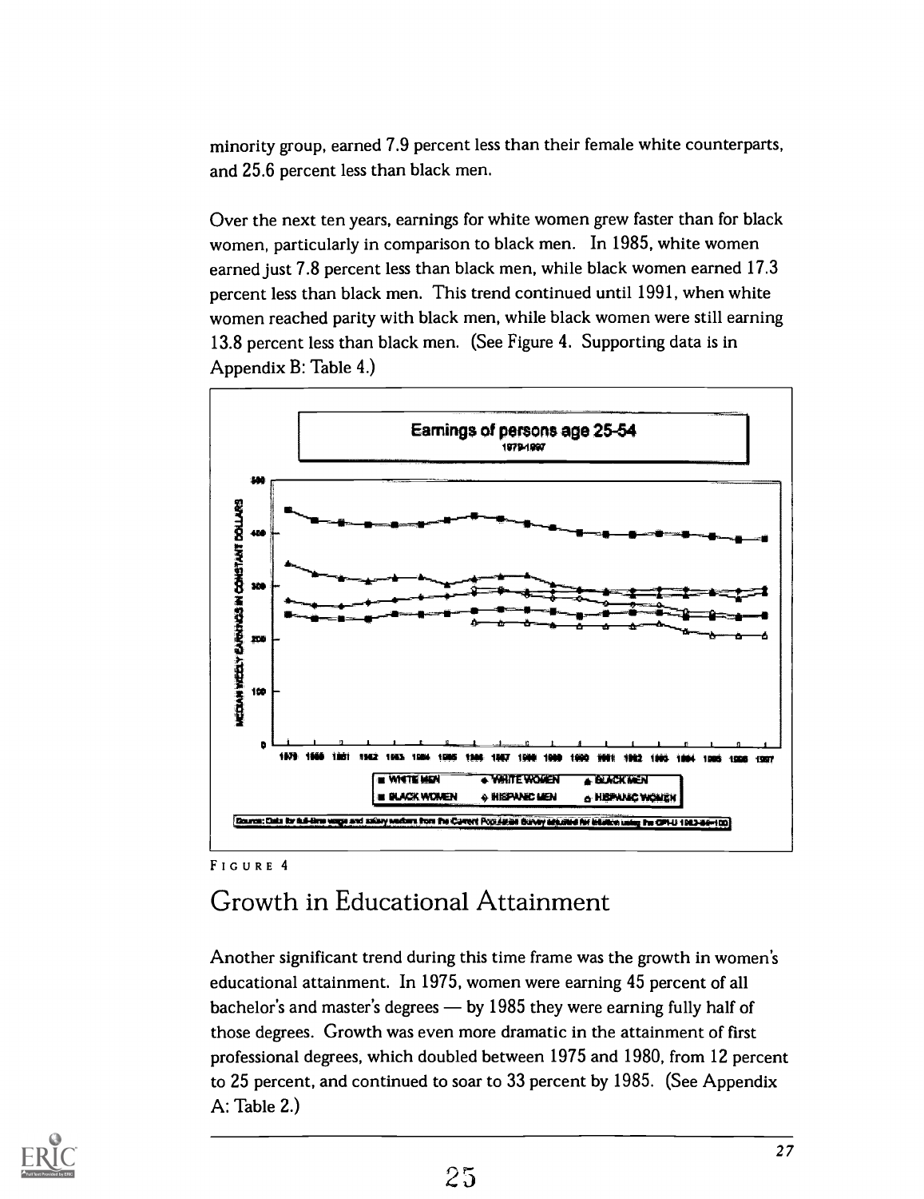minority group, earned 7.9 percent less than their female white counterparts, and 25.6 percent less than black men.

Over the next ten years, earnings for white women grew faster than for black women, particularly in comparison to black men. In 1985, white women earned just 7.8 percent less than black men, while black women earned 17.3 percent less than black men. This trend continued until 1991, when white women reached parity with black men, while black women were still earning 13.8 percent less than black men. (See Figure 4. Supporting data is in Appendix B: Table 4.)



### FIGURE 4

### Growth in Educational Attainment

Another significant trend during this time frame was the growth in women's educational attainment. In 1975, women were earning 45 percent of all bachelor's and master's degrees  $-$  by 1985 they were earning fully half of those degrees. Growth was even more dramatic in the attainment of first professional degrees, which doubled between 1975 and 1980, from 12 percent to 25 percent, and continued to soar to 33 percent by 1985. (See Appendix A: Table 2.)

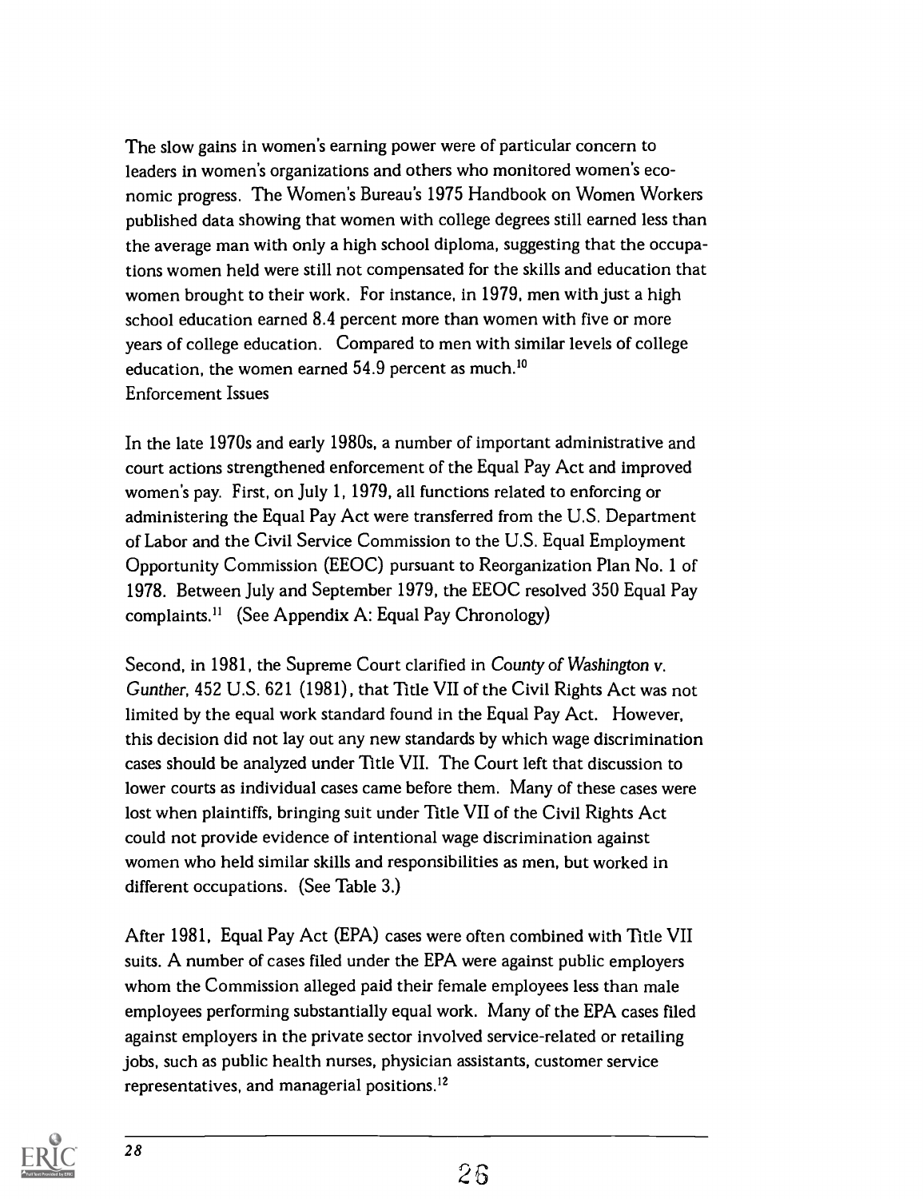The slow gains in women's earning power were of particular concern to leaders in women's organizations and others who monitored women's economic progress. The Women's Bureau's 1975 Handbook on Women Workers published data showing that women with college degrees still earned less than the average man with only a high school diploma, suggesting that the occupations women held were still not compensated for the skills and education that women brought to their work. For instance, in 1979, men with just a high school education earned 8.4 percent more than women with five or more years of college education. Compared to men with similar levels of college education, the women earned 54.9 percent as much.<sup>10</sup> Enforcement Issues

In the late 1970s and early 1980s, a number of important administrative and court actions strengthened enforcement of the Equal Pay Act and improved women's pay. First, on July 1, 1979, all functions related to enforcing or administering the Equal Pay Act were transferred from the U.S. Department of Labor and the Civil Service Commission to the U.S. Equal Employment Opportunity Commission (EEOC) pursuant to Reorganization Plan No. 1 of 1978. Between July and September 1979, the EEOC resolved 350 Equal Pay complaints.<sup>11</sup> (See Appendix A: Equal Pay Chronology)

Second, in 1981, the Supreme Court clarified in County of Washington v. Gunther, 452 U.S. 621 (1981), that Title VII of the Civil Rights Act was not limited by the equal work standard found in the Equal Pay Act. However, this decision did not lay out any new standards by which wage discrimination cases should be analyzed under Title VII. The Court left that discussion to lower courts as individual cases came before them. Many of these cases were lost when plaintiffs, bringing suit under Title VII of the Civil Rights Act could not provide evidence of intentional wage discrimination against women who held similar skills and responsibilities as men, but worked in different occupations. (See Table 3.)

After 1981, Equal Pay Act (EPA) cases were often combined with Title VII suits. A number of cases filed under the EPA were against public employers whom the Commission alleged paid their female employees less than male employees performing substantially equal work. Many of the EPA cases filed against employers in the private sector involved service-related or retailing jobs, such as public health nurses, physician assistants, customer service representatives, and managerial positions.'2

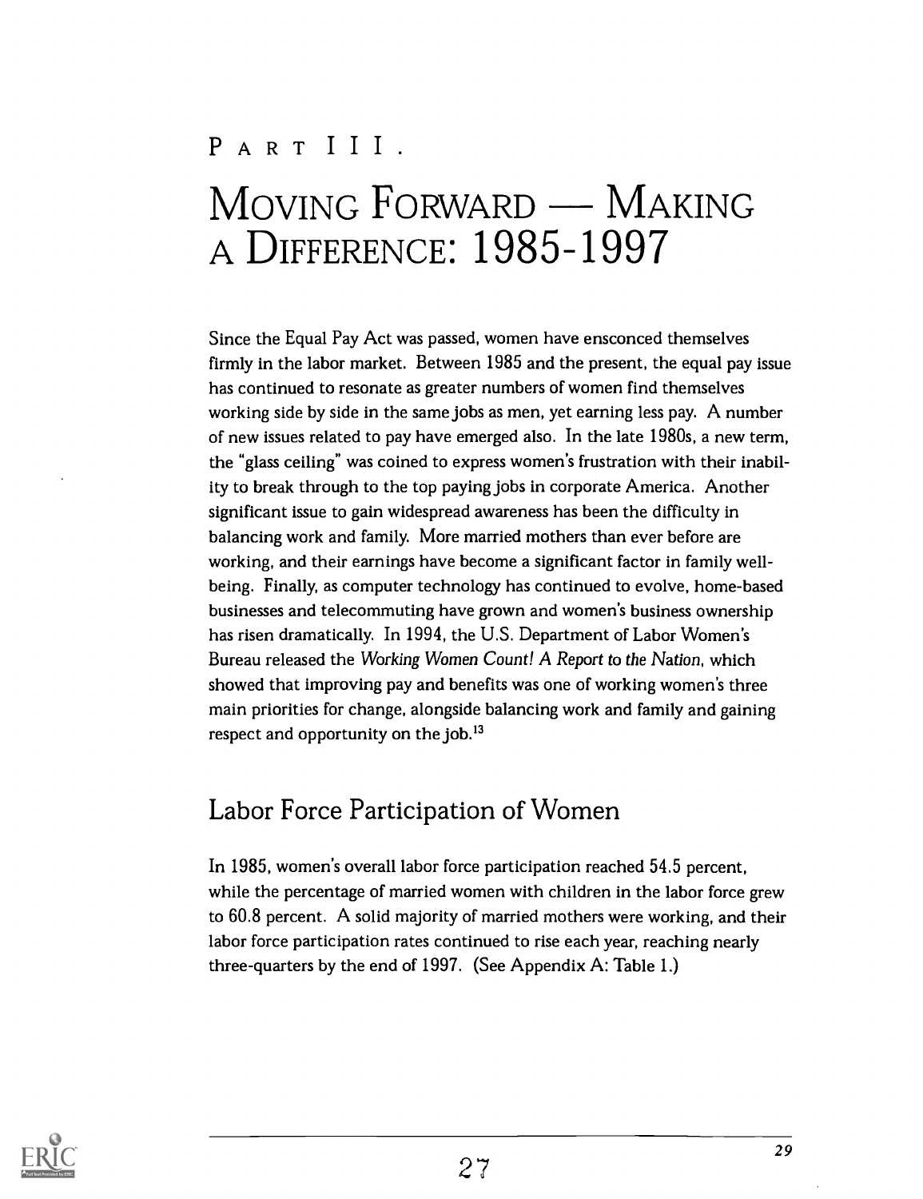# PART III.  $M$ OVING  $F$ ORWARD — MAKING A DIFFERENCE: 1985-1997

Since the Equal Pay Act was passed, women have ensconced themselves firmly in the labor market. Between 1985 and the present, the equal pay issue has continued to resonate as greater numbers of women find themselves working side by side in the same jobs as men, yet earning less pay. A number of new issues related to pay have emerged also. In the late 1980s, a new term, the "glass ceiling" was coined to express women's frustration with their inability to break through to the top paying jobs in corporate America. Another significant issue to gain widespread awareness has been the difficulty in balancing work and family. More married mothers than ever before are working, and their earnings have become a significant factor in family wellbeing. Finally, as computer technology has continued to evolve, home-based businesses and telecommuting have grown and women's business ownership has risen dramatically. In 1994, the U.S. Department of Labor Women's Bureau released the Working Women Count! A Report to the Nation, which showed that improving pay and benefits was one of working women's three main priorities for change, alongside balancing work and family and gaining respect and opportunity on the job. $^{13}$ 

### Labor Force Participation of Women

In 1985, women's overall labor force participation reached 54.5 percent, while the percentage of married women with children in the labor force grew to 60.8 percent. A solid majority of married mothers were working, and their labor force participation rates continued to rise each year, reaching nearly three-quarters by the end of 1997. (See Appendix A: Table 1.)

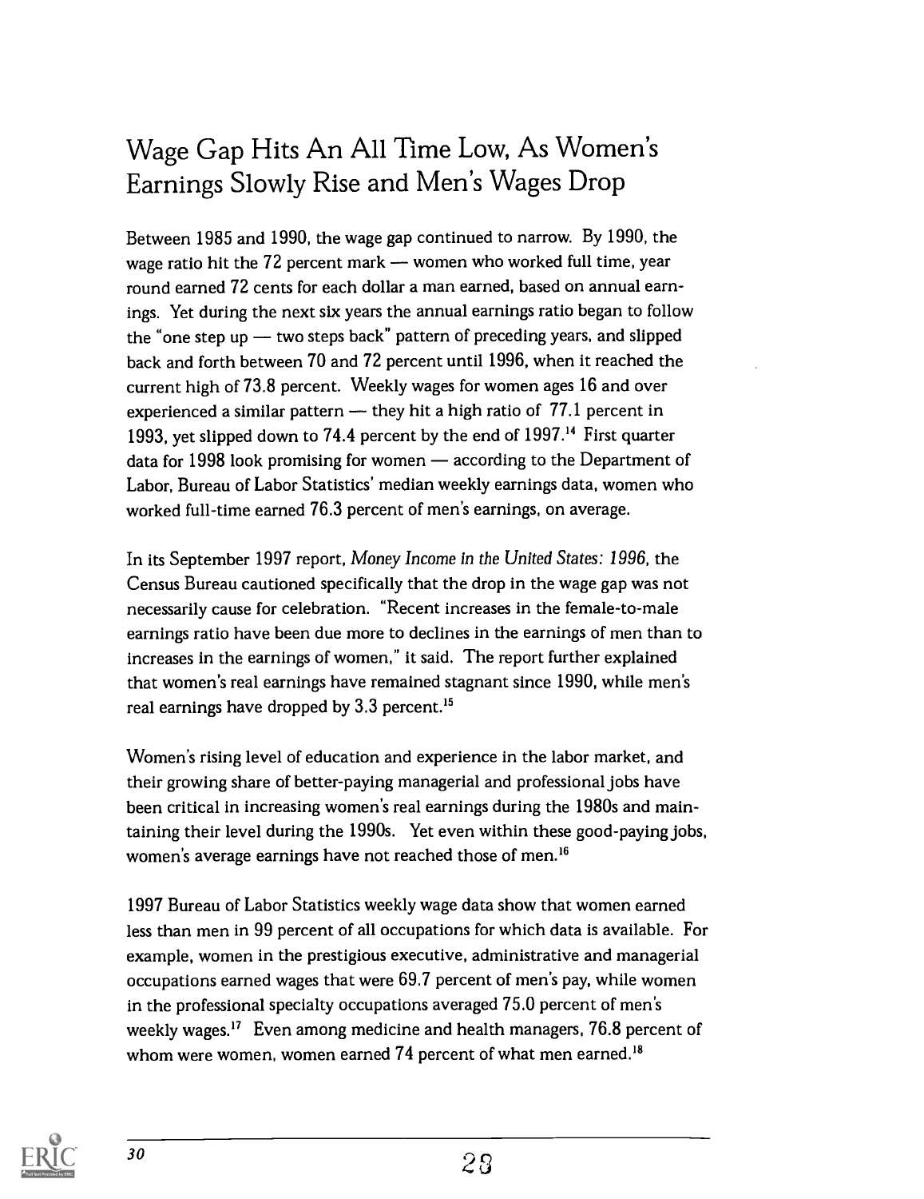## Wage Gap Hits An All Time Low, As Women's Earnings Slowly Rise and Men's Wages Drop

Between 1985 and 1990, the wage gap continued to narrow. By 1990, the wage ratio hit the  $72$  percent mark  $-$  women who worked full time, year round earned 72 cents for each dollar a man earned, based on annual earnings. Yet during the next six years the annual earnings ratio began to follow the "one step up  $-$  two steps back" pattern of preceding years, and slipped back and forth between 70 and 72 percent until 1996, when it reached the current high of 73.8 percent. Weekly wages for women ages 16 and over experienced a similar pattern  $-$  they hit a high ratio of 77.1 percent in 1993, yet slipped down to 74.4 percent by the end of 1997." First quarter data for 1998 look promising for women  $-$  according to the Department of Labor, Bureau of Labor Statistics' median weekly earnings data, women who worked full-time earned 76.3 percent of men's earnings, on average.

In its September 1997 report, Money Income in the United States: 1996, the Census Bureau cautioned specifically that the drop in the wage gap was not necessarily cause for celebration. "Recent increases in the female-to-male earnings ratio have been due more to declines in the earnings of men than to increases in the earnings of women," it said. The report further explained that women's real earnings have remained stagnant since 1990, while men's real earnings have dropped by 3.3 percent.'5

Women's rising level of education and experience in the labor market, and their growing share of better-paying managerial and professional jobs have been critical in increasing women's real earnings during the 1980s and maintaining their level during the 1990s. Yet even within these good-paying jobs, women's average earnings have not reached those of men.'6

1997 Bureau of Labor Statistics weekly wage data show that women earned less than men in 99 percent of all occupations for which data is available. For example, women in the prestigious executive, administrative and managerial occupations earned wages that were 69.7 percent of men's pay, while women in the professional specialty occupations averaged 75.0 percent of men's weekly wages.<sup>17</sup> Even among medicine and health managers, 76.8 percent of whom were women, women earned 74 percent of what men earned.<sup>18</sup>

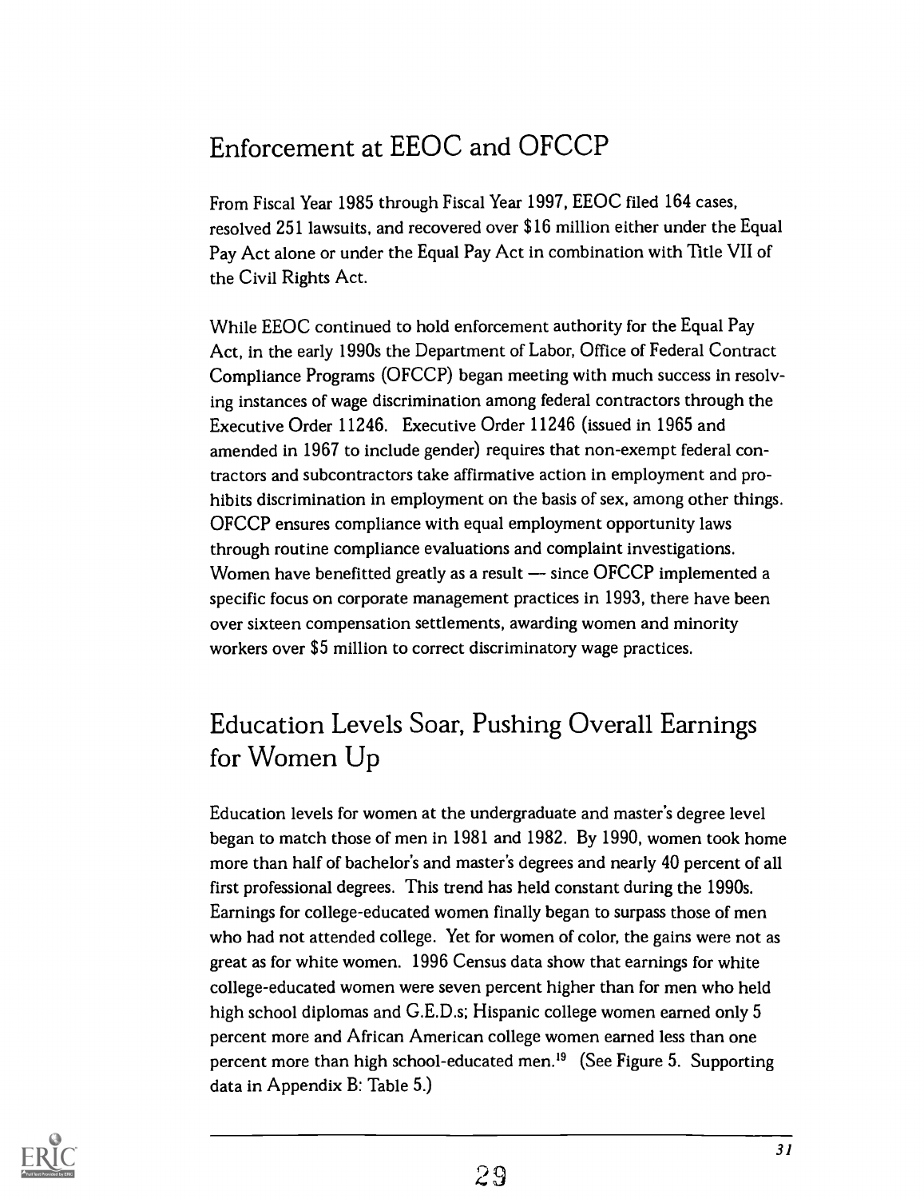## Enforcement at EEOC and OFCCP

From Fiscal Year 1985 through Fiscal Year 1997, EEOC filed 164 cases, resolved 251 lawsuits, and recovered over \$16 million either under the Equal Pay Act alone or under the Equal Pay Act in combination with Title VII of the Civil Rights Act.

While EEOC continued to hold enforcement authority for the Equal Pay Act, in the early 1990s the Department of Labor, Office of Federal Contract Compliance Programs (OFCCP) began meeting with much success in resolving instances of wage discrimination among federal contractors through the Executive Order 11246. Executive Order 11246 (issued in 1965 and amended in 1967 to include gender) requires that non-exempt federal contractors and subcontractors take affirmative action in employment and prohibits discrimination in employment on the basis of sex, among other things. OFCCP ensures compliance with equal employment opportunity laws through routine compliance evaluations and complaint investigations. Women have benefitted greatly as a result - since OFCCP implemented a specific focus on corporate management practices in 1993, there have been over sixteen compensation settlements, awarding women and minority workers over \$5 million to correct discriminatory wage practices.

## Education Levels Soar, Pushing Overall Earnings for Women Up

Education levels for women at the undergraduate and master's degree level began to match those of men in 1981 and 1982. By 1990, women took home more than half of bachelor's and master's degrees and nearly 40 percent of all first professional degrees. This trend has held constant during the 1990s. Earnings for college-educated women finally began to surpass those of men who had not attended college. Yet for women of color, the gains were not as great as for white women. 1996 Census data show that earnings for white college-educated women were seven percent higher than for men who held high school diplomas and G.E.D.s; Hispanic college women earned only 5 percent more and African American college women earned less than one percent more than high school-educated men.<sup>19</sup> (See Figure 5. Supporting data in Appendix B: Table 5.)

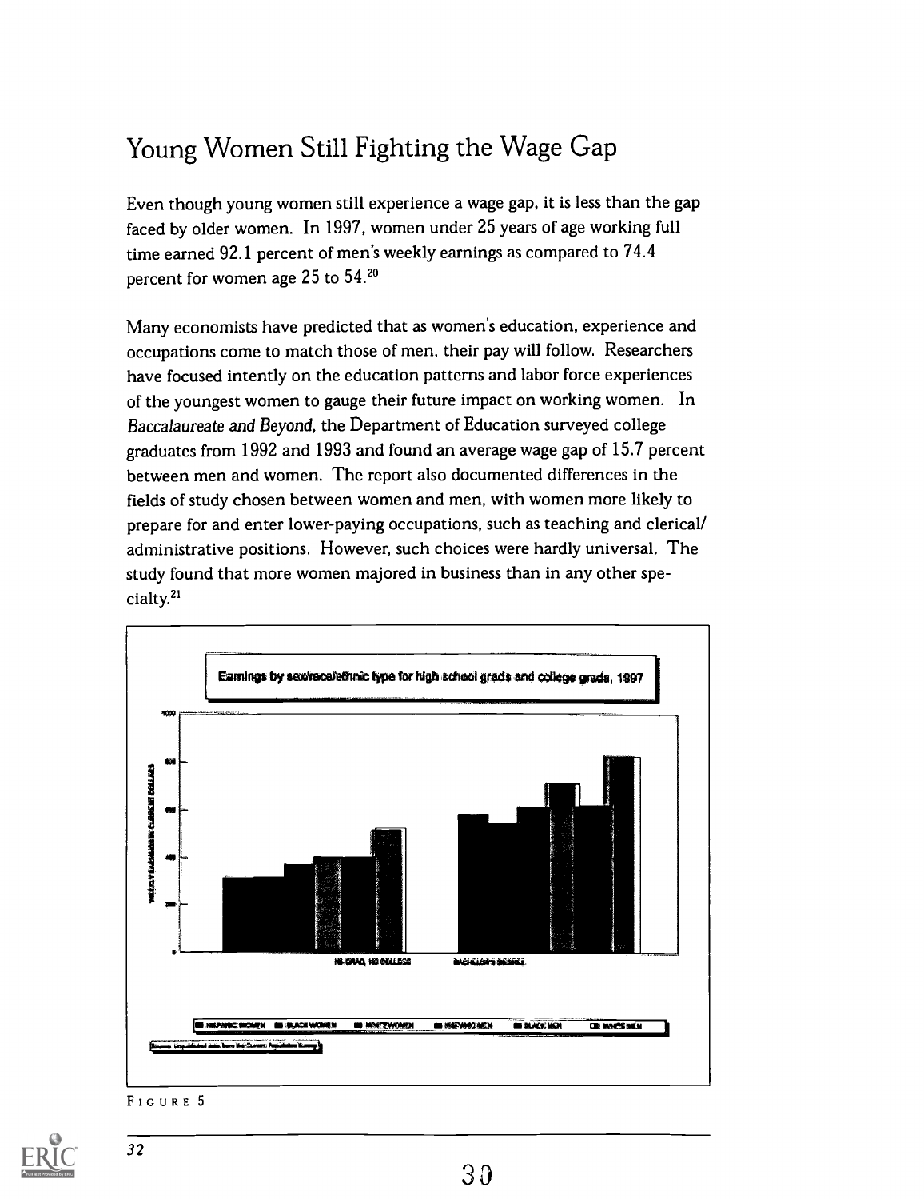## Young Women Still Fighting the Wage Gap

Even though young women still experience a wage gap, it is less than the gap faced by older women. In 1997, women under 25 years of age working full time earned 92.1 percent of men's weekly earnings as compared to 74.4 percent for women age 25 to 54.20

Many economists have predicted that as women's education, experience and occupations come to match those of men, their pay will follow. Researchers have focused intently on the education patterns and labor force experiences of the youngest women to gauge their future impact on working women. In Baccalaureate and Beyond, the Department of Education surveyed college graduates from 1992 and 1993 and found an average wage gap of 15.7 percent between men and women. The report also documented differences in the fields of study chosen between women and men, with women more likely to prepare for and enter lower-paying occupations, such as teaching and clerical/ administrative positions. However, such choices were hardly universal. The study found that more women majored in business than in any other specialty.2'



FIGURE 5

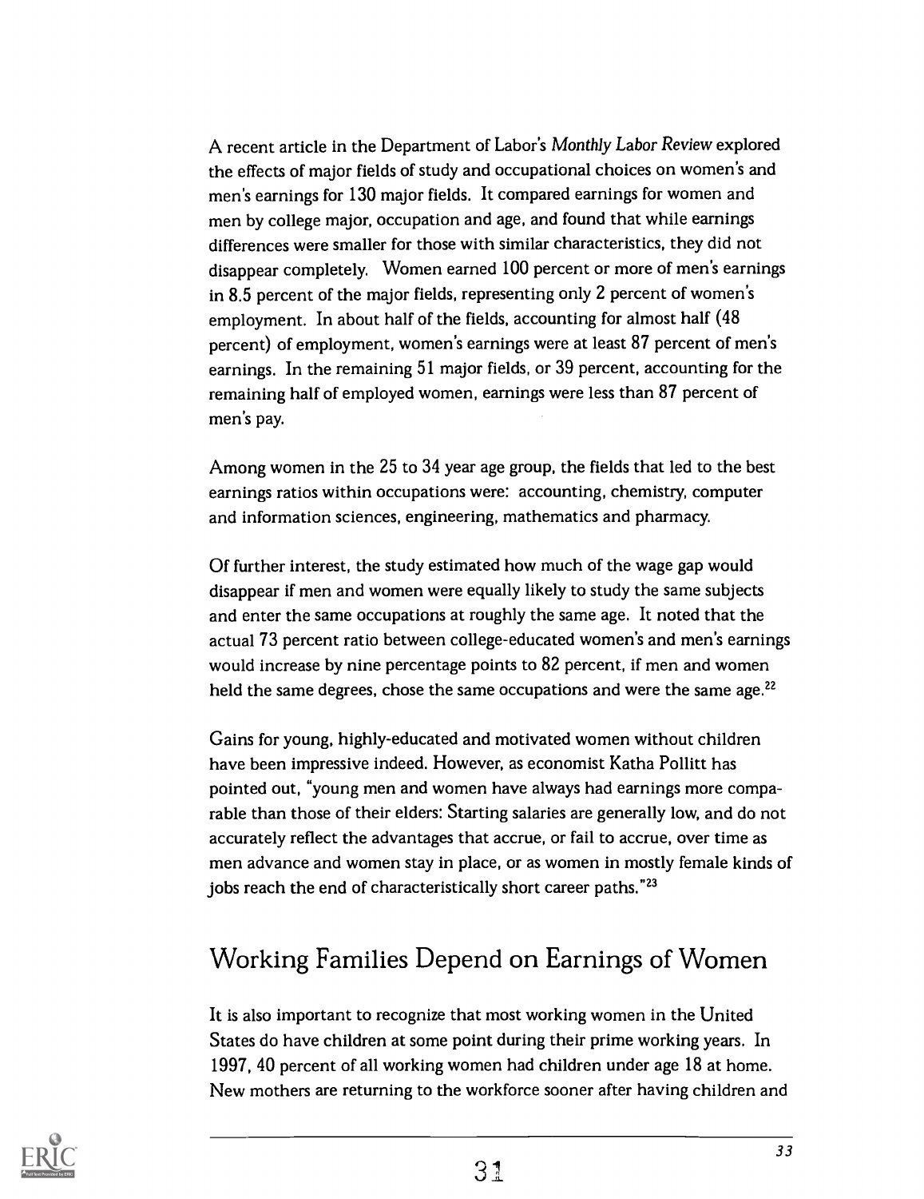A recent article in the Department of Labor's Monthly Labor Review explored the effects of major fields of study and occupational choices on women's and men's earnings for 130 major fields. It compared earnings for women and men by college major, occupation and age, and found that while earnings differences were smaller for those with similar characteristics, they did not disappear completely. Women earned 100 percent or more of men's earnings in 8.5 percent of the major fields, representing only 2 percent of women's employment. In about half of the fields, accounting for almost half (48 percent) of employment, women's earnings were at least 87 percent of men's earnings. In the remaining 51 major fields, or 39 percent, accounting for the remaining half of employed women, earnings were less than 87 percent of men's pay.

Among women in the 25 to 34 year age group, the fields that led to the best earnings ratios within occupations were: accounting, chemistry, computer and information sciences, engineering, mathematics and pharmacy.

Of further interest, the study estimated how much of the wage gap would disappear if men and women were equally likely to study the same subjects and enter the same occupations at roughly the same age. It noted that the actual 73 percent ratio between college-educated women's and men's earnings would increase by nine percentage points to 82 percent, if men and women held the same degrees, chose the same occupations and were the same age. $^{22}$ 

Gains for young, highly-educated and motivated women without children have been impressive indeed. However, as economist Katha Pollitt has pointed out, "young men and women have always had earnings more comparable than those of their elders: Starting salaries are generally low, and do not accurately reflect the advantages that accrue, or fail to accrue, over time as men advance and women stay in place, or as women in mostly female kinds of jobs reach the end of characteristically short career paths."<sup>23</sup>

## Working Families Depend on Earnings of Women

It is also important to recognize that most working women in the United States do have children at some point during their prime working years. In 1997, 40 percent of all working women had children under age 18 at home. New mothers are returning to the workforce sooner after having children and

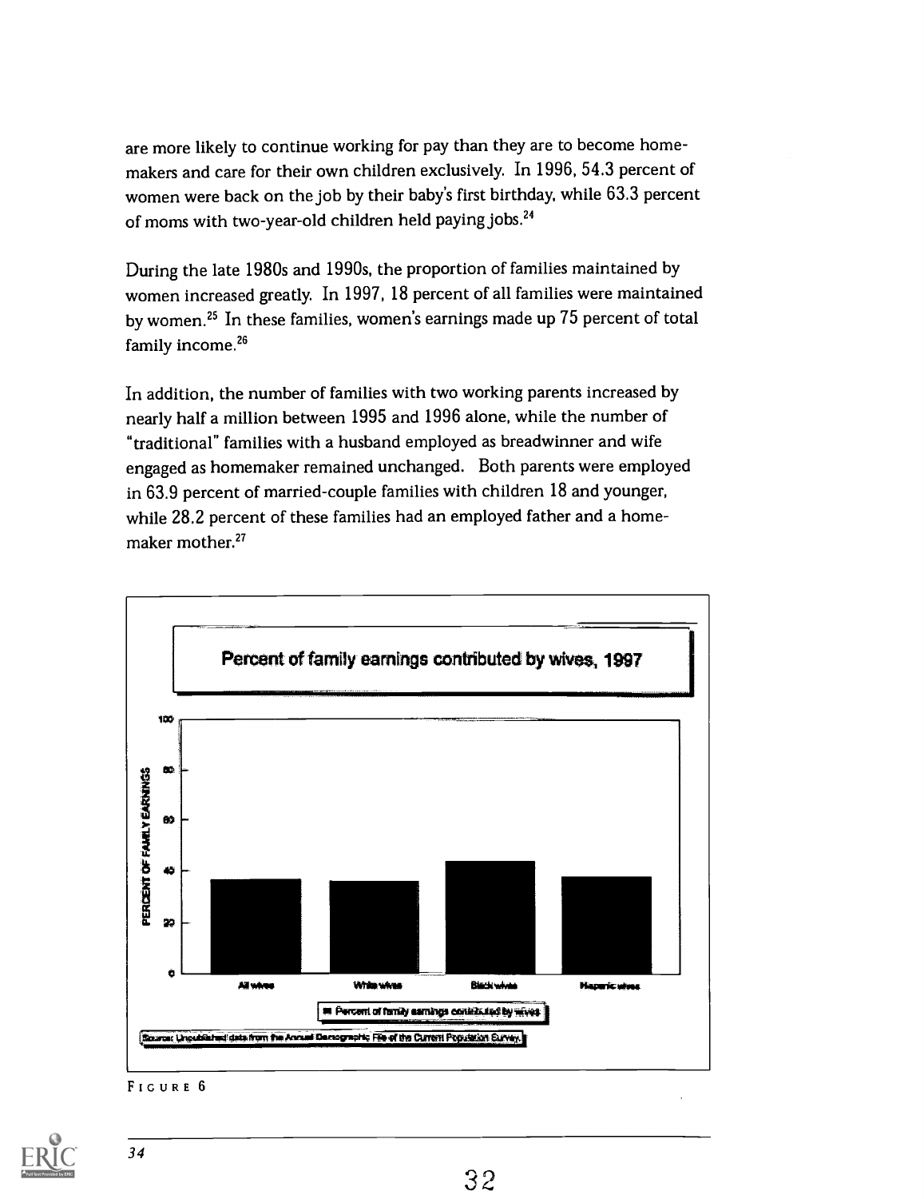are more likely to continue working for pay than they are to become homemakers and care for their own children exclusively. In 1996, 54.3 percent of women were back on the job by their baby's first birthday, while 63.3 percent of moms with two-year-old children held paying jobs.24

During the late 1980s and 1990s, the proportion of families maintained by women increased greatly. In 1997, 18 percent of all families were maintained by women.25 In these families, women's earnings made up 75 percent of total family income.<sup>26</sup>

In addition, the number of families with two working parents increased by nearly half a million between 1995 and 1996 alone, while the number of "traditional" families with a husband employed as breadwinner and wife engaged as homemaker remained unchanged. Both parents were employed in 63.9 percent of married-couple families with children 18 and younger, while 28.2 percent of these families had an employed father and a homemaker mother.<sup>27</sup>



FIGURE 6

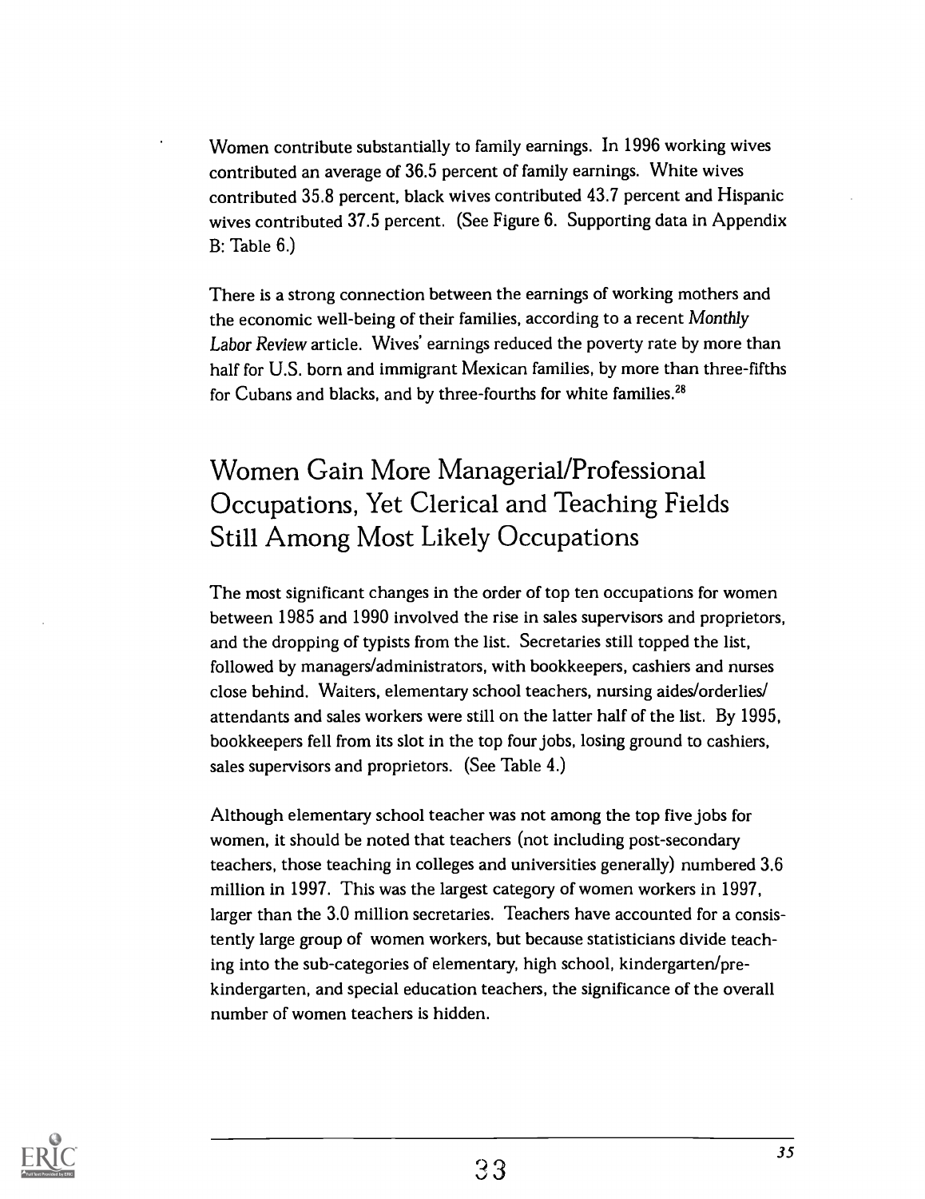Women contribute substantially to family earnings. In 1996 working wives contributed an average of 36.5 percent of family earnings. White wives contributed 35.8 percent, black wives contributed 43.7 percent and Hispanic wives contributed 37.5 percent. (See Figure 6. Supporting data in Appendix B: Table 6.)

There is a strong connection between the earnings of working mothers and the economic well-being of their families, according to a recent Monthly Labor Review article. Wives' earnings reduced the poverty rate by more than half for U.S. born and immigrant Mexican families, by more than three-fifths for Cubans and blacks, and by three-fourths for white families.<sup>28</sup>

### Women Gain More Managerial/Professional Occupations, Yet Clerical and Teaching Fields Still Among Most Likely Occupations

The most significant changes in the order of top ten occupations for women between 1985 and 1990 involved the rise in sales supervisors and proprietors, and the dropping of typists from the list. Secretaries still topped the list, followed by managers/administrators, with bookkeepers, cashiers and nurses close behind. Waiters, elementary school teachers, nursing aides/orderlies/ attendants and sales workers were still on the latter half of the list. By 1995, bookkeepers fell from its slot in the top four jobs, losing ground to cashiers, sales supervisors and proprietors. (See Table 4.)

Although elementary school teacher was not among the top five jobs for women, it should be noted that teachers (not including post-secondary teachers, those teaching in colleges and universities generally) numbered 3.6 million in 1997. This was the largest category of women workers in 1997, larger than the 3.0 million secretaries. Teachers have accounted for a consistently large group of women workers, but because statisticians divide teaching into the sub-categories of elementary, high school, kindergarten/prekindergarten, and special education teachers, the significance of the overall number of women teachers is hidden.

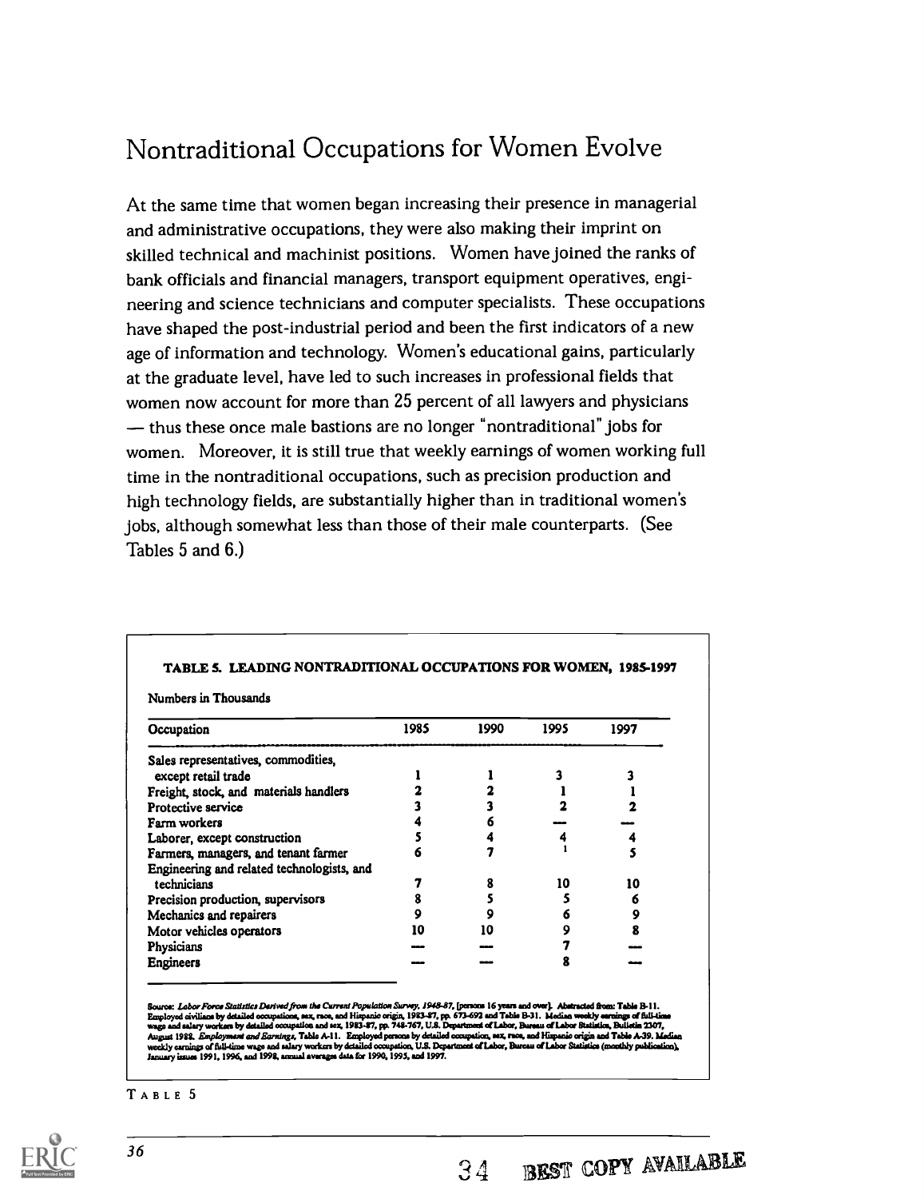### Nontraditional Occupations for Women Evolve

At the same time that women began increasing their presence in managerial and administrative occupations, they were also making their imprint on skilled technical and machinist positions. Women have joined the ranks of bank officials and financial managers, transport equipment operatives, engineering and science technicians and computer specialists. These occupations have shaped the post-industrial period and been the first indicators of a new age of information and technology. Women's educational gains, particularly at the graduate level, have led to such increases in professional fields that women now account for more than 25 percent of all lawyers and physicians - thus these once male bastions are no longer "nontraditional" jobs for women. Moreover, it is still true that weekly earnings of women working full time in the nontraditional occupations, such as precision production and high technology fields, are substantially higher than in traditional women's jobs, although somewhat less than those of their male counterparts. (See Tables 5 and 6.)

| Occupation                                 | 1985 | 1990 | 1995 | 1997 |
|--------------------------------------------|------|------|------|------|
| Sales representatives, commodities,        |      |      |      |      |
| except retail trade                        |      |      |      |      |
| Freight, stock, and materials handlers     |      |      |      |      |
| Protective service                         |      |      |      |      |
| Farm workers                               |      |      |      |      |
| Laborer, except construction               |      |      |      |      |
| Farmers, managers, and tenant farmer       |      |      |      |      |
| Engineering and related technologists, and |      |      |      |      |
| technicians                                |      |      | 10   | 10   |
| Precision production, supervisors          |      |      |      | 6    |
| Mechanics and repairers                    |      |      |      | 9    |
| Motor vehicles operators                   | 10   | 10   |      | 8    |
| Physicians                                 |      |      |      |      |
| <b>Engineers</b>                           |      |      |      |      |

TABLE 5. LEADING NONTRADITIONAL OCCUPATIONS FOR WOMEN, 1985-1997

e: Labor Force Statistics Derived from the Current Population Survey. 1948-87, [parsons 16 years and over]. Abstracted from: Table B-11 Employed civilians by detailed compations, sex, race, and Hispanic origin, 1983-87, pp. 673-692 and Table B-31. Median weekly earnings of full-time<br>wage and salary workers by detailed occupation and sex, 1983-87, pp. 748-7 August 1988. *Employment and Earnings*, Table A-11. Employed persons by detailed occupation, sax, race, and Hispanio origin and Table A-39. Median<br>weekly carnings of full-time wage and aslary worken by detailed occupation,

TABLE 5

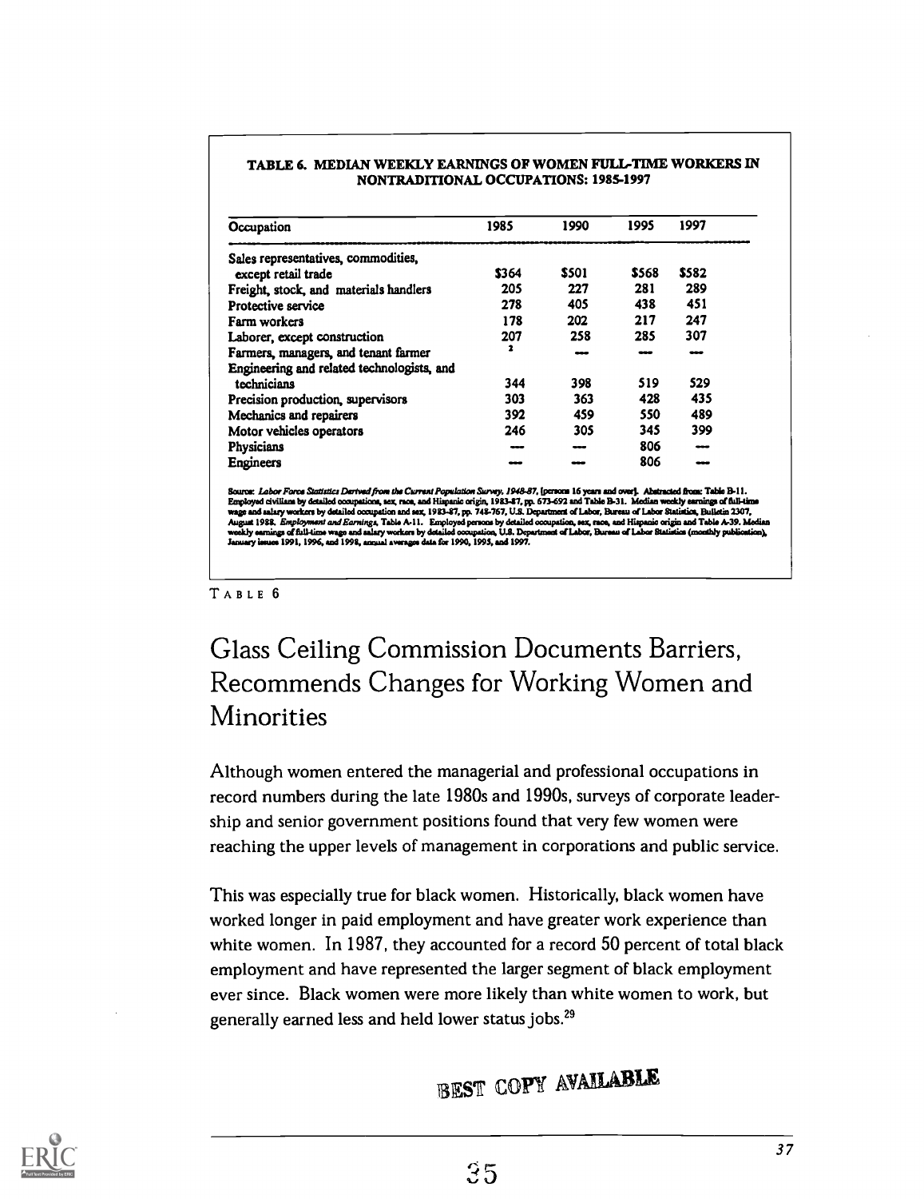| Occupation                                 | 1985  | 1990  | 1995  | 1997  |
|--------------------------------------------|-------|-------|-------|-------|
| Sales representatives, commodities,        |       |       |       |       |
| except retail trade                        | \$364 | \$501 | \$568 | \$582 |
| Freight, stock, and materials handlers     | 205   | 227   | 281   | 289   |
| Protective service                         | 278   | 405   | 438   | 451   |
| Farm workers                               | 178   | 202   | 217   | 247   |
| Laborer, except construction               | 207   | 258   | 285   | 307   |
| Farmers, managers, and tenant farmer       | 2     |       |       |       |
| Engineering and related technologists, and |       |       |       |       |
| technicians                                | 344   | 398   | 519   | 529   |
| Precision production, supervisors          | 303   | 363   | 428   | 435   |
| Mechanics and repairers                    | 392   | 459   | 550   | 489   |
| Motor vehicles operators                   | 246   | 305   | 345   | 399   |
| Physicians                                 |       | ---   | 806   |       |
| Engineers                                  |       |       | 806   |       |

#### TABLE 6. MEDIAN WEEKLY EARNINGS OF WOMEN FULL-TIME WORKERS IN NONTRADITIONAL OCCUPATIONS: 1985-1997

Source: *Labor Fores Statistics Derived from the Current Population Survey, 1948-87*, [persons 16 years and over]. Abstracted from: Table B-11-<br>Employed civilians by desilied occupations, sex, noca, and Hispanic origin, 19

#### TABLE 6

### Glass Ceiling Commission Documents Barriers, Recommends Changes for Working Women and Minorities

Although women entered the managerial and professional occupations in record numbers during the late 1980s and 1990s, surveys of corporate leadership and senior government positions found that very few women were reaching the upper levels of management in corporations and public service.

This was especially true for black women. Historically, black women have worked longer in paid employment and have greater work experience than white women. In 1987, they accounted for a record 50 percent of total black employment and have represented the larger segment of black employment ever since. Black women were more likely than white women to work, but generally earned less and held lower status jobs.<sup>29</sup>

# BEST COPY AVAILABLE

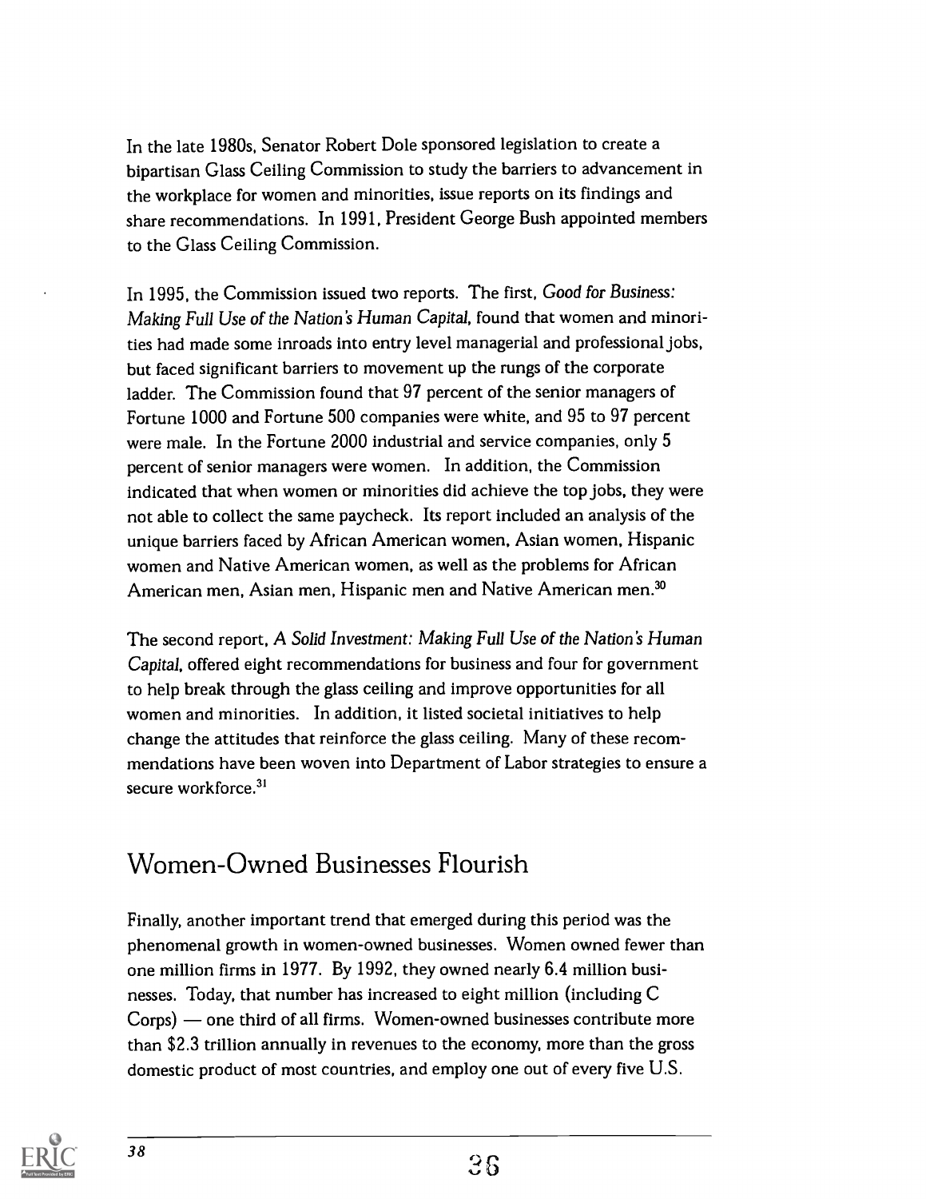In the late 1980s, Senator Robert Dole sponsored legislation to create a bipartisan Glass Ceiling Commission to study the barriers to advancement in the workplace for women and minorities, issue reports on its findings and share recommendations. In 1991, President George Bush appointed members to the Glass Ceiling Commission.

In 1995, the Commission issued two reports. The first, Good for Business: Making Full Use of the Nation's Human Capital, found that women and minorities had made some inroads into entry level managerial and professional jobs, but faced significant barriers to movement up the rungs of the corporate ladder. The Commission found that 97 percent of the senior managers of Fortune 1000 and Fortune 500 companies were white, and 95 to 97 percent were male. In the Fortune 2000 industrial and service companies, only 5 percent of senior managers were women. In addition, the Commission indicated that when women or minorities did achieve the top jobs, they were not able to collect the same paycheck. Its report included an analysis of the unique barriers faced by African American women, Asian women, Hispanic women and Native American women, as well as the problems for African American men, Asian men, Hispanic men and Native American men.<sup>30</sup>

The second report, A Solid Investment: Making Full Use of the Nation's Human Capital, offered eight recommendations for business and four for government to help break through the glass ceiling and improve opportunities for all women and minorities. In addition, it listed societal initiatives to help change the attitudes that reinforce the glass ceiling. Many of these recommendations have been woven into Department of Labor strategies to ensure a secure workforce.<sup>31</sup>

### Women-Owned Businesses Flourish

Finally, another important trend that emerged during this period was the phenomenal growth in women-owned businesses. Women owned fewer than one million firms in 1977. By 1992, they owned nearly 6.4 million businesses. Today, that number has increased to eight million (including C Corps) — one third of all firms. Women-owned businesses contribute more than \$2.3 trillion annually in revenues to the economy, more than the gross domestic product of most countries, and employ one out of every five U.S.

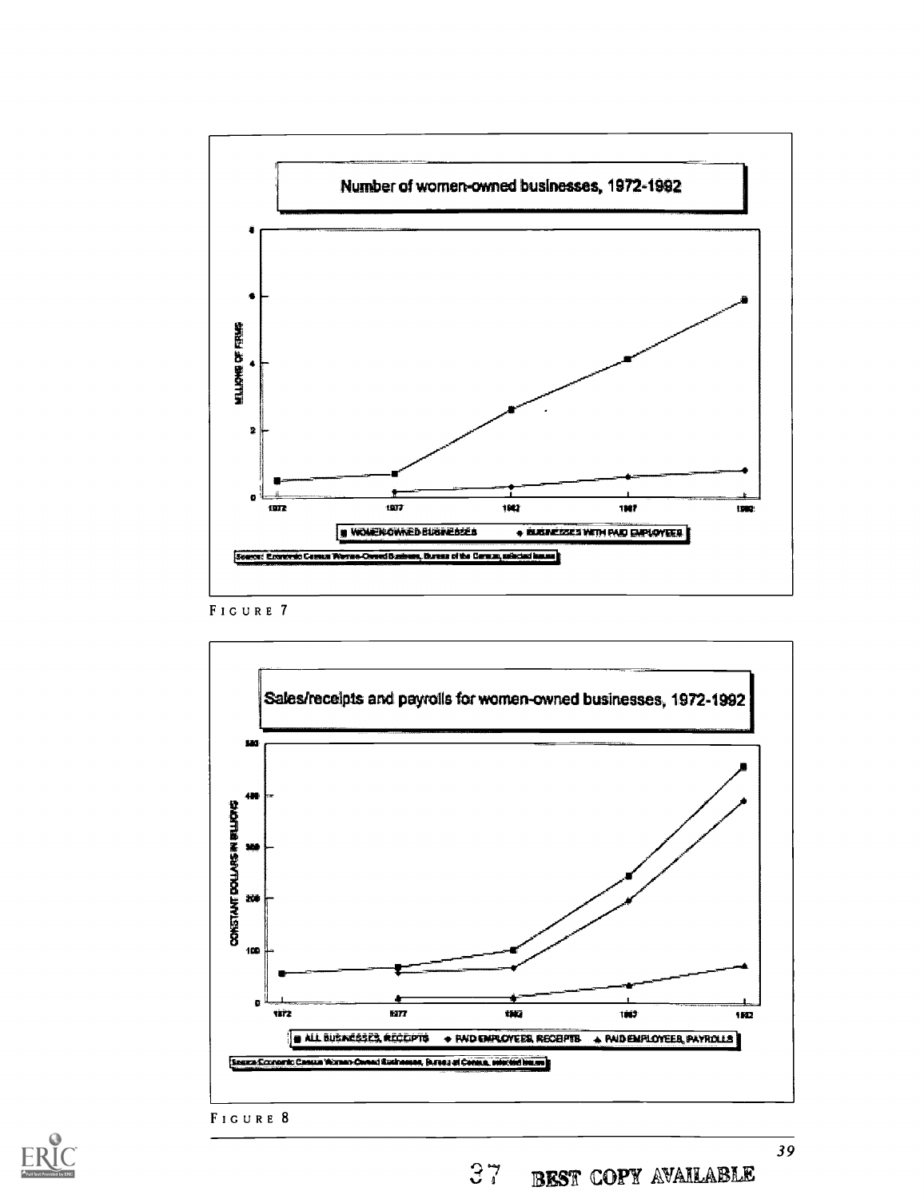







37 BEST COPY AVAILABLE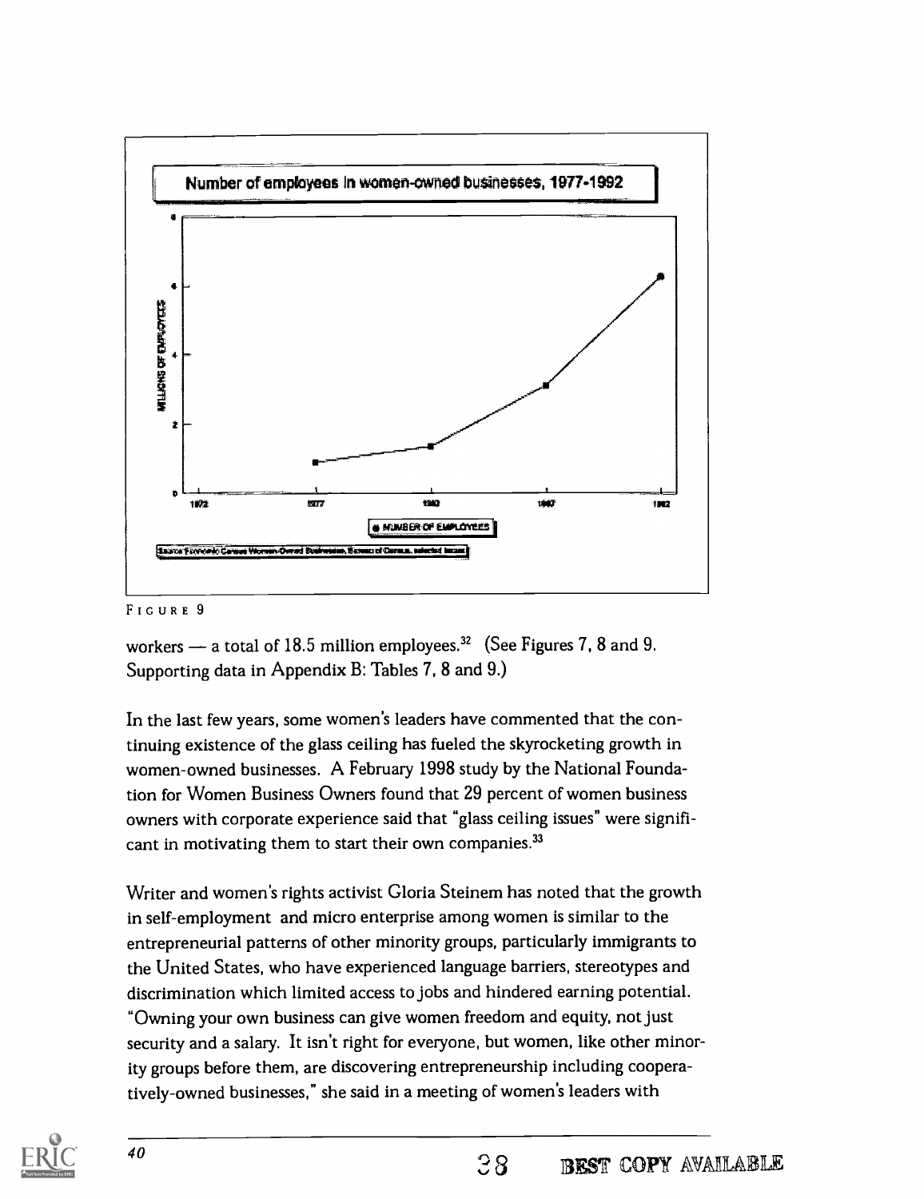

#### FIGURE 9

workers  $-$  a total of 18.5 million employees.<sup>32</sup> (See Figures 7, 8 and 9. Supporting data in Appendix B: Tables 7, 8 and 9.)

In the last few years, some women's leaders have commented that the continuing existence of the glass ceiling has fueled the skyrocketing growth in women-owned businesses. A February 1998 study by the National Foundation for Women Business Owners found that 29 percent of women business owners with corporate experience said that "glass ceiling issues" were significant in motivating them to start their own companies.<sup>33</sup>

Writer and women's rights activist Gloria Steinem has noted that the growth in self-employment and micro enterprise among women is similar to the entrepreneurial patterns of other minority groups, particularly immigrants to the United States, who have experienced language barriers, stereotypes and discrimination which limited access to jobs and hindered earning potential. "Owning your own business can give women freedom and equity, not just security and a salary. It isn't right for everyone, but women, like other minority groups before them, are discovering entrepreneurship including cooperatively-owned businesses," she said in a meeting of women's leaders with

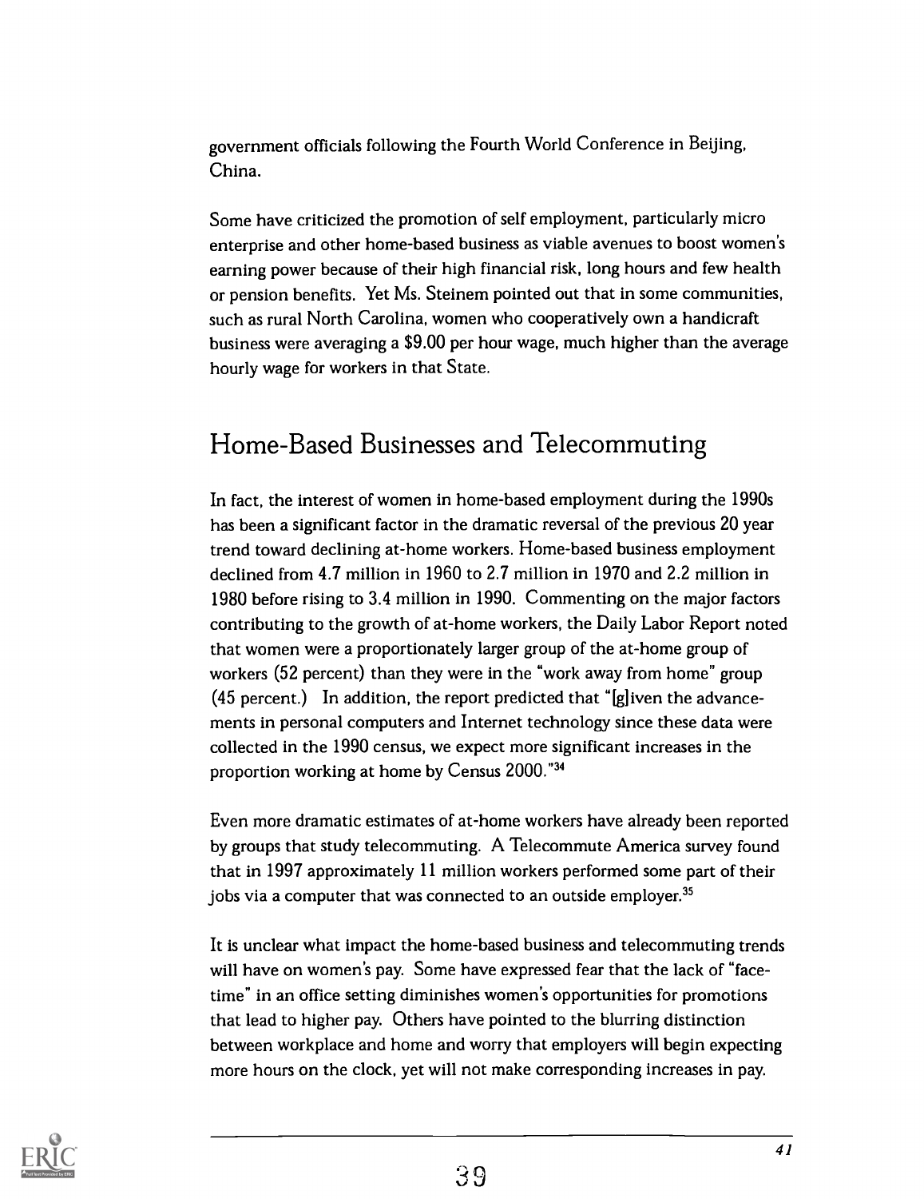government officials following the Fourth World Conference in Beijing, China.

Some have criticized the promotion of self employment, particularly micro enterprise and other home-based business as viable avenues to boost women's earning power because of their high financial risk, long hours and few health or pension benefits. Yet Ms. Steinem pointed out that in some communities, such as rural North Carolina, women who cooperatively own a handicraft business were averaging a \$9.00 per hour wage, much higher than the average hourly wage for workers in that State.

### Home-Based Businesses and Telecommuting

In fact, the interest of women in home-based employment during the 1990s has been a significant factor in the dramatic reversal of the previous 20 year trend toward declining at-home workers. Home-based business employment declined from 4.7 million in 1960 to 2.7 million in 1970 and 2.2 million in 1980 before rising to 3.4 million in 1990. Commenting on the major factors contributing to the growth of at-home workers, the Daily Labor Report noted that women were a proportionately larger group of the at-home group of workers (52 percent) than they were in the "work away from home" group (45 percent.) In addition, the report predicted that " $[g]$  iven the advancements in personal computers and Internet technology since these data were collected in the 1990 census, we expect more significant increases in the proportion working at home by Census 2000."34

Even more dramatic estimates of at-home workers have already been reported by groups that study telecommuting. A Telecommute America survey found that in 1997 approximately 11 million workers performed some part of their jobs via a computer that was connected to an outside employer.<sup>35</sup>

It is unclear what impact the home-based business and telecommuting trends will have on women's pay. Some have expressed fear that the lack of "facetime" in an office setting diminishes women's opportunities for promotions that lead to higher pay. Others have pointed to the blurring distinction between workplace and home and worry that employers will begin expecting more hours on the clock, yet will not make corresponding increases in pay.

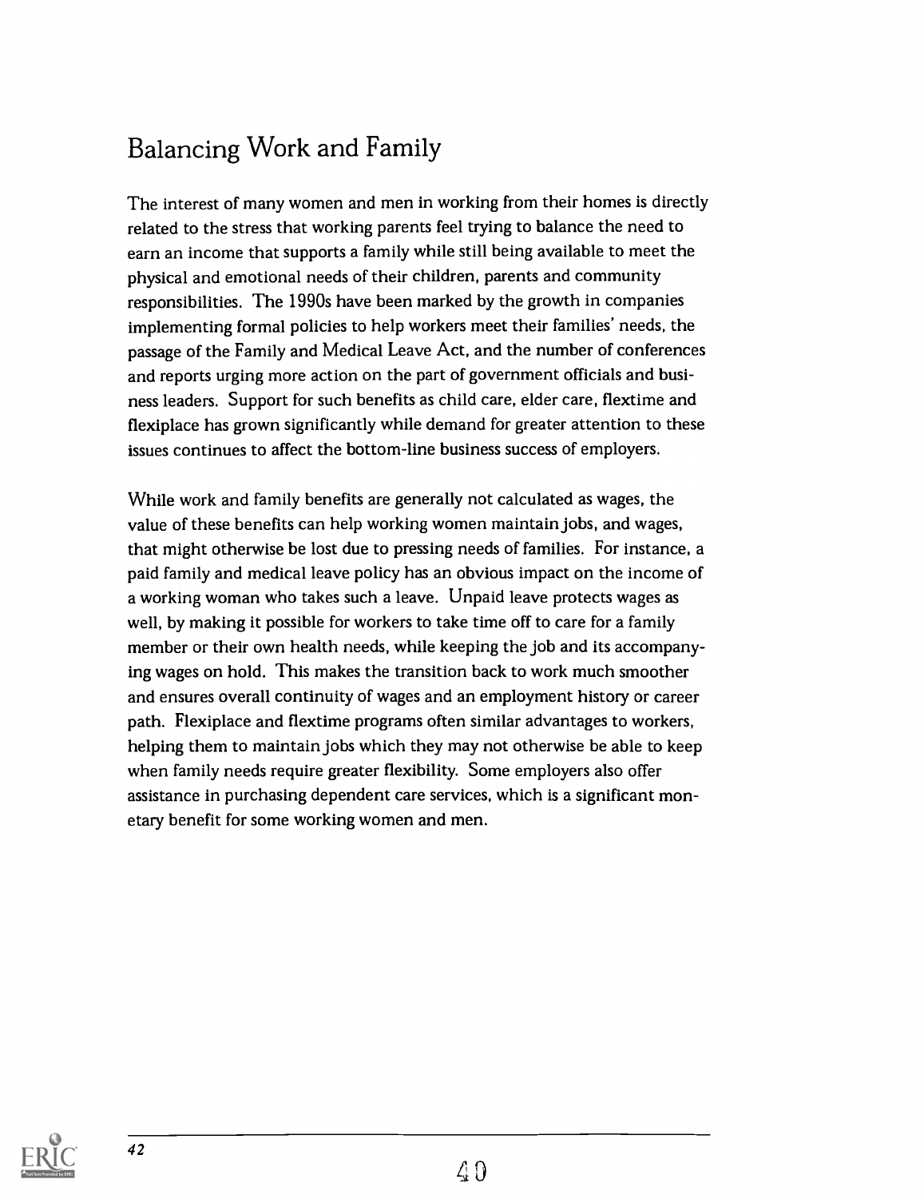## Balancing Work and Family

The interest of many women and men in working from their homes is directly related to the stress that working parents feel trying to balance the need to earn an income that supports a family while still being available to meet the physical and emotional needs of their children, parents and community responsibilities. The 1990s have been marked by the growth in companies implementing formal policies to help workers meet their families' needs, the passage of the Family and Medical Leave Act, and the number of conferences and reports urging more action on the part of government officials and business leaders. Support for such benefits as child care, elder care, flextime and flexiplace has grown significantly while demand for greater attention to these issues continues to affect the bottom-line business success of employers.

While work and family benefits are generally not calculated as wages, the value of these benefits can help working women maintain jobs, and wages, that might otherwise be lost due to pressing needs of families. For instance, a paid family and medical leave policy has an obvious impact on the income of a working woman who takes such a leave. Unpaid leave protects wages as well, by making it possible for workers to take time off to care for a family member or their own health needs, while keeping the job and its accompanying wages on hold. This makes the transition back to work much smoother and ensures overall continuity of wages and an employment history or career path. Flexiplace and flextime programs often similar advantages to workers, helping them to maintain jobs which they may not otherwise be able to keep when family needs require greater flexibility. Some employers also offer assistance in purchasing dependent care services, which is a significant monetary benefit for some working women and men.

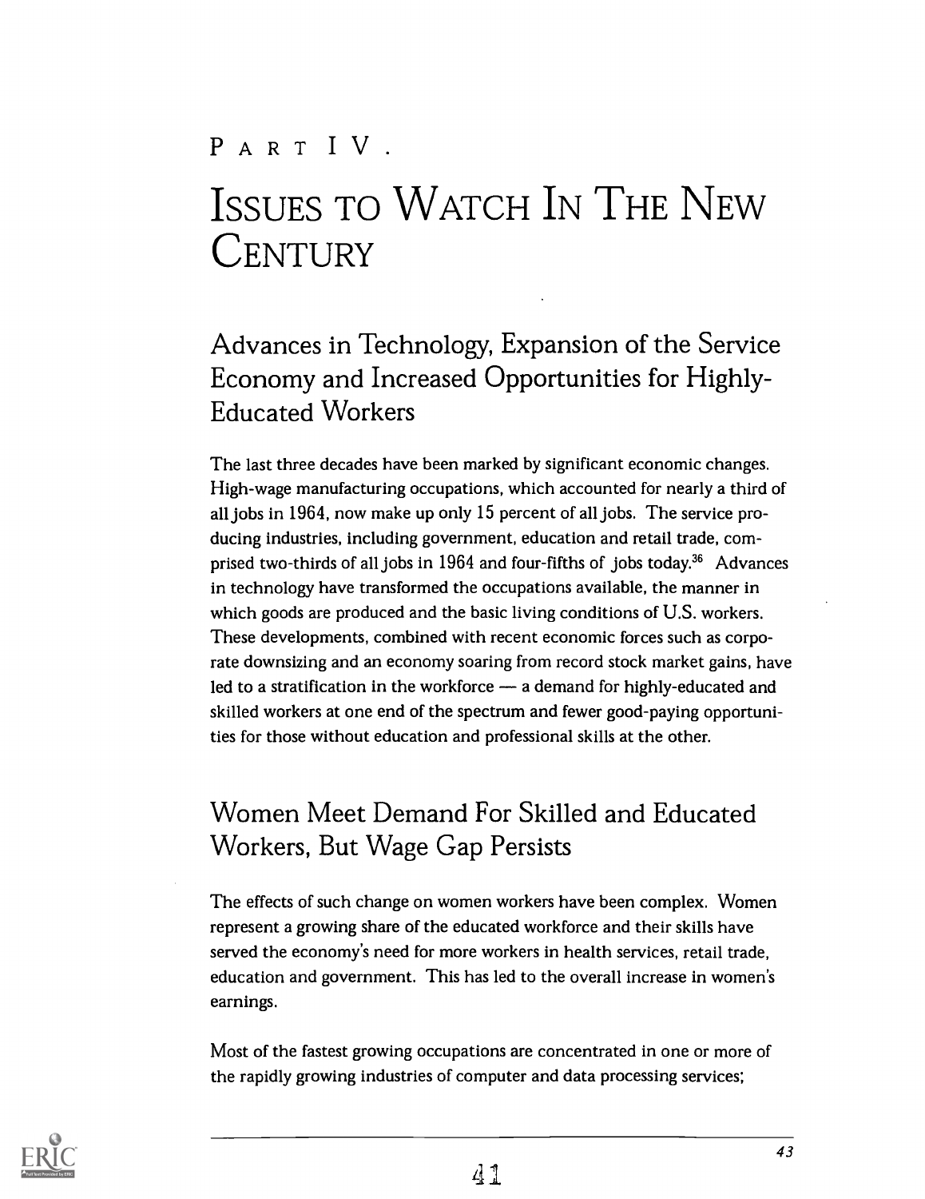# PART IV.

# ISSUES TO WATCH IN THE NEW **CENTURY**

## Advances in Technology, Expansion of the Service Economy and Increased Opportunities for Highly-Educated Workers

The last three decades have been marked by significant economic changes. High-wage manufacturing occupations, which accounted for nearly a third of all jobs in 1964, now make up only 15 percent of all jobs. The service producing industries, including government, education and retail trade, comprised two-thirds of all jobs in  $1964$  and four-fifths of jobs today.<sup>36</sup> Advances in technology have transformed the occupations available, the manner in which goods are produced and the basic living conditions of U.S. workers. These developments, combined with recent economic forces such as corporate downsizing and an economy soaring from record stock market gains, have led to a stratification in the workforce  $-$  a demand for highly-educated and skilled workers at one end of the spectrum and fewer good-paying opportunities for those without education and professional skills at the other.

### Women Meet Demand For Skilled and Educated Workers, But Wage Gap Persists

The effects of such change on women workers have been complex. Women represent a growing share of the educated workforce and their skills have served the economy's need for more workers in health services, retail trade, education and government. This has led to the overall increase in women's earnings.

Most of the fastest growing occupations are concentrated in one or more of the rapidly growing industries of computer and data processing services;

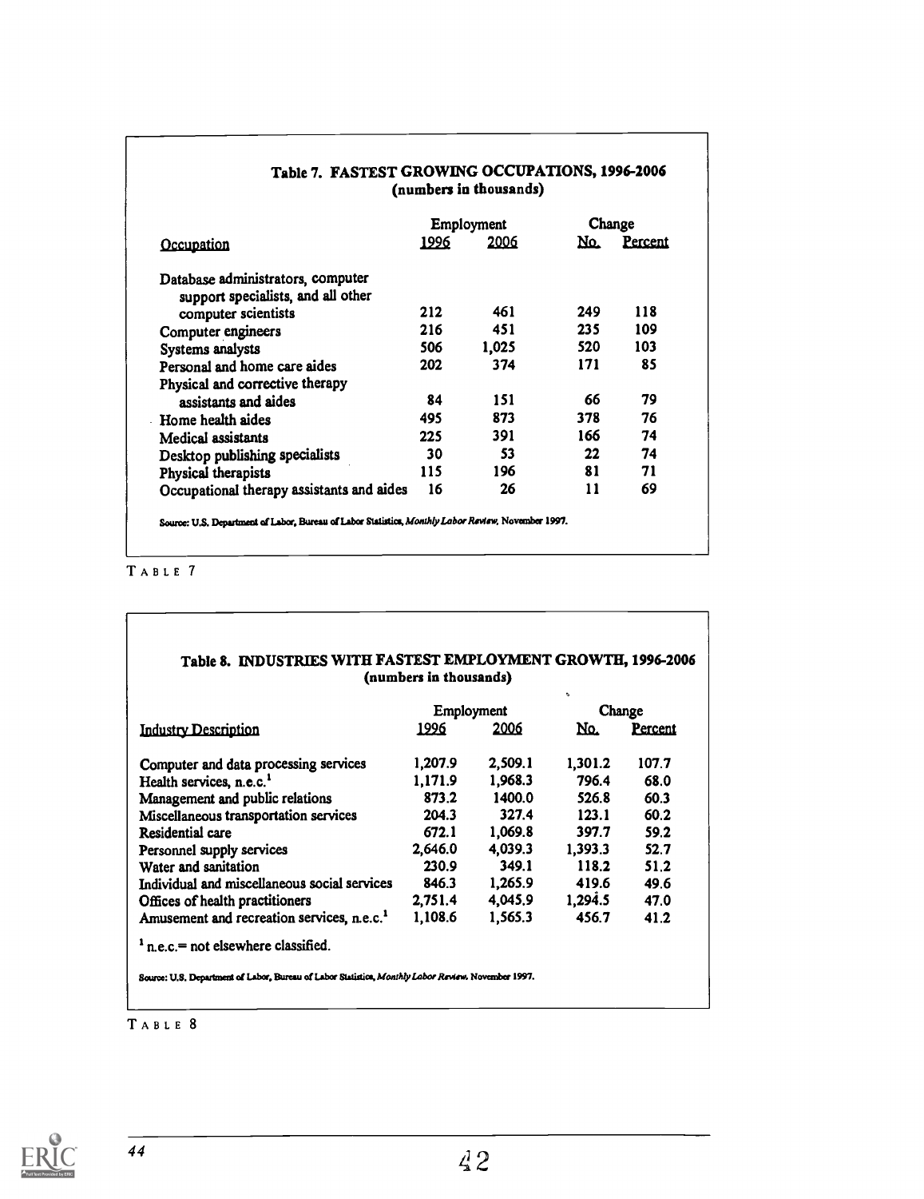|                                           |      | Employment | Change |         |  |
|-------------------------------------------|------|------------|--------|---------|--|
| Occupation                                | 1996 | 2006       | No.    | Percent |  |
| Database administrators, computer         |      |            |        |         |  |
| support specialists, and all other        |      |            |        |         |  |
| computer scientists                       | 212  | 461        | 249    | 118     |  |
| Computer engineers                        | 216  | 451        | 235    | 109     |  |
| Systems analysts                          | 506  | 1,025      | 520    | 103     |  |
| Personal and home care aides              | 202  | 374        | 171    | 85      |  |
| Physical and corrective therapy           |      |            |        |         |  |
| assistants and aides                      | 84   | 151        | 66     | 79      |  |
| Home health aides                         | 495  | 873        | 378    | 76      |  |
| Medical assistants                        | 225  | 391        | 166    | 74      |  |
| Desktop publishing specialists            | 30   | 53         | 22     | 74      |  |
| Physical therapists                       | 115  | 196        | 81     | 71      |  |
| Occupational therapy assistants and aides | 16   | 26         | 11     | 69      |  |

#### Table 7. FASTEST GROWING OCCUPATIONS, 1996-2006 (numbers in thousands)

TABLE 7

### Table 8. INDUSTRIES WITH FASTEST EMPLOYMENT GROWTH, 1996-2006 (numbers in thousands)

|                                                        | Employment |         | Change  |         |  |
|--------------------------------------------------------|------------|---------|---------|---------|--|
| <b>Industry Description</b>                            | 1996       | 2006    | No.     | Percent |  |
| Computer and data processing services                  | 1,207.9    | 2,509.1 | 1.301.2 | 107.7   |  |
| Health services, n.e.c. <sup>1</sup>                   | 1.171.9    | 1,968.3 | 796.4   | 68.0    |  |
| Management and public relations                        | 873.2      | 1400.0  | 526.8   | 60.3    |  |
| Miscellaneous transportation services                  | 204.3      | 327.4   | 123.1   | 60.2    |  |
| Residential care                                       | 672.1      | 1,069.8 | 397.7   | 59.2    |  |
| Personnel supply services                              | 2,646.0    | 4,039.3 | 1.393.3 | 52.7    |  |
| Water and sanitation                                   | 230.9      | 349.1   | 118.2   | 51.2    |  |
| Individual and miscellaneous social services           | 846.3      | 1,265.9 | 419.6   | 49.6    |  |
| Offices of health practitioners                        | 2,751.4    | 4,045.9 | 1,294.5 | 47.0    |  |
| Amusement and recreation services, n.e.c. <sup>1</sup> | 1.108.6    | 1.565.3 | 456.7   | 41.2    |  |
| $\frac{1}{2}$ n e.c. = not elsewhere classified.       |            |         |         |         |  |

TABLE 8

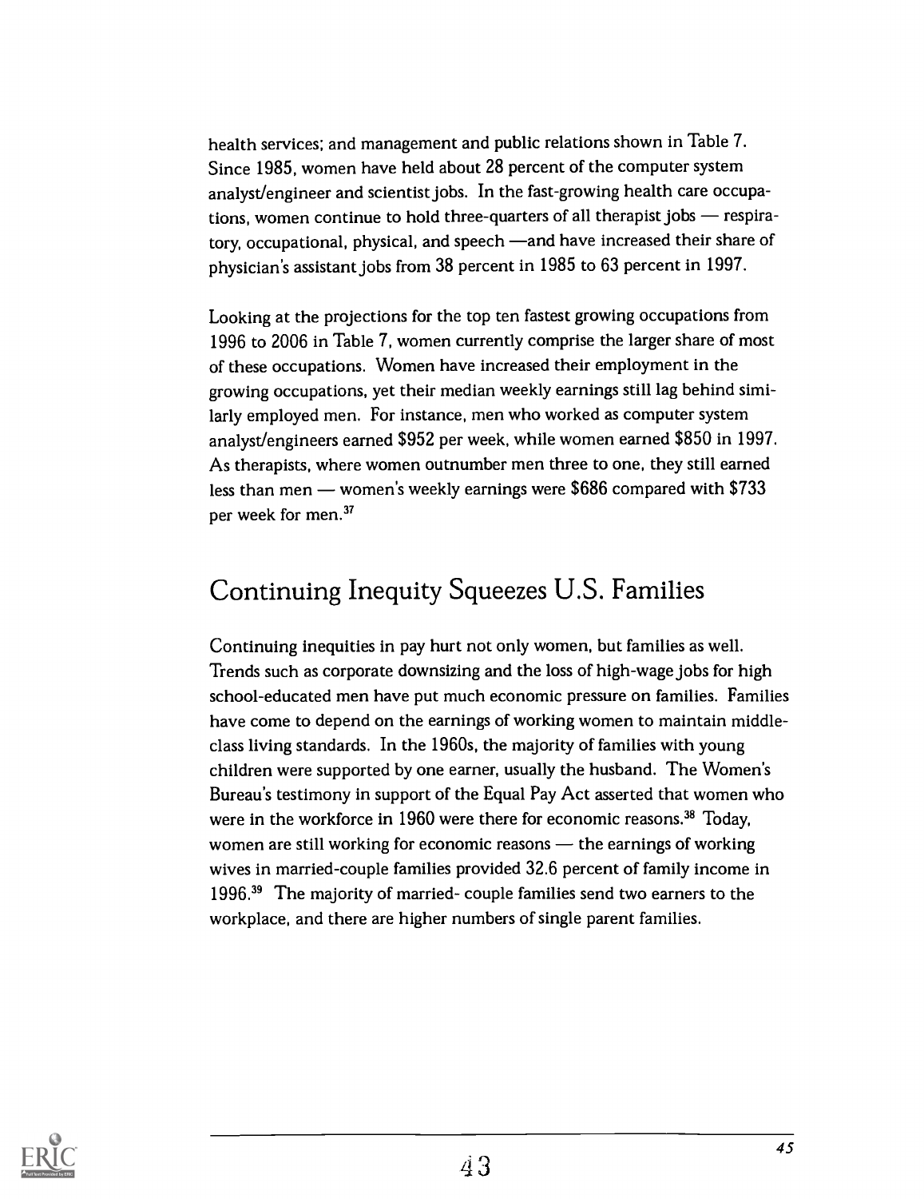health services; and management and public relations shown in Table 7. Since 1985, women have held about 28 percent of the computer system analyst/engineer and scientist jobs. In the fast-growing health care occupations, women continue to hold three-quarters of all therapist jobs - respiratory, occupational, physical, and speech —and have increased their share of physician's assistant jobs from 38 percent in 1985 to 63 percent in 1997.

Looking at the projections for the top ten fastest growing occupations from 1996 to 2006 in Table 7, women currently comprise the larger share of most of these occupations. Women have increased their employment in the growing occupations, yet their median weekly earnings still lag behind similarly employed men. For instance, men who worked as computer system analyst/engineers earned \$952 per week, while women earned \$850 in 1997. As therapists, where women outnumber men three to one, they still earned less than men — women's weekly earnings were  $$686$  compared with  $$733$ per week for men.<sup>37</sup>

### Continuing Inequity Squeezes U.S. Families

Continuing inequities in pay hurt not only women, but families as well. Trends such as corporate downsizing and the loss of high-wage jobs for high school-educated men have put much economic pressure on families. Families have come to depend on the earnings of working women to maintain middleclass living standards. In the 1960s, the majority of families with young children were supported by one earner, usually the husband. The Women's Bureau's testimony in support of the Equal Pay Act asserted that women who were in the workforce in 1960 were there for economic reasons.<sup>38</sup> Today, women are still working for economic reasons  $-$  the earnings of working wives in married-couple families provided 32.6 percent of family income in 1996.39 The majority of married- couple families send two earners to the workplace, and there are higher numbers of single parent families.

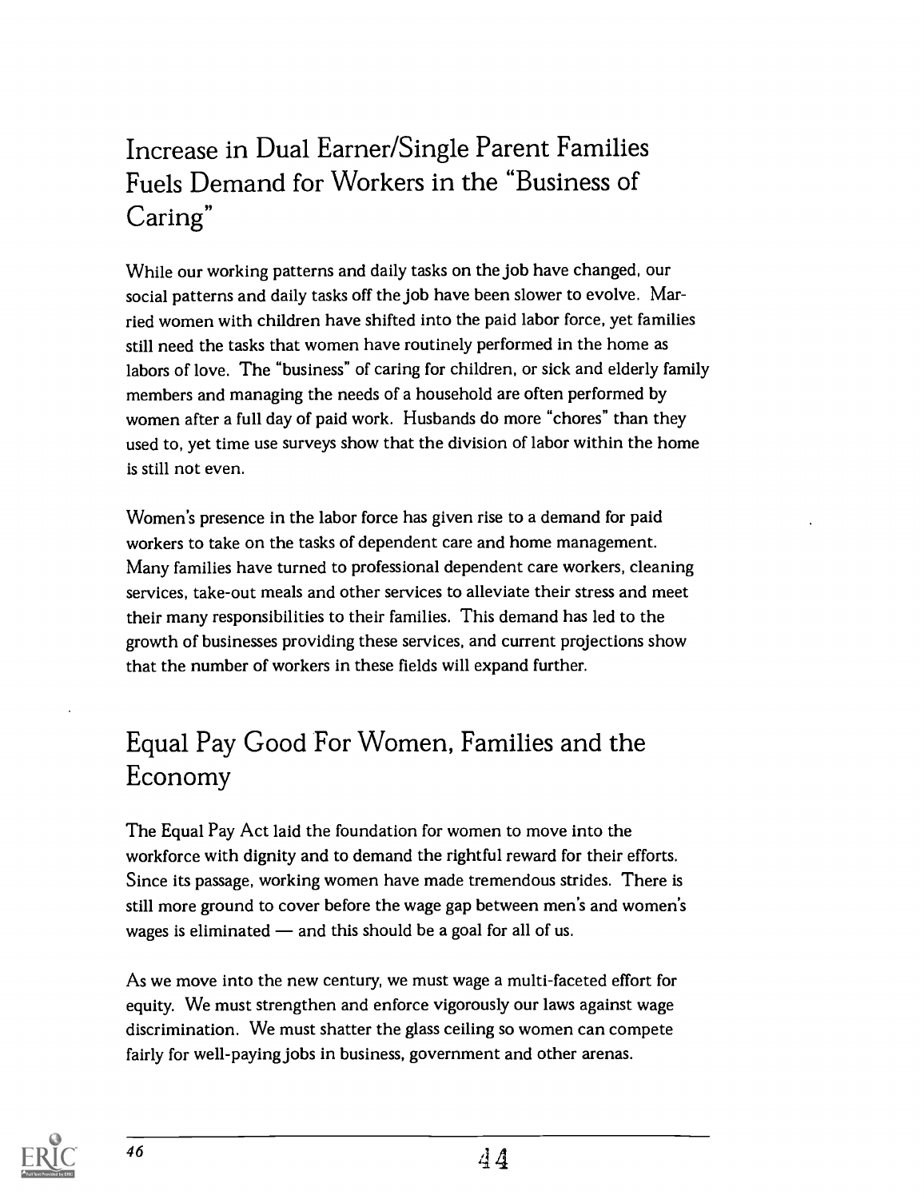## Increase in Dual Earner/Single Parent Families Fuels Demand for Workers in the "Business of Caring"

While our working patterns and daily tasks on the job have changed, our social patterns and daily tasks off the job have been slower to evolve. Married women with children have shifted into the paid labor force, yet families still need the tasks that women have routinely performed in the home as labors of love. The "business" of caring for children, or sick and elderly family members and managing the needs of a household are often performed by women after a full day of paid work. Husbands do more "chores" than they used to, yet time use surveys show that the division of labor within the home is still not even.

Women's presence in the labor force has given rise to a demand for paid workers to take on the tasks of dependent care and home management. Many families have turned to professional dependent care workers, cleaning services, take-out meals and other services to alleviate their stress and meet their many responsibilities to their families. This demand has led to the growth of businesses providing these services, and current projections show that the number of workers in these fields will expand further.

## Equal Pay Good For Women, Families and the Economy

The Equal Pay Act laid the foundation for women to move into the workforce with dignity and to demand the rightful reward for their efforts. Since its passage, working women have made tremendous strides. There is still more ground to cover before the wage gap between men's and women's wages is eliminated  $-$  and this should be a goal for all of us.

As we move into the new century, we must wage a multi-faceted effort for equity. We must strengthen and enforce vigorously our laws against wage discrimination. We must shatter the glass ceiling so women can compete fairly for well-paying jobs in business, government and other arenas.

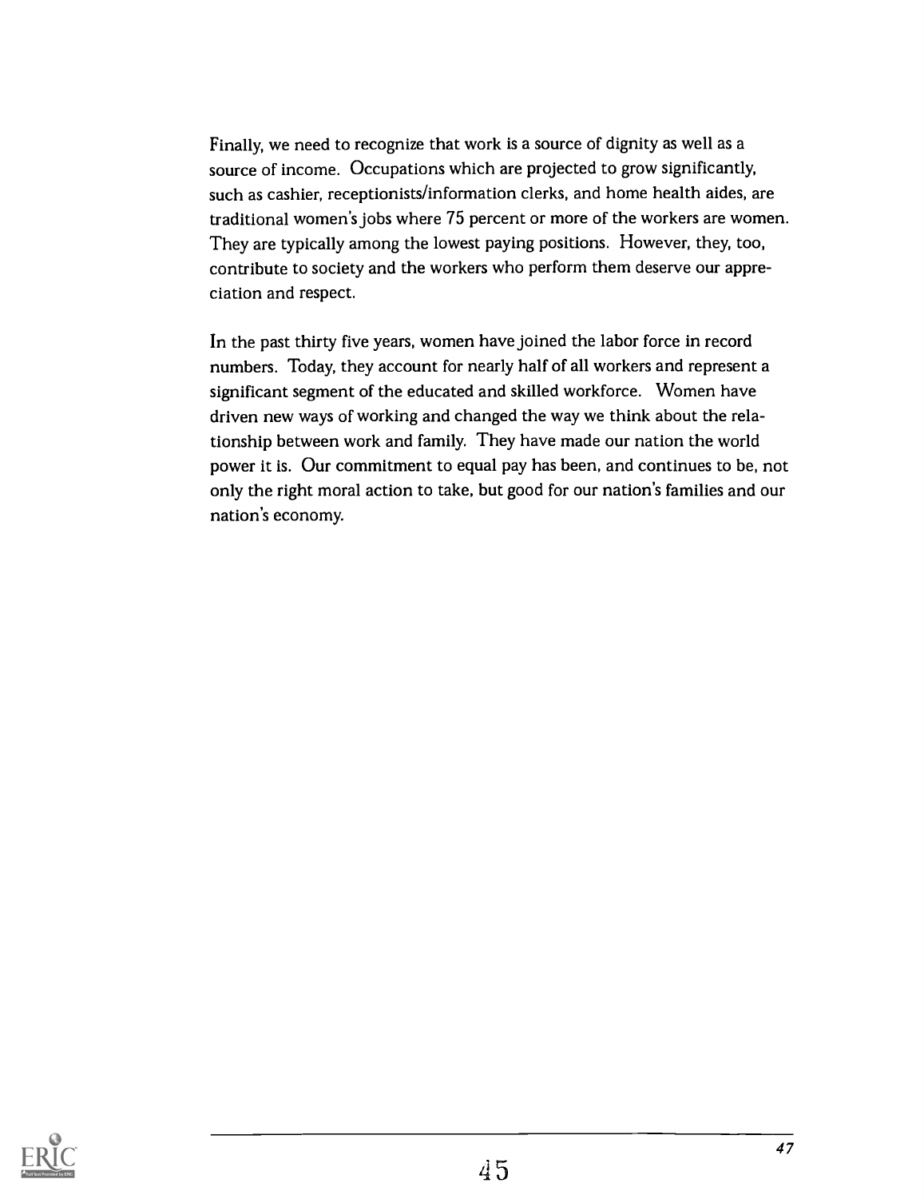Finally, we need to recognize that work is a source of dignity as well as a source of income. Occupations which are projected to grow significantly, such as cashier, receptionists/information clerks, and home health aides, are traditional women's jobs where 75 percent or more of the workers are women. They are typically among the lowest paying positions. However, they, too, contribute to society and the workers who perform them deserve our appreciation and respect.

In the past thirty five years, women have joined the labor force in record numbers. Today, they account for nearly half of all workers and represent a significant segment of the educated and skilled workforce. Women have driven new ways of working and changed the way we think about the relationship between work and family. They have made our nation the world power it is. Our commitment to equal pay has been, and continues to be, not only the right moral action to take, but good for our nation's families and our nation's economy.

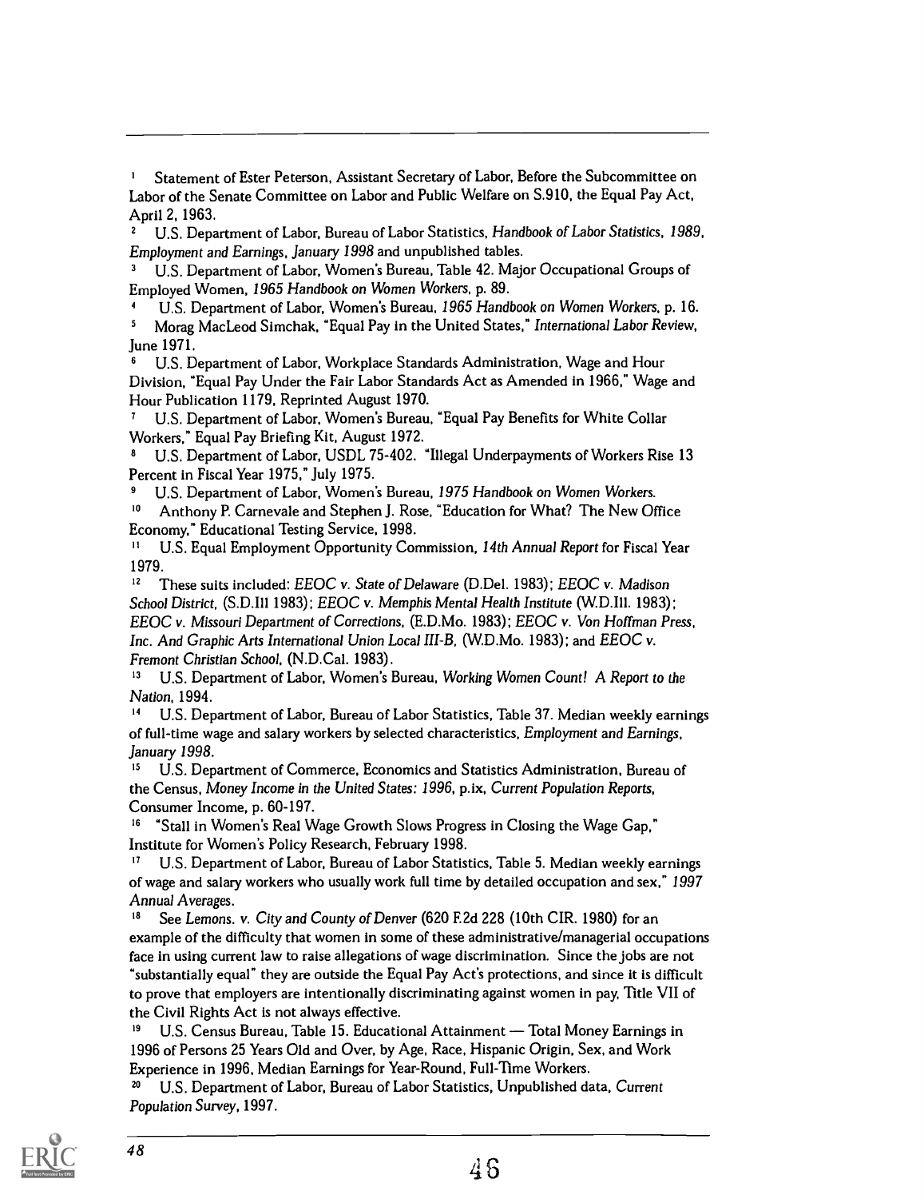Statement of Ester Peterson, Assistant Secretary of Labor, Before the Subcommittee on Labor of the Senate Committee on Labor and Public Welfare on S.910, the Equal Pay Act, April 2, 1963.

U.S. Department of Labor, Bureau of Labor Statistics, Handbook of Labor Statistics, 1989, Employment and Earnings, January 1998 and unpublished tables.

<sup>3</sup> U.S. Department of Labor, Women's Bureau, Table 42. Major Occupational Groups of Employed Women, 1965 Handbook on Women Workers, p. 89.

U.S. Department of Labor, Women's Bureau, 1965 Handbook on Women Workers, p. 16.  $\overline{\mathbf{5}}$ Morag MacLeod Simchak, "Equal Pay in the United States," International Labor Review, June 1971.

U.S. Department of Labor, Workplace Standards Administration, Wage and Hour Division, "Equal Pay Under the Fair Labor Standards Act as Amended in 1966," Wage and Hour Publication 1179, Reprinted August 1970.

U.S. Department of Labor, Women's Bureau, "Equal Pay Benefits for White Collar Workers," Equal Pay Briefing Kit, August 1972.

U.S. Department of Labor, USDL 75-402. "Illegal Underpayments of Workers Rise 13 Percent in Fiscal Year 1975," July 1975.

<sup>9</sup> U.S. Department of Labor, Women's Bureau, 1975 Handbook on Women Workers.<br><sup>10</sup> Anthony P. Carnevale and Stephen L. Rose, "Education for What? The New Ot

Anthony P. Carnevale and Stephen J. Rose, "Education for What? The New Office Economy," Educational Testing Service, 1998.

<sup>11</sup> U.S. Equal Employment Opportunity Commission, 14th Annual Report for Fiscal Year 1979.

<sup>12</sup> These suits included: EEOC v. State of Delaware (D.Del. 1983); EEOC v. Madison School District, (S.D.Ill 1983); EEOC v. Memphis Mental Health Institute (W.D.I11. 1983); EEOC v. Missouri Department of Corrections, (E.D.Mo. 1983); EEOC v. Von Hoffman Press, Inc. And Graphic Arts International Union Local III-B, (W.D.Mo. 1983); and EEOC v. Fremont Christian School, (N.D.Cal. 1983).

<sup>13</sup> U.S. Department of Labor, Women's Bureau, Working Women Count! A Report to the Nation, 1994.

<sup>14</sup> U.S. Department of Labor, Bureau of Labor Statistics, Table 37. Median weekly earnings of full-time wage and salary workers by selected characteristics, Employment and Earnings, January 1998.

U.S. Department of Commerce, Economics and Statistics Administration, Bureau of the Census, Money Income in the United States: 1996, p.ix, Current Population Reports, Consumer Income, p. 60-197.

<sup>16</sup> "Stall in Women's Real Wage Growth Slows Progress in Closing the Wage Gap," Institute for Women's Policy Research, February 1998.

<sup>17</sup> U.S. Department of Labor, Bureau of Labor Statistics, Table 5. Median weekly earnings of wage and salary workers who usually work full time by detailed occupation and sex," 1997 Annual Averages.

<sup>18</sup> See Lemons. v. City and County of Denver (620 F.2d 228 (10th CIR. 1980) for an example of the difficulty that women in some of these administrative/managerial occupations face in using current law to raise allegations of wage discrimination. Since the jobs are not "substantially equal" they are outside the Equal Pay Act's protections, and since it is difficult to prove that employers are intentionally discriminating against women in pay, Title VII of the Civil Rights Act is not always effective.

<sup>19</sup> U.S. Census Bureau, Table 15. Educational Attainment — Total Money Earnings in 1996 of Persons 25 Years Old and Over, by Age, Race, Hispanic Origin, Sex, and Work Experience in 1996, Median Earnings for Year-Round, Full-Time Workers.

<sup>20</sup> U.S. Department of Labor, Bureau of Labor Statistics, Unpublished data, Current Population Survey, 1997.

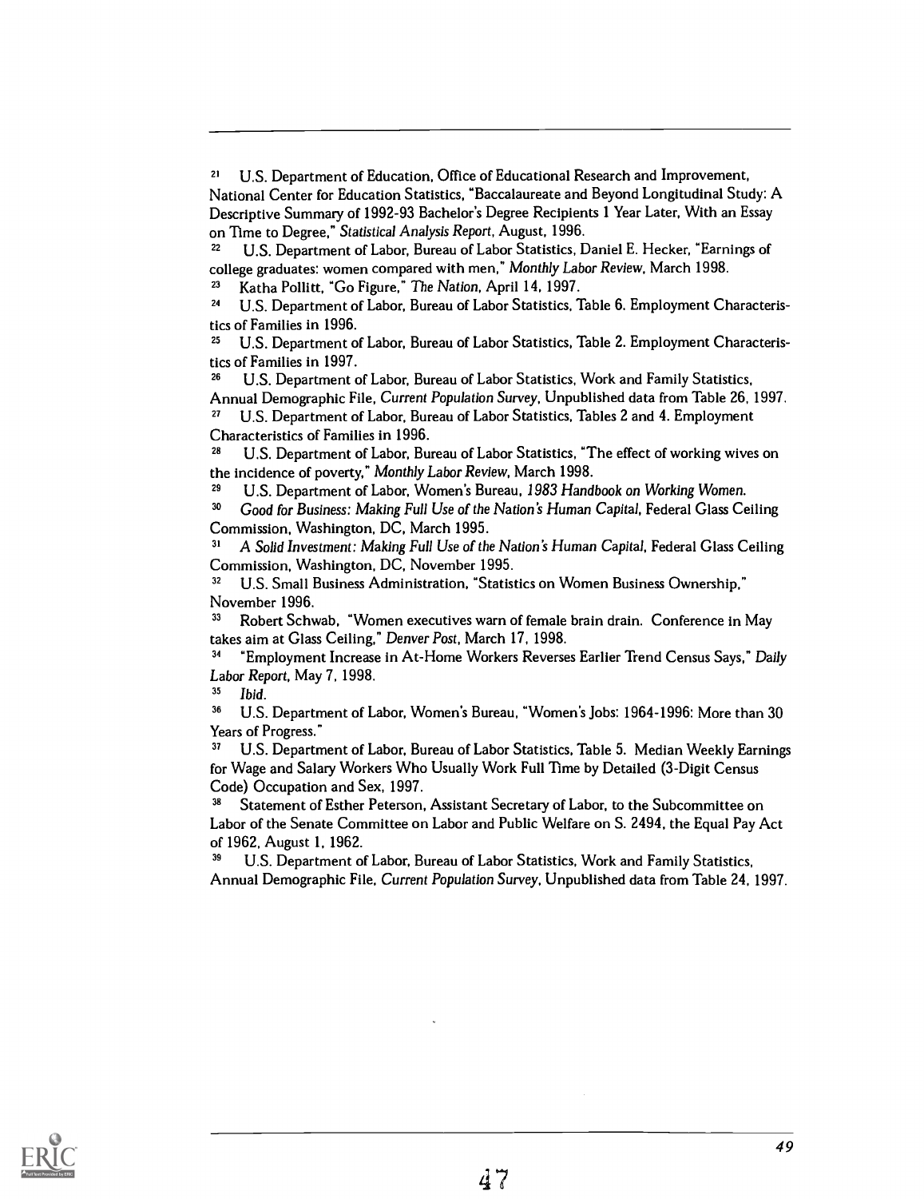<sup>29</sup> U.S. Department of Labor, Women's Bureau, 1983 Handbook on Working Women.

3° Good for Business: Making Full Use of the Nation's Human Capital, Federal Glass Ceiling Commission, Washington, DC, March 1995.

3' A Solid Investment: Making Full Use of the Nation's Human Capital, Federal Glass Ceiling Commission, Washington, DC, November 1995.

<sup>32</sup> U.S. Small Business Administration, "Statistics on Women Business Ownership," November 1996.

<sup>33</sup> Robert Schwab, "Women executives warn of female brain drain. Conference in May takes aim at Glass Ceiling," Denver Post, March 17, 1998.

"Employment Increase in At-Home Workers Reverses Earlier Trend Census Says," Daily Labor Report, May 7, 1998.

<sup>35</sup> Ibid.

<sup>36</sup> U.S. Department of Labor, Women's Bureau, "Women's Jobs: 1964-1996: More than 30 Years of Progress."

U.S. Department of Labor, Bureau of Labor Statistics, Table 5. Median Weekly Earnings for Wage and Salary Workers Who Usually Work Full Time by Detailed (3-Digit Census Code) Occupation and Sex, 1997.

<sup>38</sup> Statement of Esther Peterson, Assistant Secretary of Labor, to the Subcommittee on Labor of the Senate Committee on Labor and Public Welfare on S. 2494, the Equal Pay Act of 1962, August 1, 1962.<br><sup>39</sup> U.S. Department of Labor, Bureau of Labor Statistics, Work and Family Statistics,

Annual Demographic File, Current Population Survey, Unpublished data from Table 24, 1997.



<sup>&</sup>lt;sup>21</sup> U.S. Department of Education, Office of Educational Research and Improvement, National Center for Education Statistics, "Baccalaureate and Beyond Longitudinal Study: A Descriptive Summary of 1992-93 Bachelor's Degree Recipients 1 Year Later, With an Essay on Time to Degree," Statistical Analysis Report, August, 1996.

U.S. Department of Labor, Bureau of Labor Statistics, Daniel E. Hecker, "Earnings of college graduates: women compared with men," Monthly Labor Review, March 1998.

<sup>23</sup> Katha Pollitt, "Go Figure," The Nation, April 14, 1997.

<sup>24</sup> U.S. Department of Labor, Bureau of Labor Statistics, Table 6. Employment Characteristics of Families in 1996.

<sup>&</sup>lt;sup>25</sup> U.S. Department of Labor, Bureau of Labor Statistics, Table 2. Employment Characteristics of Families in 1997.

<sup>&</sup>lt;sup>26</sup> U.S. Department of Labor, Bureau of Labor Statistics, Work and Family Statistics, Annual Demographic File, Current Population Survey, Unpublished data from Table 26, 1997.

<sup>27</sup> U.S. Department of Labor, Bureau of Labor Statistics, Tables 2 and 4. Employment Characteristics of Families in 1996.

U.S. Department of Labor, Bureau of Labor Statistics, "The effect of working wives on the incidence of poverty," Monthly Labor Review, March 1998.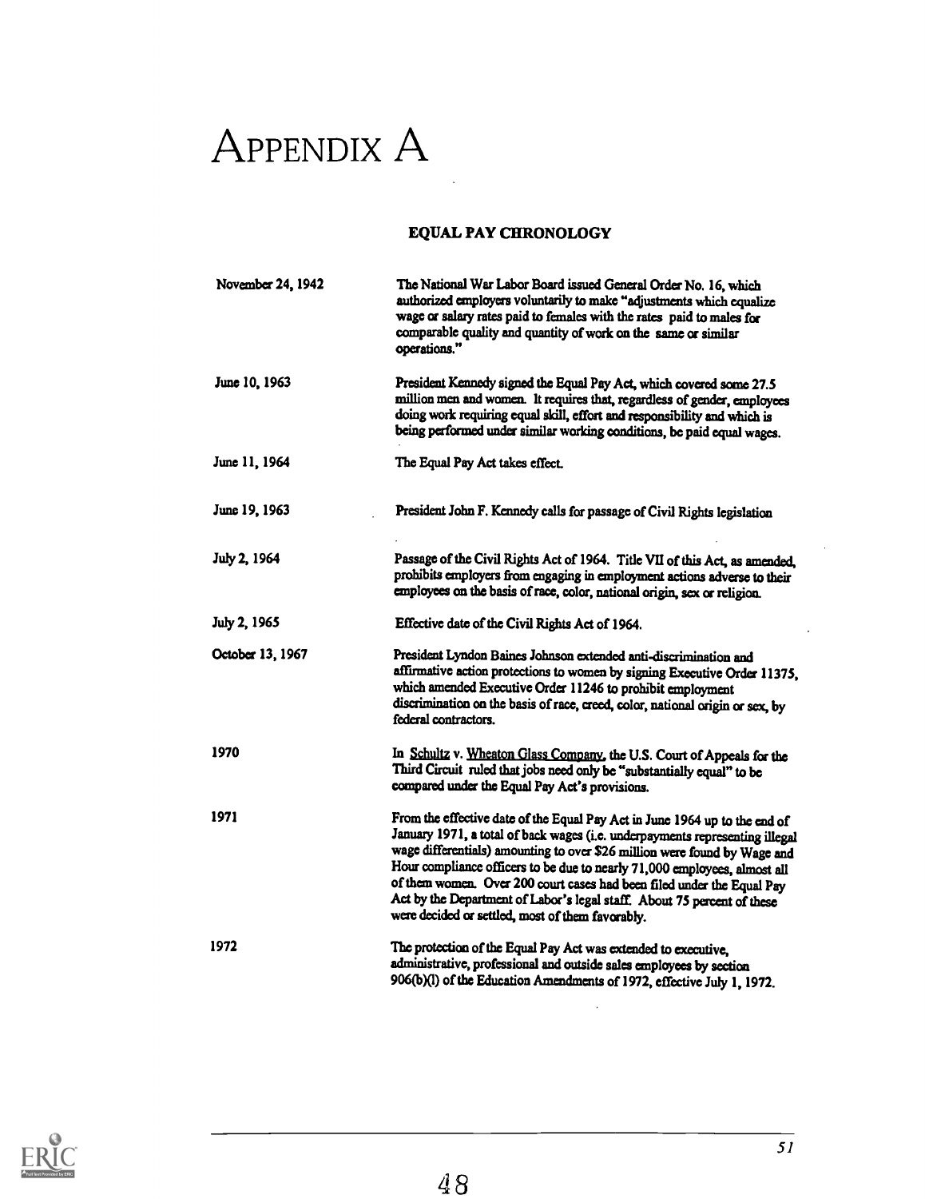# APPENDIX A

### EQUAL PAY CHRONOLOGY

| November 24, 1942 | The National War Labor Board issued General Order No. 16, which<br>authorized employers voluntarily to make "adjustments which equalize<br>wage or salary rates paid to females with the rates paid to males for<br>comparable quality and quantity of work on the same or similar<br>operations."                                                                                                                                                                                                                            |
|-------------------|-------------------------------------------------------------------------------------------------------------------------------------------------------------------------------------------------------------------------------------------------------------------------------------------------------------------------------------------------------------------------------------------------------------------------------------------------------------------------------------------------------------------------------|
| June 10, 1963     | President Kennedy signed the Equal Pay Act, which covered some 27.5<br>million men and women. It requires that, regardless of gender, employees<br>doing work requiring equal skill, effort and responsibility and which is<br>being performed under similar working conditions, be paid equal wages.                                                                                                                                                                                                                         |
| June 11, 1964     | The Equal Pay Act takes effect.                                                                                                                                                                                                                                                                                                                                                                                                                                                                                               |
| June 19, 1963     | President John F. Kennedy calls for passage of Civil Rights legislation                                                                                                                                                                                                                                                                                                                                                                                                                                                       |
| July 2, 1964      | Passage of the Civil Rights Act of 1964. Title VII of this Act, as amended,<br>prohibits employers from engaging in employment actions adverse to their<br>employees on the basis of race, color, national origin, sex or religion.                                                                                                                                                                                                                                                                                           |
| July 2, 1965      | Effective date of the Civil Rights Act of 1964.                                                                                                                                                                                                                                                                                                                                                                                                                                                                               |
| October 13, 1967  | President Lyndon Baines Johnson extended anti-discrimination and<br>affirmative action protections to women by signing Executive Order 11375,<br>which amended Executive Order 11246 to prohibit employment<br>discrimination on the basis of race, creed, color, national origin or sex, by<br>federal contractors.                                                                                                                                                                                                          |
| 1970              | In Schultz v. Wheaton Glass Company, the U.S. Court of Appeals for the<br>Third Circuit ruled that jobs need only be "substantially equal" to be<br>compared under the Equal Pay Act's provisions.                                                                                                                                                                                                                                                                                                                            |
| 1971              | From the effective date of the Equal Pay Act in June 1964 up to the end of<br>January 1971, a total of back wages (i.e. underpayments representing illegal<br>wage differentials) amounting to over \$26 million were found by Wage and<br>Hour compliance officers to be due to nearly 71,000 employees, almost all<br>of them women. Over 200 court cases had been filed under the Equal Pay<br>Act by the Department of Labor's legal staff. About 75 percent of these<br>were decided or settled, most of them favorably. |
| 1972              | The protection of the Equal Pay Act was extended to executive,<br>administrative, professional and outside sales employees by section<br>906(b)(l) of the Education Amendments of 1972, effective July 1, 1972.                                                                                                                                                                                                                                                                                                               |

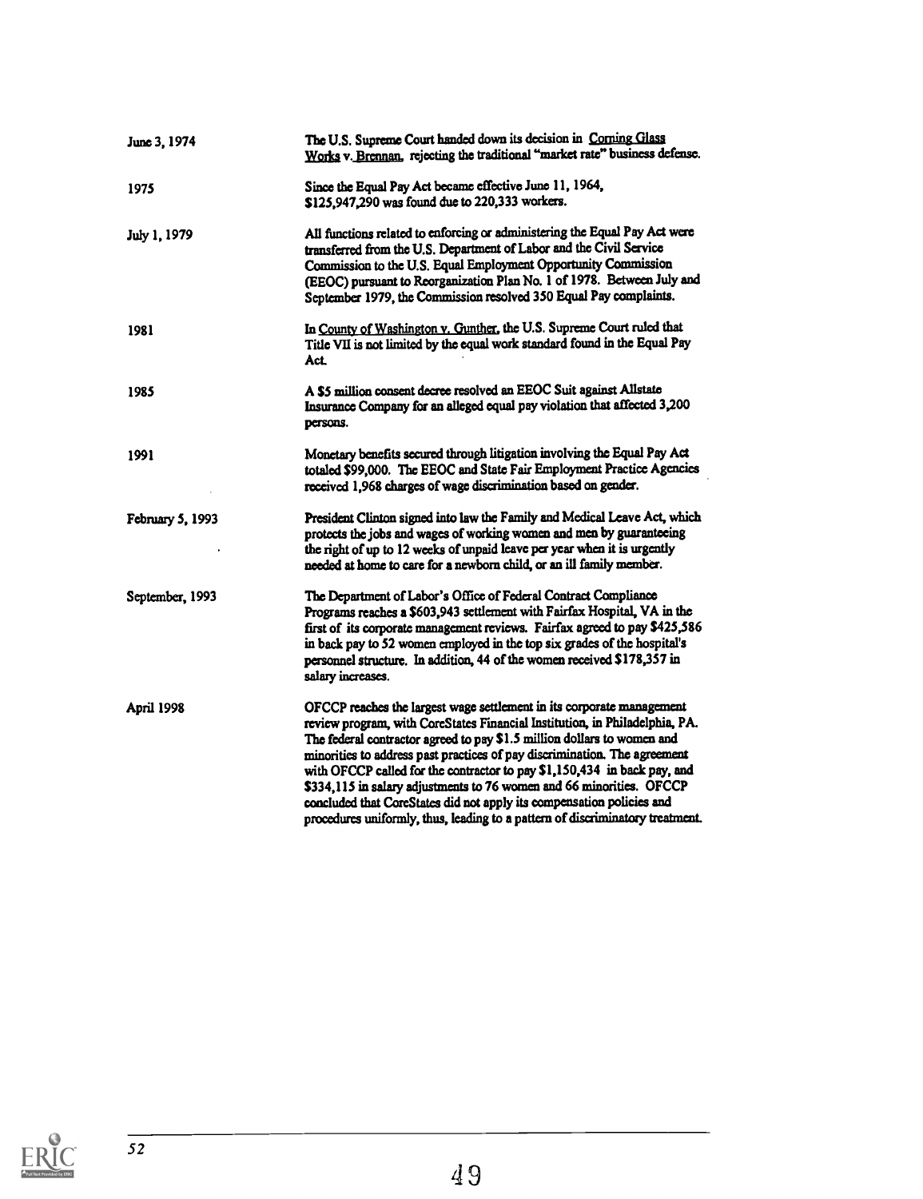| June 3, 1974      | The U.S. Supreme Court handed down its decision in Corning Glass<br>Works v. Brennan, rejecting the traditional "market rate" business defense.                                                                                                                                                                                                                                                                                                                                                                                                                                                                            |
|-------------------|----------------------------------------------------------------------------------------------------------------------------------------------------------------------------------------------------------------------------------------------------------------------------------------------------------------------------------------------------------------------------------------------------------------------------------------------------------------------------------------------------------------------------------------------------------------------------------------------------------------------------|
| 1975              | Since the Equal Pay Act became effective June 11, 1964,<br>\$125,947,290 was found due to 220,333 workers.                                                                                                                                                                                                                                                                                                                                                                                                                                                                                                                 |
| July 1, 1979      | All functions related to enforcing or administering the Equal Pay Act were<br>transferred from the U.S. Department of Labor and the Civil Service<br>Commission to the U.S. Equal Employment Opportunity Commission<br>(EEOC) pursuant to Reorganization Plan No. 1 of 1978. Between July and<br>September 1979, the Commission resolved 350 Equal Pay complaints.                                                                                                                                                                                                                                                         |
| 1981              | In County of Washington v. Gunther, the U.S. Supreme Court ruled that<br>Title VII is not limited by the equal work standard found in the Equal Pay<br>Act.                                                                                                                                                                                                                                                                                                                                                                                                                                                                |
| 1985              | A \$5 million consent decree resolved an EEOC Suit against Allstate<br>Insurance Company for an alleged equal pay violation that affected 3,200<br>persons.                                                                                                                                                                                                                                                                                                                                                                                                                                                                |
| 1991              | Monetary benefits secured through litigation involving the Equal Pay Act<br>totaled \$99,000. The EEOC and State Fair Employment Practice Agencies<br>received 1,968 charges of wage discrimination based on gender.                                                                                                                                                                                                                                                                                                                                                                                                       |
| February 5, 1993  | President Clinton signed into law the Family and Medical Leave Act, which<br>protects the jobs and wages of working women and men by guaranteeing<br>the right of up to 12 weeks of unpaid leave per year when it is urgently<br>needed at home to care for a newborn child, or an ill family member.                                                                                                                                                                                                                                                                                                                      |
| September, 1993   | The Department of Labor's Office of Federal Contract Compliance<br>Programs reaches a \$603,943 settlement with Fairfax Hospital, VA in the<br>first of its corporate management reviews. Fairfax agreed to pay \$425,586<br>in back pay to 52 women employed in the top six grades of the hospital's<br>personnel structure. In addition, 44 of the women received \$178,357 in<br>salary increases.                                                                                                                                                                                                                      |
| <b>April 1998</b> | OFCCP reaches the largest wage settlement in its corporate management<br>review program, with CoreStates Financial Institution, in Philadelphia, PA.<br>The federal contractor agreed to pay \$1.5 million dollars to women and<br>minorities to address past practices of pay discrimination. The agreement<br>with OFCCP called for the contractor to pay \$1,150,434 in back pay, and<br>\$334,115 in salary adjustments to 76 women and 66 minorities. OFCCP<br>concluded that CoreStates did not apply its compensation policies and<br>procedures uniformly, thus, leading to a pattern of discriminatory treatment. |

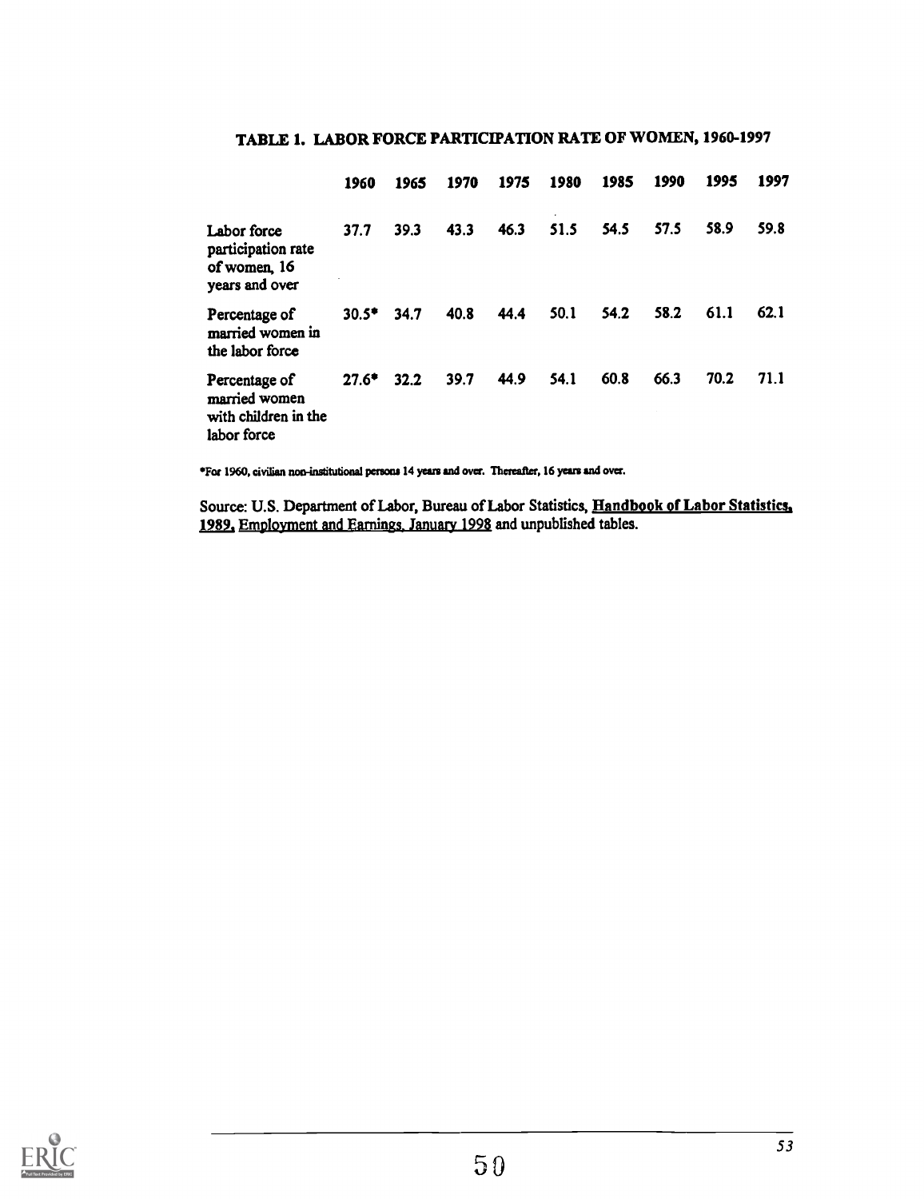|                                                                       | 1960          | 1965 | 1970 | 1975 | 1980 | 1985 | 1990 | 1995 | 1997 |
|-----------------------------------------------------------------------|---------------|------|------|------|------|------|------|------|------|
| Labor force<br>participation rate<br>of women, 16<br>years and over   | 37.7          | 39.3 | 43.3 | 46.3 | 51.5 | 54.5 | 57.5 | 58.9 | 59.8 |
| Percentage of<br>married women in<br>the labor force                  | $30.5^*$ 34.7 |      | 40.8 | 44.4 | 50.1 | 54.2 | 58.2 | 61.1 | 62.1 |
| Percentage of<br>married women<br>with children in the<br>labor force | $27.6*$       | 32.2 | 39.7 | 44.9 | 54.1 | 60.8 | 66.3 | 70.2 | 71.1 |

### TABLE 1. LABOR FORCE PARTICIPATION RATE OF WOMEN, 1960-1997

\*For 1960, civilian non-institutional persons 14 years and over. Thereafter, 16 years and over.

Source: U.S. Department of Labor, Bureau of Labor Statistics, Handbook of Labor Statistics, 1989, Employment and Earnings January 1998 and unpublished tables.

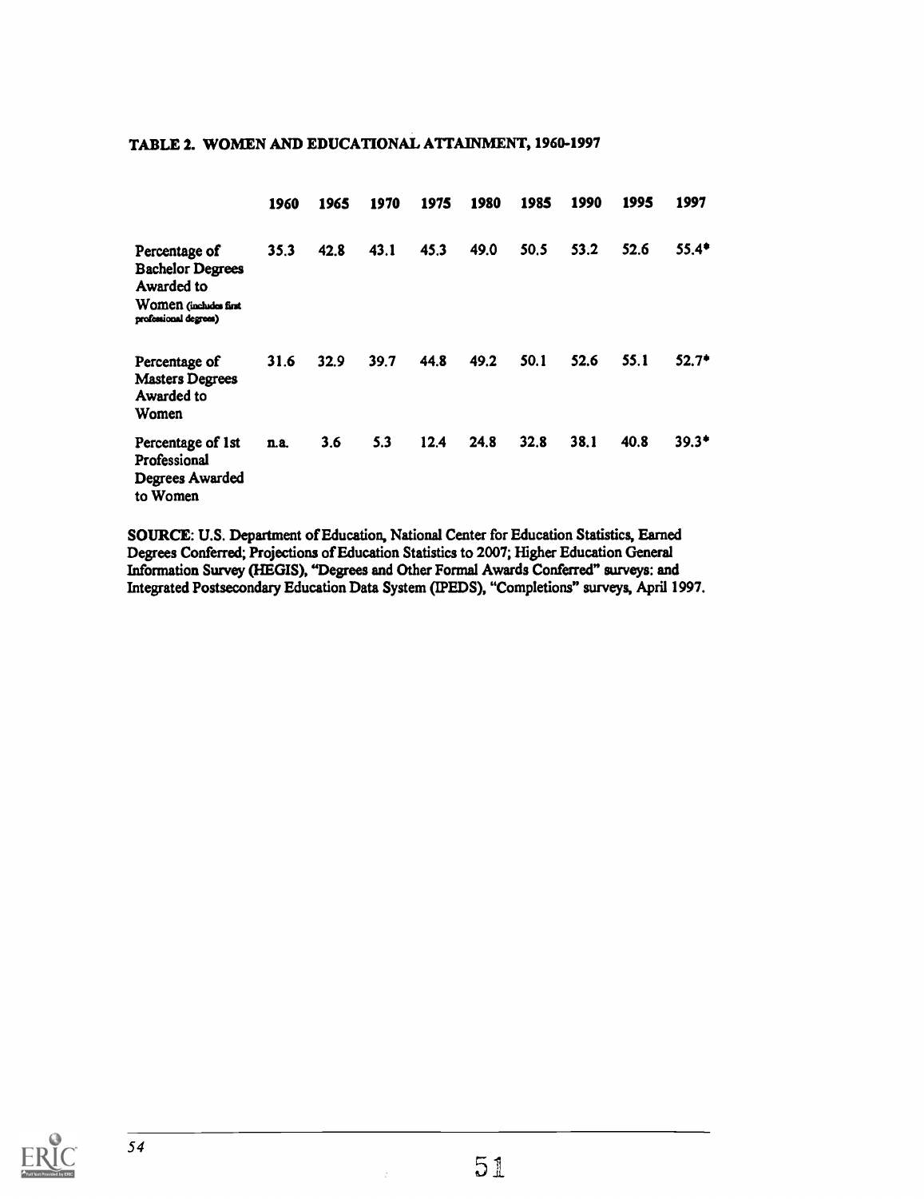|                                                                                                          | 1960 | 1965 | 1970 | 1975 | 1980 | 1985 | 1990 | 1995 | 1997    |
|----------------------------------------------------------------------------------------------------------|------|------|------|------|------|------|------|------|---------|
| Percentage of<br><b>Bachelor Degrees</b><br>Awarded to<br>Women (includes first<br>professional degrees) | 35.3 | 42.8 | 43.1 | 45.3 | 49.0 | 50.5 | 53.2 | 52.6 | $55.4*$ |
| Percentage of<br><b>Masters Degrees</b><br>Awarded to<br>Women                                           | 31.6 | 32.9 | 39.7 | 44.8 | 49.2 | 50.1 | 52.6 | 55.1 | $52.7*$ |
| Percentage of 1st<br>Professional<br><b>Degrees Awarded</b><br>to Women                                  | n.a. | 3.6  | 5.3  | 12.4 | 24.8 | 32.8 | 38.1 | 40.8 | $39.3*$ |

#### TABLE 2. WOMEN AND EDUCATIONAL ATTAINMENT, 1960-1997

SOURCE: U.S. Department of Education, National Center for Education Statistics, Earned Degrees Conferred; Projections of Education Statistics to 2007; Higher Education General Information Survey (AEGIS), "Degrees and Other Formal Awards Conferred" surveys: and Integrated Postsecondary Education Data System (IPEDS), "Completions" surveys, April 1997.

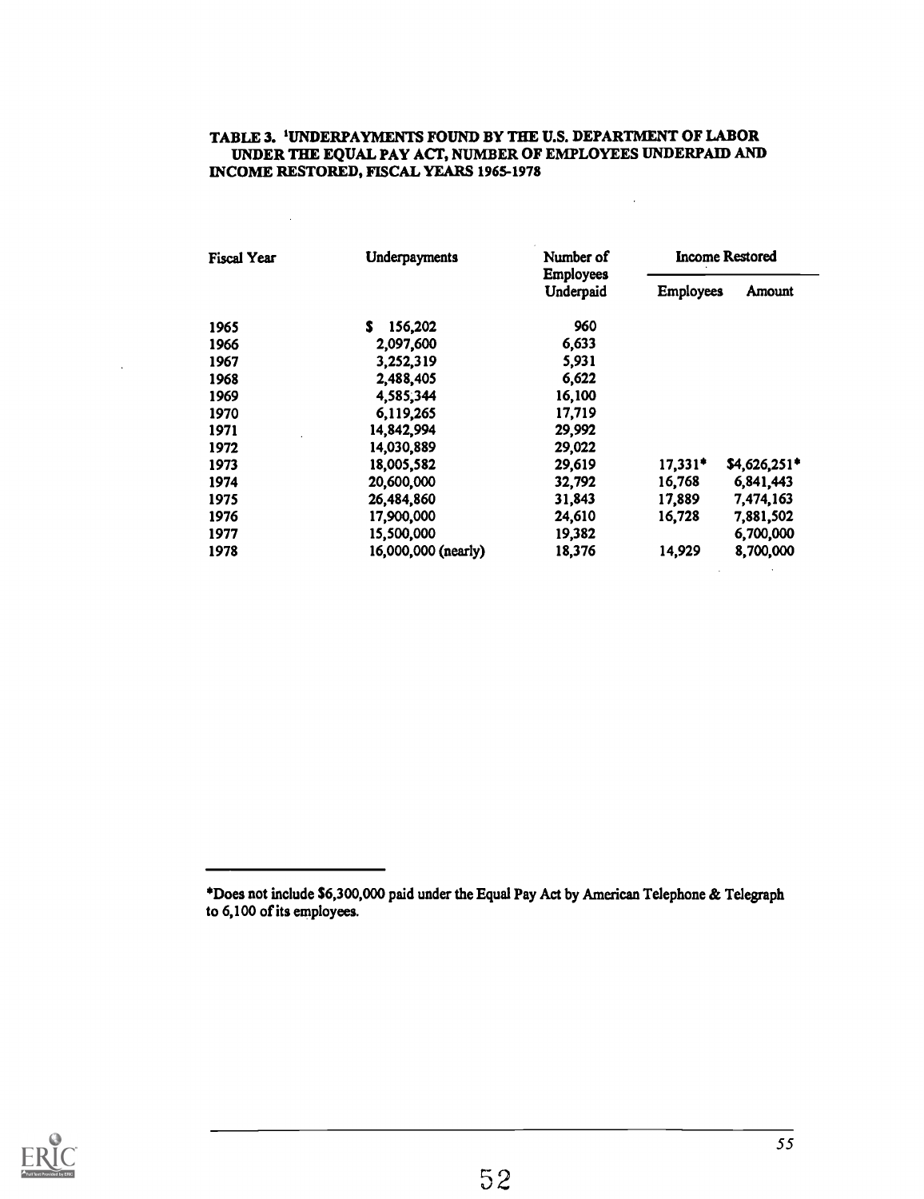### TABLE 3. 'UNDERPAYMENTS FOUND BY THE U.S. DEPARTMENT OF LABOR UNDER THE EQUAL PAY ACT, NUMBER OF EMPLOYEES UNDERPAID AND INCOME RESTORED, FISCAL YEARS 1965-1978

 $\bar{L}$ 

 $\bar{\mathcal{L}}$ 

 $\sim$ 

| <b>Fiscal Year</b> | Underpayments       | Number of                     | <b>Income Restored</b> |               |  |  |
|--------------------|---------------------|-------------------------------|------------------------|---------------|--|--|
| S.                 |                     | <b>Employees</b><br>Underpaid | <b>Employees</b>       | Amount        |  |  |
| 1965               | 156,202             | 960                           |                        |               |  |  |
| 1966               | 2,097,600           | 6,633                         |                        |               |  |  |
| 1967               | 3,252,319           | 5,931                         |                        |               |  |  |
| 1968               | 2,488,405           | 6,622                         |                        |               |  |  |
| 1969               | 4,585,344           | 16,100                        |                        |               |  |  |
| 1970               | 6,119,265           | 17,719                        |                        |               |  |  |
| 1971               | 14,842,994          | 29,992                        |                        |               |  |  |
| 1972               | 14,030,889          | 29,022                        |                        |               |  |  |
| 1973               | 18,005,582          | 29,619                        | $17,331*$              | $$4,626,251*$ |  |  |
| 1974               | 20,600,000          | 32,792                        | 16,768                 | 6,841,443     |  |  |
| 1975               | 26,484,860          | 31,843                        | 17,889                 | 7,474,163     |  |  |
| 1976               | 17,900,000          | 24,610                        | 16,728                 | 7,881,502     |  |  |
| 1977               | 15,500,000          | 19,382                        |                        | 6,700,000     |  |  |
| 1978               | 16,000,000 (nearly) | 18,376                        | 14,929                 | 8,700,000     |  |  |



Does not include \$6,300,000 paid under the Equal Pay Act by American Telephone & Telegraph to 6,100 of its employees.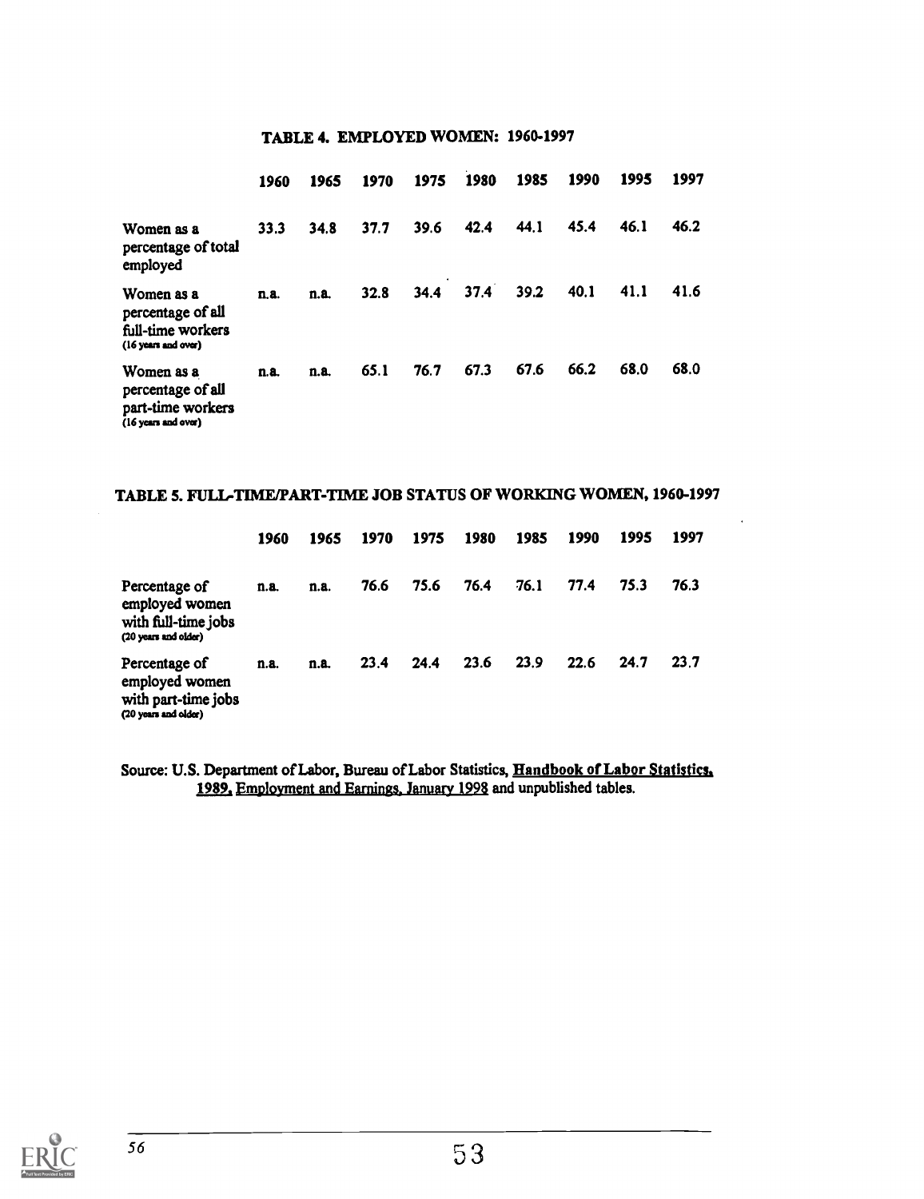### TABLE 4. EMPLOYED WOMEN: 1960-1997

|                                                                             | 1960 | 1965 | 1970 | 1975 | 1980 | 1985 | 1990 | 1995 | 1997 |  |
|-----------------------------------------------------------------------------|------|------|------|------|------|------|------|------|------|--|
| Women as a<br>percentage of total<br>employed                               | 33.3 | 34.8 | 37.7 | 39.6 | 42.4 | 44.1 | 45.4 | 46.1 | 46.2 |  |
| Women as a<br>percentage of all<br>full-time workers<br>(16 years and over) | n.a. | n.a. | 32.8 | 34.4 | 37.4 | 39.2 | 40.1 | 41.1 | 41.6 |  |
| Women as a<br>percentage of all<br>part-time workers<br>(16 years and over) | n.a. | n.a. | 65.1 | 76.7 | 67.3 | 67.6 | 66.2 | 68.0 | 68.0 |  |

### TABLE 5. FULL-TIME/PART-TIME JOB STATUS OF WORKING WOMEN, 1960-1997

|                                                                                | 1960 | 1965 | 1970 | 1975 | 1980 | 1985 | 1990 | 1995 | 1997 |  |
|--------------------------------------------------------------------------------|------|------|------|------|------|------|------|------|------|--|
| Percentage of<br>employed women<br>with full-time jobs<br>(20 years and older) | n.a. | n.a. | 76.6 | 75.6 | 76.4 | 76.1 | 77.4 | 75.3 | 76.3 |  |
| Percentage of<br>employed women<br>with part-time jobs<br>(20 years and older) | n.a. | n.a. | 23.4 | 24.4 | 23.6 | 23.9 | 22.6 | 24.7 | 23.7 |  |

Source: U.S. Department of Labor, Bureau of Labor Statistics, Handbook of Labor Statistics, 1989. Employment and Earnings. January 1998 and unpublished tables.

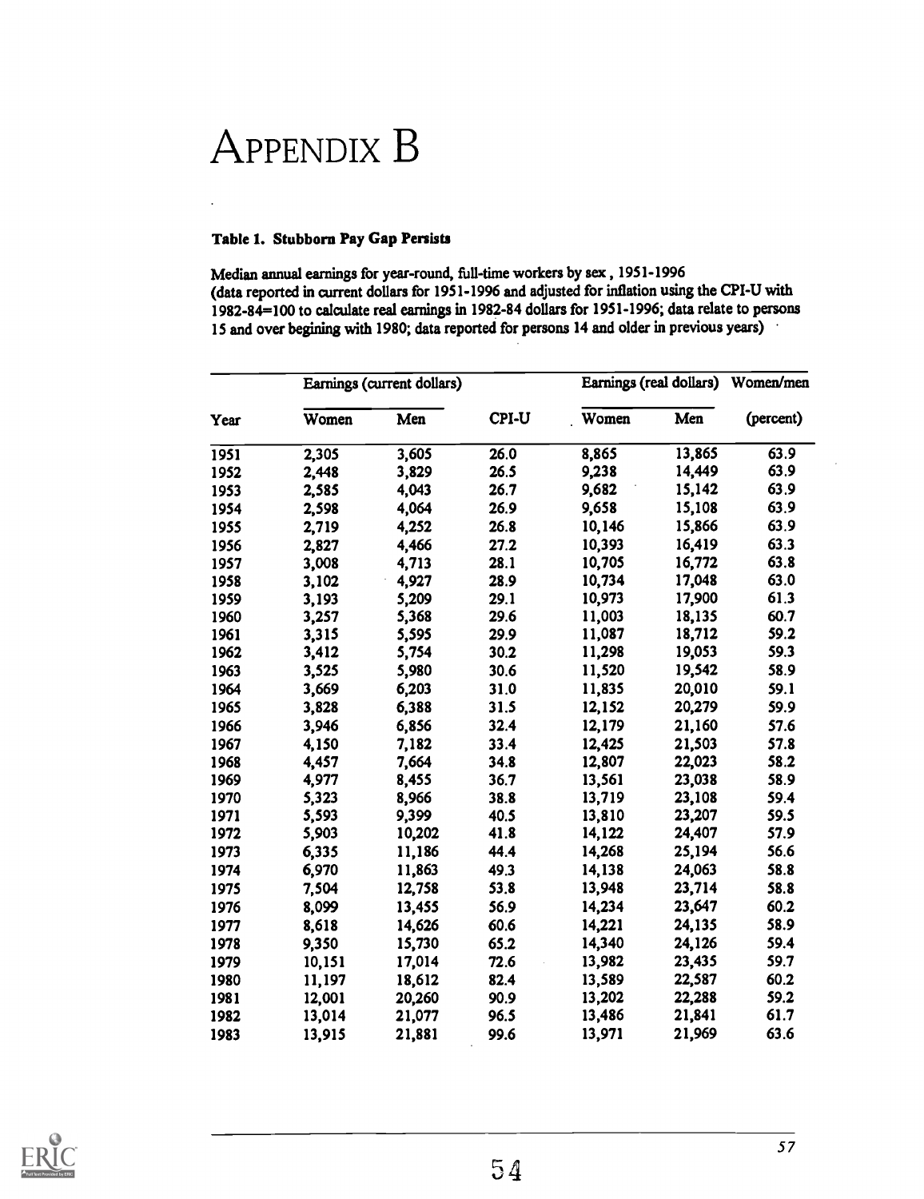# APPENDIX B

#### Table 1. Stubborn Pay Gap Persists

Median annual earnings for year-round, full-time workers by sex , 1951-1996 (data reported in current dollars for 1951-1996 and adjusted for inflation using the CPI-U with 1982-84=100 to calculate real earnings in 1982-84 dollars for 1951-1996; data relate to persons 15 and over begining with 1980; data reported for persons 14 and older in previous years)

|      |        | Earnings (current dollars) |       | Earnings (real dollars) | Women/men |           |
|------|--------|----------------------------|-------|-------------------------|-----------|-----------|
| Year | Women  | Men                        | CPI-U | Women                   | Men       | (percent) |
| 1951 | 2,305  | 3,605                      | 26.0  | 8,865                   | 13,865    | 63.9      |
| 1952 | 2,448  | 3,829                      | 26.5  | 9,238                   | 14,449    | 63.9      |
| 1953 | 2,585  | 4,043                      | 26.7  | 9,682                   | 15,142    | 63.9      |
| 1954 | 2,598  | 4,064                      | 26.9  | 9,658                   | 15,108    | 63.9      |
| 1955 | 2,719  | 4,252                      | 26.8  | 10,146                  | 15,866    | 63.9      |
| 1956 | 2,827  | 4,466                      | 27.2  | 10,393                  | 16,419    | 63.3      |
| 1957 | 3,008  | 4,713                      | 28.1  | 10,705                  | 16,772    | 63.8      |
| 1958 | 3,102  | 4,927                      | 28.9  | 10,734                  | 17,048    | 63.0      |
| 1959 | 3,193  | 5,209                      | 29.1  | 10,973                  | 17,900    | 61.3      |
| 1960 | 3,257  | 5,368                      | 29.6  | 11,003                  | 18,135    | 60.7      |
| 1961 | 3,315  | 5,595                      | 29.9  | 11,087                  | 18,712    | 59.2      |
| 1962 | 3,412  | 5,754                      | 30.2  | 11,298                  | 19,053    | 59.3      |
| 1963 | 3,525  | 5,980                      | 30.6  | 11,520                  | 19,542    | 58.9      |
| 1964 | 3,669  | 6,203                      | 31.0  | 11,835                  | 20,010    | 59.1      |
| 1965 | 3,828  | 6,388                      | 31.5  | 12,152                  | 20,279    | 59.9      |
| 1966 | 3,946  | 6,856                      | 32.4  | 12,179                  | 21,160    | 57.6      |
| 1967 | 4,150  | 7,182                      | 33.4  | 12,425                  | 21,503    | 57.8      |
| 1968 | 4,457  | 7,664                      | 34.8  | 12,807                  | 22,023    | 58.2      |
| 1969 | 4,977  | 8,455                      | 36.7  | 13,561                  | 23,038    | 58.9      |
| 1970 | 5,323  | 8,966                      | 38.8  | 13,719                  | 23,108    | 59.4      |
| 1971 | 5,593  | 9,399                      | 40.5  | 13,810                  | 23,207    | 59.5      |
| 1972 | 5,903  | 10,202                     | 41.8  | 14,122                  | 24,407    | 57.9      |
| 1973 | 6,335  | 11,186                     | 44.4  | 14,268                  | 25,194    | 56.6      |
| 1974 | 6,970  | 11,863                     | 49.3  | 14,138                  | 24,063    | 58.8      |
| 1975 | 7,504  | 12,758                     | 53.8  | 13,948                  | 23,714    | 58.8      |
| 1976 | 8,099  | 13,455                     | 56.9  | 14,234                  | 23,647    | 60.2      |
| 1977 | 8,618  | 14,626                     | 60.6  | 14,221                  | 24,135    | 58.9      |
| 1978 | 9,350  | 15,730                     | 65.2  | 14,340                  | 24,126    | 59.4      |
| 1979 | 10,151 | 17,014                     | 72.6  | 13,982                  | 23,435    | 59.7      |
| 1980 | 11,197 | 18,612                     | 82.4  | 13,589                  | 22,587    | 60.2      |
| 1981 | 12,001 | 20,260                     | 90.9  | 13,202                  | 22,288    | 59.2      |
| 1982 | 13,014 | 21,077                     | 96.5  | 13,486                  | 21,841    | 61.7      |
| 1983 | 13,915 | 21,881                     | 99.6  | 13,971                  | 21,969    | 63.6      |

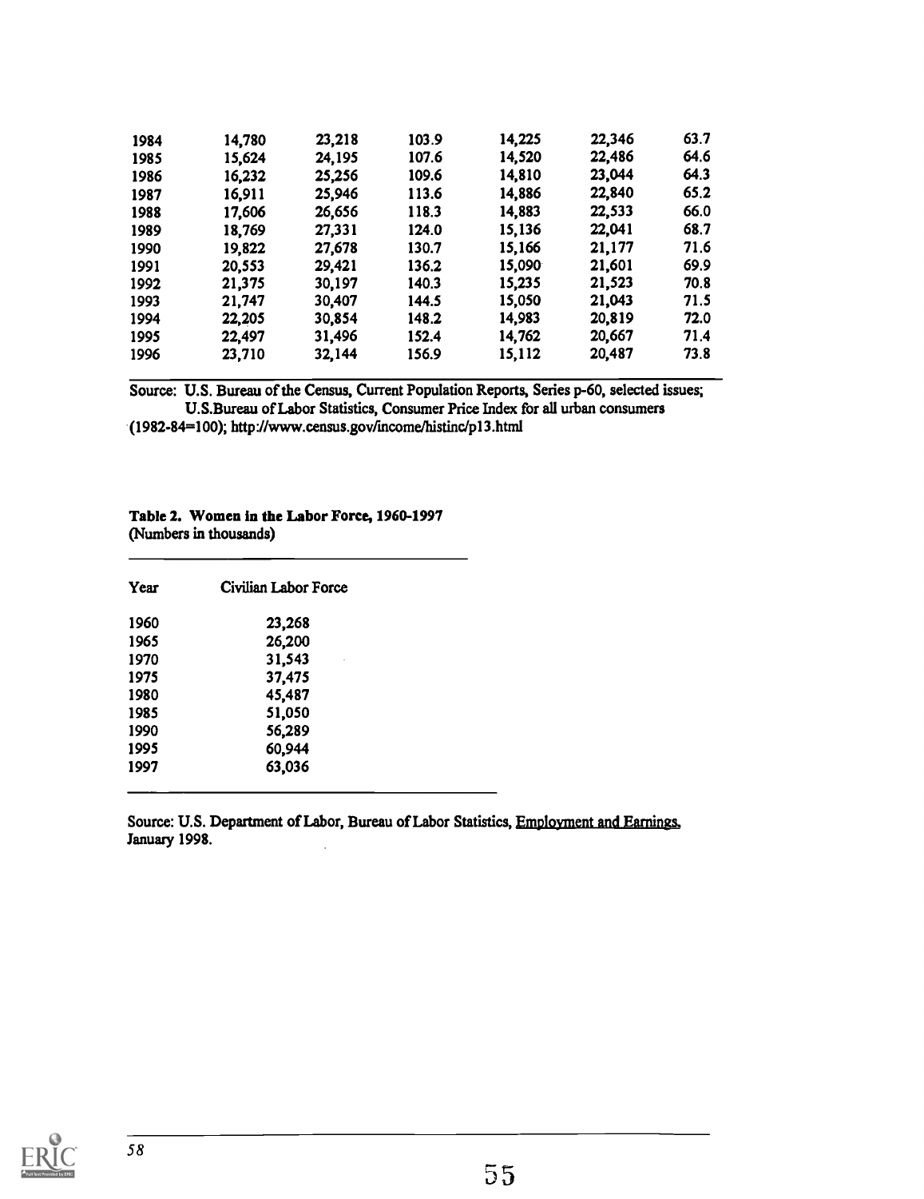| 1984 | 14,780 | 23,218 | 103.9 | 14,225 | 22,346 | 63.7 |  |
|------|--------|--------|-------|--------|--------|------|--|
| 1985 | 15,624 | 24,195 | 107.6 | 14,520 | 22,486 | 64.6 |  |
| 1986 | 16,232 | 25,256 | 109.6 | 14,810 | 23,044 | 64.3 |  |
| 1987 | 16,911 | 25,946 | 113.6 | 14,886 | 22,840 | 65.2 |  |
| 1988 | 17,606 | 26,656 | 118.3 | 14,883 | 22,533 | 66.0 |  |
| 1989 | 18,769 | 27,331 | 124.0 | 15,136 | 22,041 | 68.7 |  |
| 1990 | 19,822 | 27,678 | 130.7 | 15,166 | 21,177 | 71.6 |  |
| 1991 | 20,553 | 29,421 | 136.2 | 15,090 | 21,601 | 69.9 |  |
| 1992 | 21,375 | 30,197 | 140.3 | 15,235 | 21,523 | 70.8 |  |
| 1993 | 21,747 | 30,407 | 144.5 | 15,050 | 21,043 | 71.5 |  |
| 1994 | 22,205 | 30,854 | 148.2 | 14,983 | 20,819 | 72.0 |  |
| 1995 | 22,497 | 31,496 | 152.4 | 14,762 | 20,667 | 71.4 |  |
| 1996 | 23,710 | 32,144 | 156.9 | 15,112 | 20,487 | 73.8 |  |

Source: U.S. Bureau of the Census, Current Population Reports, Series p-60, selected issues; U.S.Bureau of Labor Statistics, Consumer Price Index for all urban consumers

(1982-84=100); http://www.census.gov/incomehistinc/p13.html

#### Table 2. Women in the Labor Force, 1960-1997 (Numbers in thousands)

| Year | Civilian Labor Force |  |
|------|----------------------|--|
| 1960 | 23,268               |  |
| 1965 | 26,200               |  |
| 1970 | 31,543               |  |
| 1975 | 37,475               |  |
| 1980 | 45,487               |  |
| 1985 | 51,050               |  |
| 1990 | 56,289               |  |
| 1995 | 60,944               |  |
| 1997 | 63,036               |  |

Source: U.S. Department of Labor, Bureau of Labor Statistics, Employment and Earnings, January 1998.

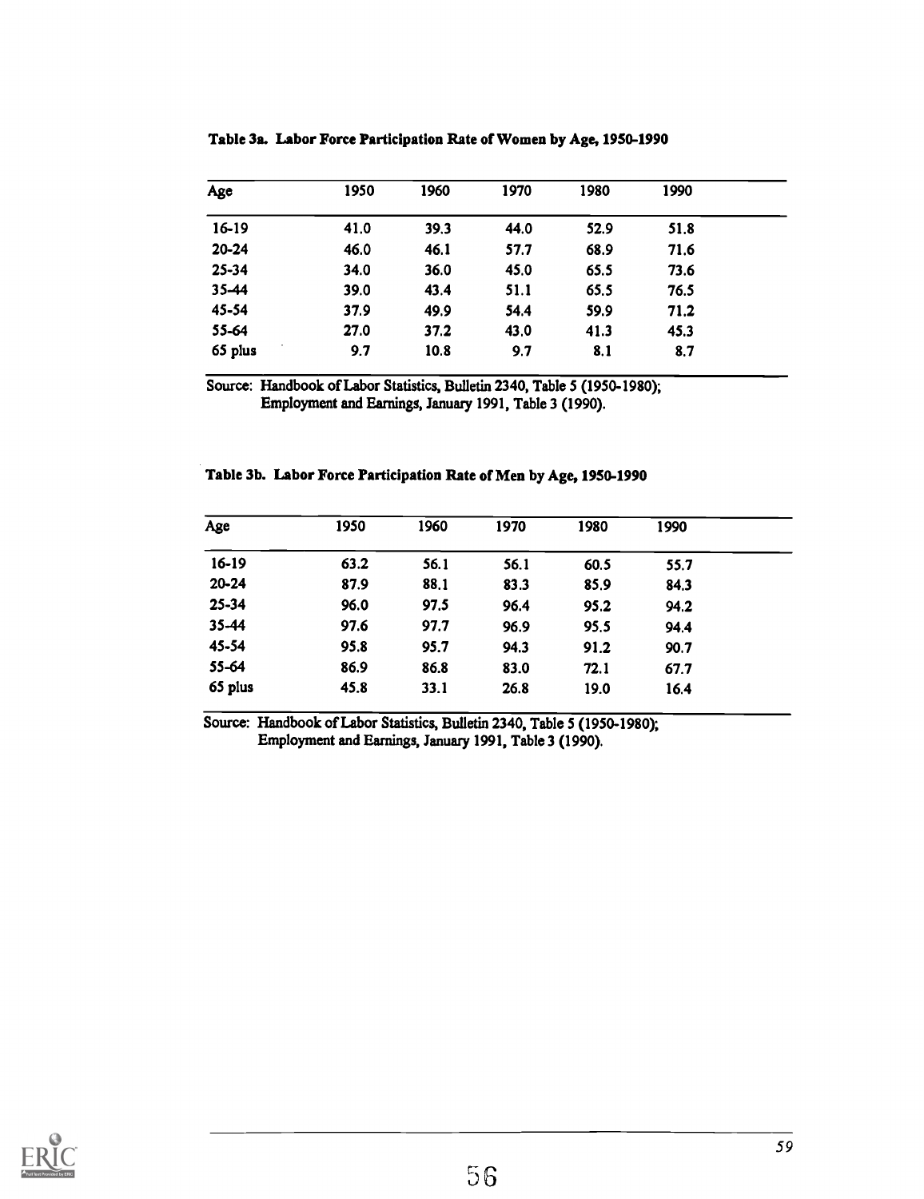| Age       | 1950 | 1960 | 1970 | 1980 | 1990 |  |
|-----------|------|------|------|------|------|--|
| 16-19     | 41.0 | 39.3 | 44.0 | 52.9 | 51.8 |  |
| $20 - 24$ | 46.0 | 46.1 | 57.7 | 68.9 | 71.6 |  |
| $25 - 34$ | 34.0 | 36.0 | 45.0 | 65.5 | 73.6 |  |
| 35-44     | 39.0 | 43.4 | 51.1 | 65.5 | 76.5 |  |
| 45-54     | 37.9 | 49.9 | 54.4 | 59.9 | 71.2 |  |
| 55-64     | 27.0 | 37.2 | 43.0 | 41.3 | 45.3 |  |
| 65 plus   | 9.7  | 10.8 | 9.7  | 8.1  | 8.7  |  |

Table 3a. Labor Force Participation Rate of Women by Age, 1950-1990

Source: Handbook of Labor Statistics, Bulletin 2340, Table 5 (1950-1980); Employment and Earnings, January 1991, Table 3 (1990).

|  |  |  | Table 3b. Labor Force Participation Rate of Men by Age, 1950-1990 |  |  |  |
|--|--|--|-------------------------------------------------------------------|--|--|--|
|--|--|--|-------------------------------------------------------------------|--|--|--|

| Age       | 1950 | 1960 | 1970 | 1980 | 1990 |  |
|-----------|------|------|------|------|------|--|
| 16-19     | 63.2 | 56.1 | 56.1 | 60.5 | 55.7 |  |
| $20 - 24$ | 87.9 | 88.1 | 83.3 | 85.9 | 84.3 |  |
| 25-34     | 96.0 | 97.5 | 96.4 | 95.2 | 94.2 |  |
| 35-44     | 97.6 | 97.7 | 96.9 | 95.5 | 94.4 |  |
| 45-54     | 95.8 | 95.7 | 94.3 | 91.2 | 90.7 |  |
| 55-64     | 86.9 | 86.8 | 83.0 | 72.1 | 67.7 |  |
| 65 plus   | 45.8 | 33.1 | 26.8 | 19.0 | 16.4 |  |

Source: Handbook of Labor Statistics, Bulletin 2340, Table 5 (1950-1980); Employment and Earnings, January 1991, Table 3 (1990).

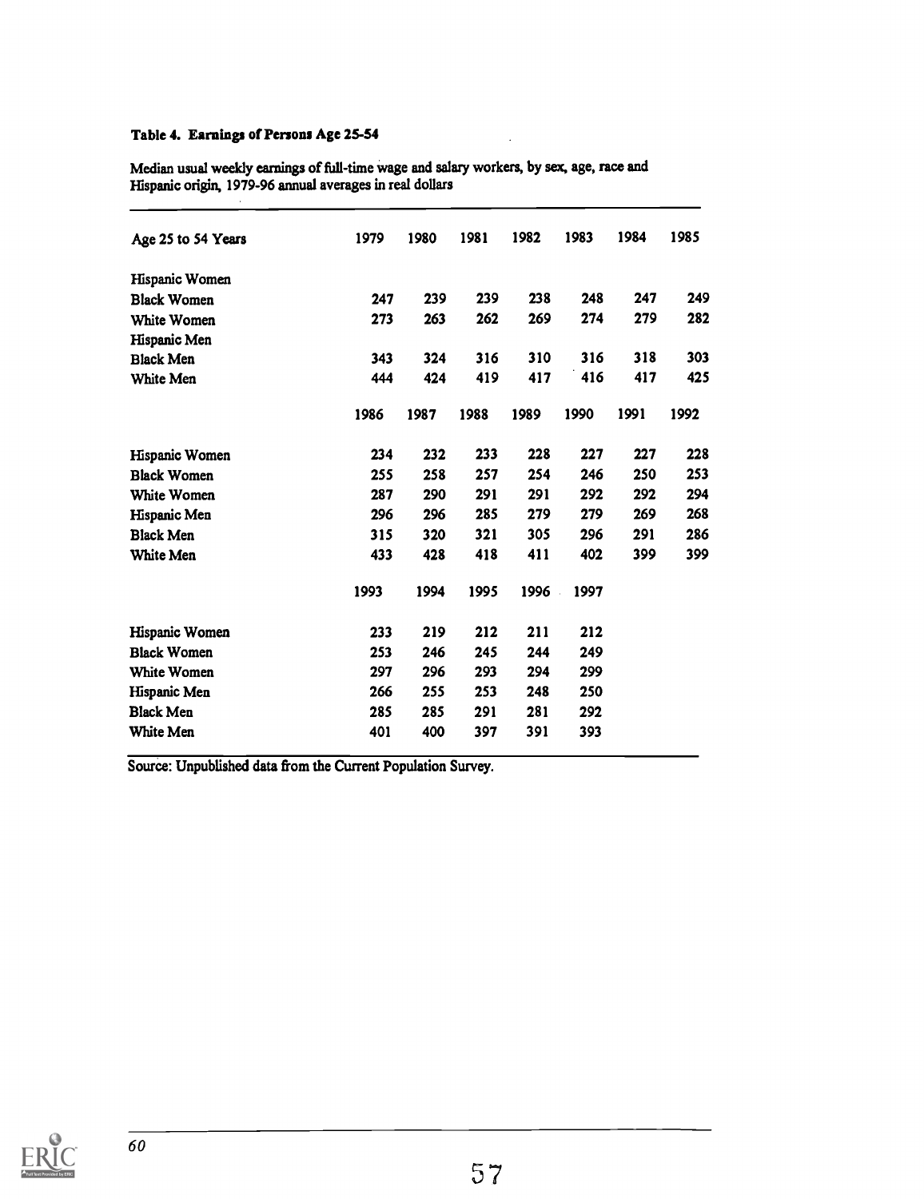### Table 4. Earnings of Persons Age 25-54

| Median usual weekly earnings of full-time wage and salary workers, by sex, age, race and |  |
|------------------------------------------------------------------------------------------|--|
| Hispanic origin, 1979-96 annual averages in real dollars                                 |  |
|                                                                                          |  |

 $\overline{a}$ 

| 239<br>239<br>238<br>248<br>247<br>247<br>269<br>274<br>279<br>263<br>262<br>273<br>310<br>316<br>318<br>324<br>316<br>343<br>416<br>424<br>419<br>417<br>417<br>444<br>1991<br>1986<br>1989<br>1990<br>1992<br>1987<br>1988<br>232<br>233<br>228<br>227<br>227<br>234<br>255<br>258<br>257<br>254<br>246<br>250<br>287<br>290<br>291<br>291<br>292<br>292<br>285<br>269<br>296<br>296<br>279<br>279<br>305<br>315<br>320<br>321<br>296<br>291<br>433<br>428<br>418<br>411<br>402<br>399<br>1993<br>1994<br>1995<br>1996<br>1997<br>212<br>211<br>212<br>233<br>219<br>253<br>246<br>245<br>249<br>244<br>296<br>299<br>297<br>293<br>294<br>266<br>255<br>253<br>248<br>250<br>281<br>285<br>285<br>291<br>292<br>400<br>391<br>401<br>397<br>393 | Age 25 to 54 Years | 1979 | 1980 | 1981 | 1982 | 1983 | 1984 | 1985 |
|----------------------------------------------------------------------------------------------------------------------------------------------------------------------------------------------------------------------------------------------------------------------------------------------------------------------------------------------------------------------------------------------------------------------------------------------------------------------------------------------------------------------------------------------------------------------------------------------------------------------------------------------------------------------------------------------------------------------------------------------------|--------------------|------|------|------|------|------|------|------|
|                                                                                                                                                                                                                                                                                                                                                                                                                                                                                                                                                                                                                                                                                                                                                    | Hispanic Women     |      |      |      |      |      |      |      |
|                                                                                                                                                                                                                                                                                                                                                                                                                                                                                                                                                                                                                                                                                                                                                    | <b>Black Women</b> |      |      |      |      |      |      | 249  |
|                                                                                                                                                                                                                                                                                                                                                                                                                                                                                                                                                                                                                                                                                                                                                    | White Women        |      |      |      |      |      |      | 282  |
|                                                                                                                                                                                                                                                                                                                                                                                                                                                                                                                                                                                                                                                                                                                                                    | Hispanic Men       |      |      |      |      |      |      |      |
|                                                                                                                                                                                                                                                                                                                                                                                                                                                                                                                                                                                                                                                                                                                                                    | <b>Black Men</b>   |      |      |      |      |      |      | 303  |
|                                                                                                                                                                                                                                                                                                                                                                                                                                                                                                                                                                                                                                                                                                                                                    | White Men          |      |      |      |      |      |      | 425  |
|                                                                                                                                                                                                                                                                                                                                                                                                                                                                                                                                                                                                                                                                                                                                                    |                    |      |      |      |      |      |      |      |
|                                                                                                                                                                                                                                                                                                                                                                                                                                                                                                                                                                                                                                                                                                                                                    | Hispanic Women     |      |      |      |      |      |      | 228  |
|                                                                                                                                                                                                                                                                                                                                                                                                                                                                                                                                                                                                                                                                                                                                                    | <b>Black Women</b> |      |      |      |      |      |      | 253  |
|                                                                                                                                                                                                                                                                                                                                                                                                                                                                                                                                                                                                                                                                                                                                                    | White Women        |      |      |      |      |      |      | 294  |
|                                                                                                                                                                                                                                                                                                                                                                                                                                                                                                                                                                                                                                                                                                                                                    | Hispanic Men       |      |      |      |      |      |      | 268  |
|                                                                                                                                                                                                                                                                                                                                                                                                                                                                                                                                                                                                                                                                                                                                                    | <b>Black Men</b>   |      |      |      |      |      |      | 286  |
|                                                                                                                                                                                                                                                                                                                                                                                                                                                                                                                                                                                                                                                                                                                                                    | White Men          |      |      |      |      |      |      | 399  |
|                                                                                                                                                                                                                                                                                                                                                                                                                                                                                                                                                                                                                                                                                                                                                    |                    |      |      |      |      |      |      |      |
|                                                                                                                                                                                                                                                                                                                                                                                                                                                                                                                                                                                                                                                                                                                                                    | Hispanic Women     |      |      |      |      |      |      |      |
|                                                                                                                                                                                                                                                                                                                                                                                                                                                                                                                                                                                                                                                                                                                                                    | <b>Black Women</b> |      |      |      |      |      |      |      |
|                                                                                                                                                                                                                                                                                                                                                                                                                                                                                                                                                                                                                                                                                                                                                    | White Women        |      |      |      |      |      |      |      |
|                                                                                                                                                                                                                                                                                                                                                                                                                                                                                                                                                                                                                                                                                                                                                    | Hispanic Men       |      |      |      |      |      |      |      |
|                                                                                                                                                                                                                                                                                                                                                                                                                                                                                                                                                                                                                                                                                                                                                    | <b>Black Men</b>   |      |      |      |      |      |      |      |
|                                                                                                                                                                                                                                                                                                                                                                                                                                                                                                                                                                                                                                                                                                                                                    | White Men          |      |      |      |      |      |      |      |

Source: Unpublished data from the Current Population Survey.

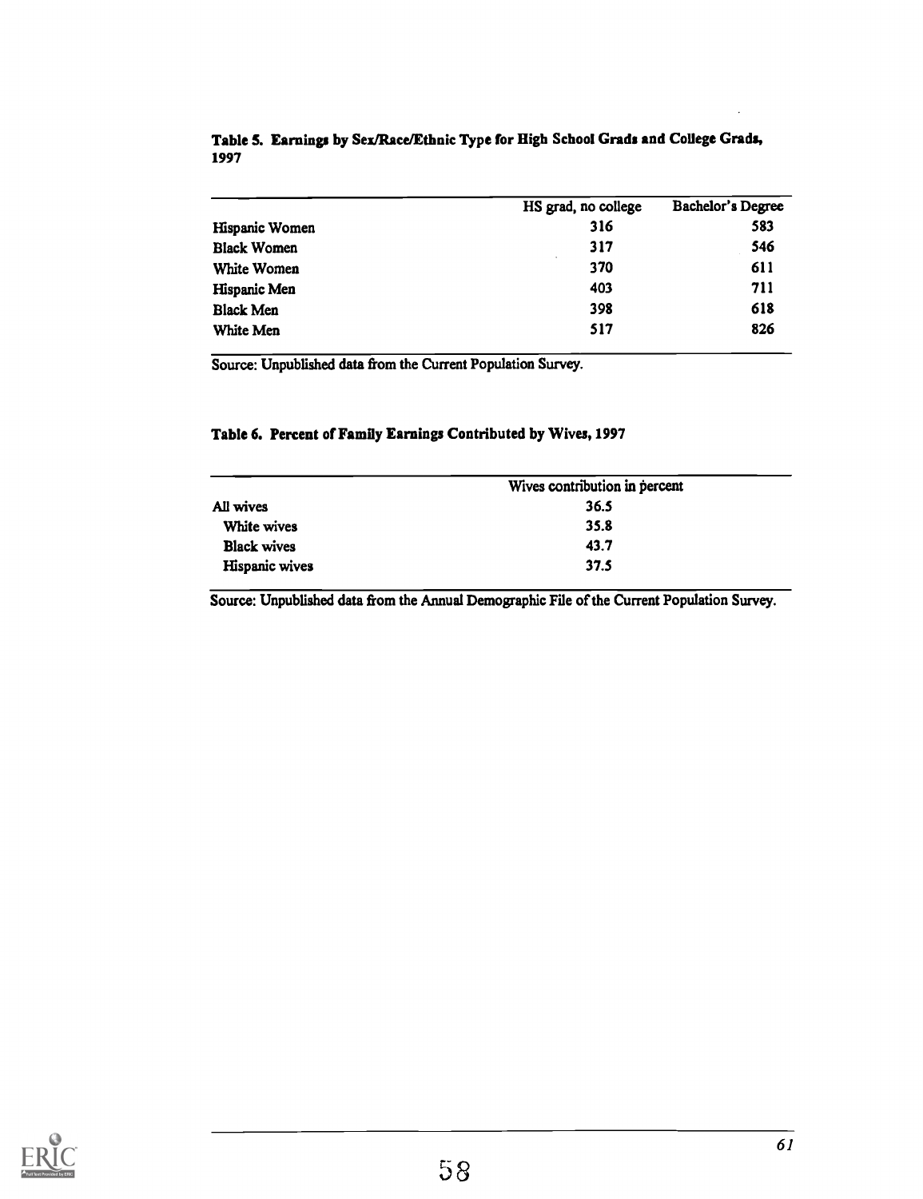|                    | HS grad, no college | Bachelor's Degree |
|--------------------|---------------------|-------------------|
| Hispanic Women     | 316                 | 583               |
| <b>Black Women</b> | 317                 | 546               |
| White Women        | 370                 | 611               |
| Hispanic Men       | 403                 | 711               |
| <b>Black Men</b>   | 398                 | 618               |
| White Men          | 517                 | 826               |

### Table 5. Earnings by Sex/Race/Ethnic Type for High School Grads and College Grads, 1997

Source: Unpublished data from the Current Population Survey.

### Table 6. Percent of Family Earnings Contributed by Wives, 1997

|                    | Wives contribution in percent |
|--------------------|-------------------------------|
| All wives          | 36.5                          |
| White wives        | 35.8                          |
| <b>Black wives</b> | 43.7                          |
| Hispanic wives     | 37.5                          |

Source: Unpublished data from the Annual Demographic File of the Current Population Survey.

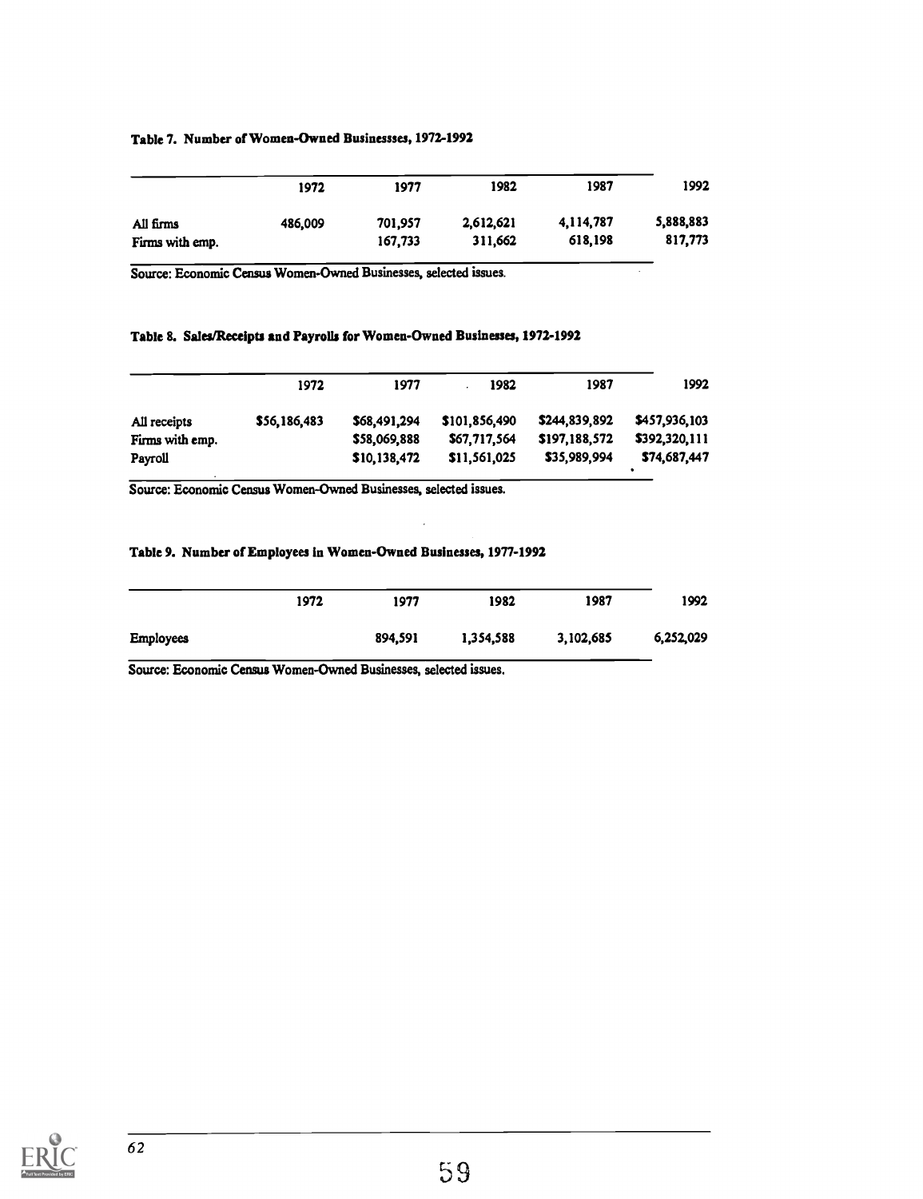#### Table 7. Number of Women-Owned Businessses, 1972-1992

|                              | 1972    | 1977               | 1982                 | 1987                 | 1992                 |  |
|------------------------------|---------|--------------------|----------------------|----------------------|----------------------|--|
| All firms<br>Firms with emp. | 486,009 | 701.957<br>167,733 | 2,612,621<br>311,662 | 4,114,787<br>618,198 | 5,888,883<br>817,773 |  |

Source: Economic Census Women-Owned Businesses, selected issues.

#### Table 8. Sales/Receipts and Payrolls for Women-Owned Businesses, 1972-1992

|                 | 1972         | 1977         | 1982          | 1987          | 1992          |
|-----------------|--------------|--------------|---------------|---------------|---------------|
| All receipts    | \$56,186,483 | \$68,491,294 | \$101.856,490 | \$244,839,892 | \$457,936,103 |
| Firms with emp. |              | \$58,069,888 | \$67,717,564  | \$197,188,572 | \$392,320,111 |
| Payroll         |              | \$10,138,472 | \$11,561,025  | \$35,989,994  | \$74,687,447  |

 $\ddot{\phantom{a}}$ 

Source: Economic Census Women-Owned Businesses, selected issues.

#### Table 9. Number of Employees in Women-Owned Businesses, 1977-1992

|                  | 1972 | 1977    | 1982      | 1987      | 1992      |  |
|------------------|------|---------|-----------|-----------|-----------|--|
| <b>Employees</b> |      | 894,591 | 1,354,588 | 3,102,685 | 6,252,029 |  |

Source: Economic Census Women-Owned Businesses, selected issues.